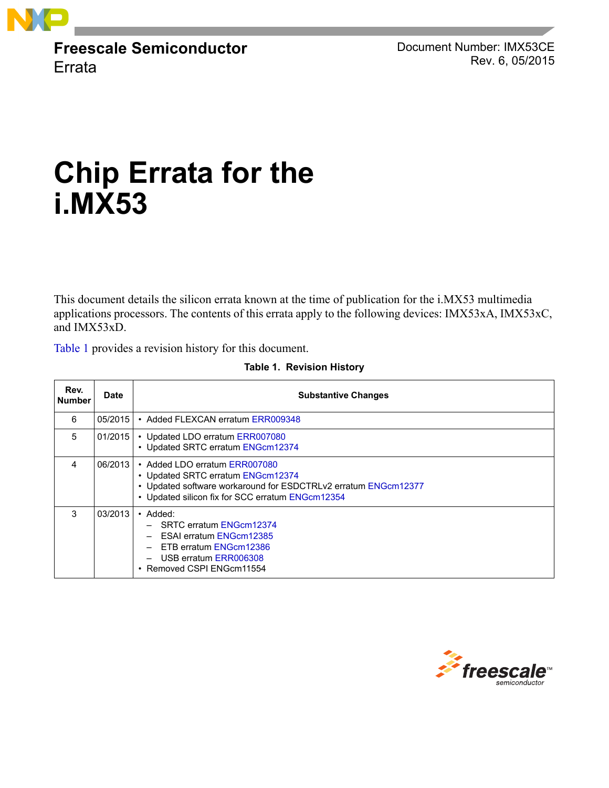

**Freescale Semiconductor** Errata

Document Number: IMX53CE Rev. 6, 05/2015

# **Chip Errata f[or the](#page-31-0) i.MX53**

This document details the silicon errata kn[own at the time of public](#page-41-0)ation for the i.MX53 multimedia applications processors. The contents of this errata apply to the following devices: IMX53xA, IMX53xC, and IMX53xD.

<span id="page-0-0"></span>[Table 1](#page-0-0) provides a revision history for this document.

| Rev.<br><b>Number</b> | Date    | <b>Substantive Changes</b>                                                                                                                                                               |
|-----------------------|---------|------------------------------------------------------------------------------------------------------------------------------------------------------------------------------------------|
| 6                     | 05/2015 | • Added FLEXCAN erratum ERR009348                                                                                                                                                        |
| 5                     | 01/2015 | • Updated LDO erratum ERR007080<br>• Updated SRTC erratum ENGcm12374                                                                                                                     |
| 4                     | 06/2013 | • Added LDO erratum ERR007080<br>• Updated SRTC erratum ENGcm12374<br>• Updated software workaround for ESDCTRLv2 erratum ENGcm12377<br>• Updated silicon fix for SCC erratum ENGcm12354 |
| 3                     | 03/2013 | $\bullet$ Added:<br>SRTC erratum ENGcm12374<br>ESAI erratum ENGcm12385<br>ETB erratum ENGcm12386<br>USB erratum ERR006308<br>• Removed CSPI ENGcm11554                                   |

#### **Table [1. Revision](#page-80-0) History**

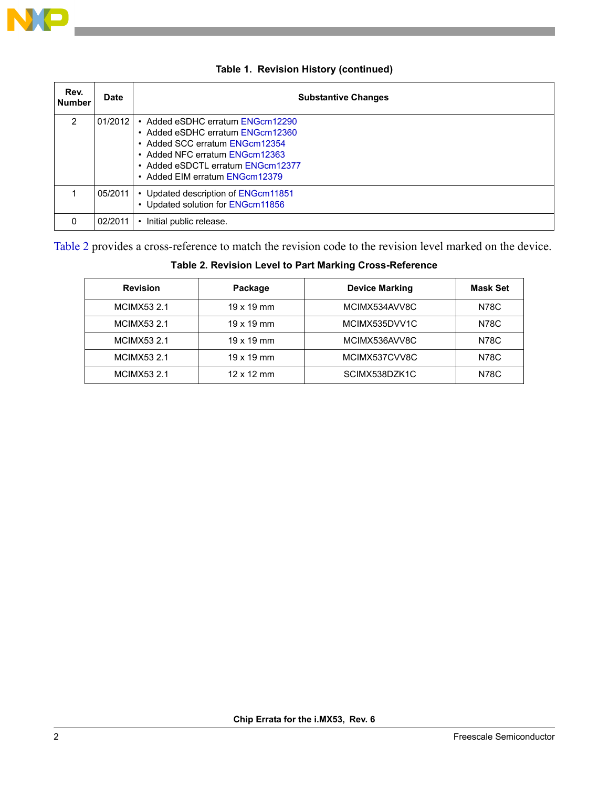

| Rev.<br><b>Number</b> | <b>Date</b> | <b>Substantive Changes</b>                                                                                                                                                                                      |
|-----------------------|-------------|-----------------------------------------------------------------------------------------------------------------------------------------------------------------------------------------------------------------|
| $\overline{2}$        | 01/2012     | • Added eSDHC erratum ENGcm12290<br>• Added eSDHC erratum ENGcm12360<br>• Added SCC erratum FNGcm12354<br>• Added NFC erratum FNGcm12363<br>• Added eSDCTL erratum ENGcm12377<br>• Added EIM erratum ENGcm12379 |
|                       | 05/2011     | • Updated description of ENGcm11851<br>• Updated solution for ENGcm11856                                                                                                                                        |
| 0                     | 02/2011     | Initial public release.                                                                                                                                                                                         |

#### **Table 1. Revision History (continued)**

<span id="page-1-0"></span>[Table 2](#page-1-0) provides a cross-reference to match the revision code to the revision level marked on the device.

# **Table 2. Revision Level to Part Marking Cross-Reference**

| <b>Revision</b>    | Package           | <b>Device Marking</b> | <b>Mask Set</b> |
|--------------------|-------------------|-----------------------|-----------------|
| <b>MCIMX53 2.1</b> | $19 \times 19$ mm | MCIMX534AVV8C         | <b>N78C</b>     |
| <b>MCIMX53 2.1</b> | $19 \times 19$ mm | MCIMX535DVV1C         | N78C            |
| <b>MCIMX53 2.1</b> | $19 \times 19$ mm | MCIMX536AVV8C         | N78C            |
| <b>MCIMX53 2.1</b> | $19 \times 19$ mm | MCIMX537CVV8C         | N78C            |
| <b>MCIMX53 2.1</b> | $12 \times 12$ mm | SCIMX538DZK1C         | N78C            |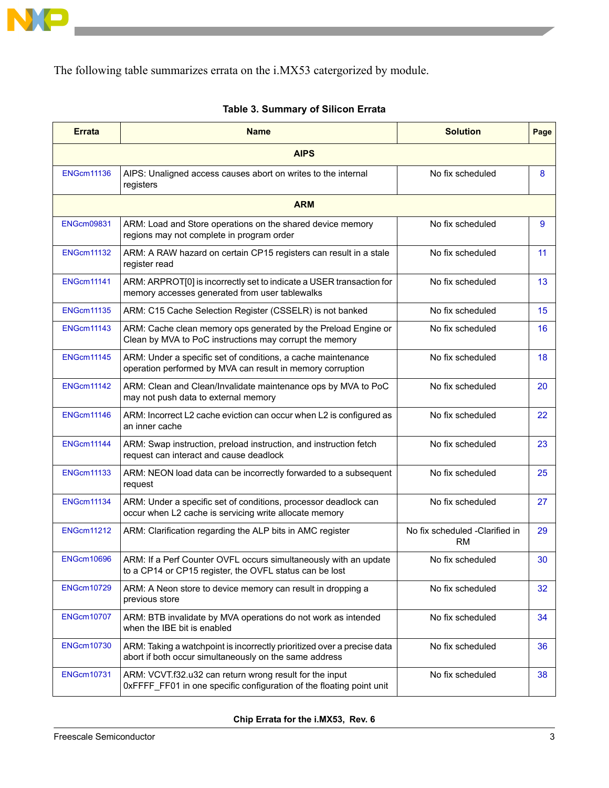

The following table summarizes errata on the i.MX53 catergorized by module.

| <b>Errata</b>     | <b>Name</b>                                                                                                                       | <b>Solution</b>                       | Page |  |  |  |
|-------------------|-----------------------------------------------------------------------------------------------------------------------------------|---------------------------------------|------|--|--|--|
|                   | <b>AIPS</b>                                                                                                                       |                                       |      |  |  |  |
| <b>ENGcm11136</b> | AIPS: Unaligned access causes abort on writes to the internal<br>registers                                                        | No fix scheduled                      | 8    |  |  |  |
|                   | <b>ARM</b>                                                                                                                        |                                       |      |  |  |  |
| <b>ENGcm09831</b> | ARM: Load and Store operations on the shared device memory<br>regions may not complete in program order                           | No fix scheduled                      | 9    |  |  |  |
| <b>ENGcm11132</b> | ARM: A RAW hazard on certain CP15 registers can result in a stale<br>register read                                                | No fix scheduled                      | 11   |  |  |  |
| <b>ENGcm11141</b> | ARM: ARPROT[0] is incorrectly set to indicate a USER transaction for<br>memory accesses generated from user tablewalks            | No fix scheduled                      | 13   |  |  |  |
| <b>ENGcm11135</b> | ARM: C15 Cache Selection Register (CSSELR) is not banked                                                                          | No fix scheduled                      | 15   |  |  |  |
| <b>ENGcm11143</b> | ARM: Cache clean memory ops generated by the Preload Engine or<br>Clean by MVA to PoC instructions may corrupt the memory         | No fix scheduled                      | 16   |  |  |  |
| <b>ENGcm11145</b> | ARM: Under a specific set of conditions, a cache maintenance<br>operation performed by MVA can result in memory corruption        | No fix scheduled                      | 18   |  |  |  |
| <b>ENGcm11142</b> | ARM: Clean and Clean/Invalidate maintenance ops by MVA to PoC<br>may not push data to external memory                             | No fix scheduled                      | 20   |  |  |  |
| <b>ENGcm11146</b> | ARM: Incorrect L2 cache eviction can occur when L2 is configured as<br>an inner cache                                             | No fix scheduled                      | 22   |  |  |  |
| <b>ENGcm11144</b> | ARM: Swap instruction, preload instruction, and instruction fetch<br>request can interact and cause deadlock                      | No fix scheduled                      | 23   |  |  |  |
| <b>ENGcm11133</b> | ARM: NEON load data can be incorrectly forwarded to a subsequent<br>request                                                       | No fix scheduled                      | 25   |  |  |  |
| <b>ENGcm11134</b> | ARM: Under a specific set of conditions, processor deadlock can<br>occur when L2 cache is servicing write allocate memory         | No fix scheduled                      | 27   |  |  |  |
| <b>ENGcm11212</b> | ARM: Clarification regarding the ALP bits in AMC register                                                                         | No fix scheduled -Clarified in<br>RM. | 29   |  |  |  |
| <b>ENGcm10696</b> | ARM: If a Perf Counter OVFL occurs simultaneously with an update<br>to a CP14 or CP15 register, the OVFL status can be lost       | No fix scheduled                      | 30   |  |  |  |
| <b>ENGcm10729</b> | ARM: A Neon store to device memory can result in dropping a<br>previous store                                                     | No fix scheduled                      | 32   |  |  |  |
| <b>ENGcm10707</b> | ARM: BTB invalidate by MVA operations do not work as intended<br>when the IBE bit is enabled                                      | No fix scheduled                      | 34   |  |  |  |
| <b>ENGcm10730</b> | ARM: Taking a watchpoint is incorrectly prioritized over a precise data<br>abort if both occur simultaneously on the same address | No fix scheduled                      | 36   |  |  |  |
| <b>ENGcm10731</b> | ARM: VCVT.f32.u32 can return wrong result for the input<br>0xFFFF_FF01 in one specific configuration of the floating point unit   | No fix scheduled                      | 38   |  |  |  |

#### **Table 3. Summary of Silicon Errata**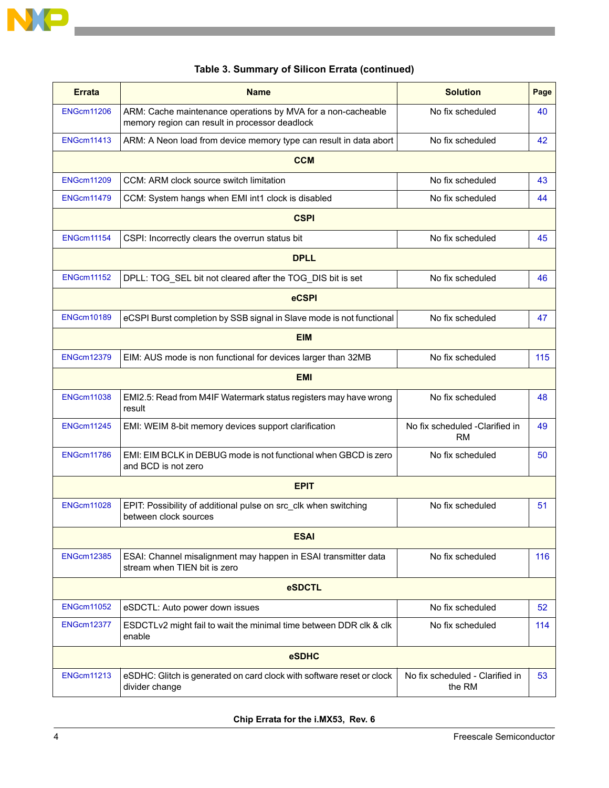

| <b>Errata</b>     | <b>Name</b>                                                                                                    | <b>Solution</b>                             | Page |  |  |
|-------------------|----------------------------------------------------------------------------------------------------------------|---------------------------------------------|------|--|--|
| <b>ENGcm11206</b> | ARM: Cache maintenance operations by MVA for a non-cacheable<br>memory region can result in processor deadlock | No fix scheduled                            | 40   |  |  |
| <b>ENGcm11413</b> | ARM: A Neon load from device memory type can result in data abort                                              | No fix scheduled                            | 42   |  |  |
|                   | <b>CCM</b>                                                                                                     |                                             |      |  |  |
| <b>ENGcm11209</b> | CCM: ARM clock source switch limitation                                                                        | No fix scheduled                            | 43   |  |  |
| <b>ENGcm11479</b> | CCM: System hangs when EMI int1 clock is disabled                                                              | No fix scheduled                            | 44   |  |  |
|                   | <b>CSPI</b>                                                                                                    |                                             |      |  |  |
| <b>ENGcm11154</b> | CSPI: Incorrectly clears the overrun status bit                                                                | No fix scheduled                            | 45   |  |  |
|                   | <b>DPLL</b>                                                                                                    |                                             |      |  |  |
| <b>ENGcm11152</b> | DPLL: TOG_SEL bit not cleared after the TOG_DIS bit is set                                                     | No fix scheduled                            | 46   |  |  |
|                   | <b>eCSPI</b>                                                                                                   |                                             |      |  |  |
| <b>ENGcm10189</b> | eCSPI Burst completion by SSB signal in Slave mode is not functional                                           | No fix scheduled                            | 47   |  |  |
|                   | <b>EIM</b>                                                                                                     |                                             |      |  |  |
| <b>ENGcm12379</b> | EIM: AUS mode is non functional for devices larger than 32MB                                                   | No fix scheduled                            | 115  |  |  |
|                   | <b>EMI</b>                                                                                                     |                                             |      |  |  |
| <b>ENGcm11038</b> | EMI2.5: Read from M4IF Watermark status registers may have wrong<br>result                                     | No fix scheduled                            | 48   |  |  |
| <b>ENGcm11245</b> | EMI: WEIM 8-bit memory devices support clarification                                                           | No fix scheduled -Clarified in<br><b>RM</b> | 49   |  |  |
| <b>ENGcm11786</b> | EMI: EIM BCLK in DEBUG mode is not functional when GBCD is zero<br>and BCD is not zero                         | No fix scheduled                            | 50   |  |  |
|                   | <b>EPIT</b>                                                                                                    |                                             |      |  |  |
| <b>ENGcm11028</b> | EPIT: Possibility of additional pulse on src_clk when switching<br>between clock sources                       | No fix scheduled                            | 51   |  |  |
| <b>ESAI</b>       |                                                                                                                |                                             |      |  |  |
| <b>ENGcm12385</b> | ESAI: Channel misalignment may happen in ESAI transmitter data<br>stream when TIEN bit is zero                 | No fix scheduled                            | 116  |  |  |
| eSDCTL            |                                                                                                                |                                             |      |  |  |
| <b>ENGcm11052</b> | eSDCTL: Auto power down issues                                                                                 | No fix scheduled                            | 52   |  |  |
| <b>ENGcm12377</b> | No fix scheduled<br>ESDCTLv2 might fail to wait the minimal time between DDR clk & clk<br>enable               |                                             | 114  |  |  |
| eSDHC             |                                                                                                                |                                             |      |  |  |
| <b>ENGcm11213</b> | eSDHC: Glitch is generated on card clock with software reset or clock<br>divider change                        | No fix scheduled - Clarified in<br>the RM   | 53   |  |  |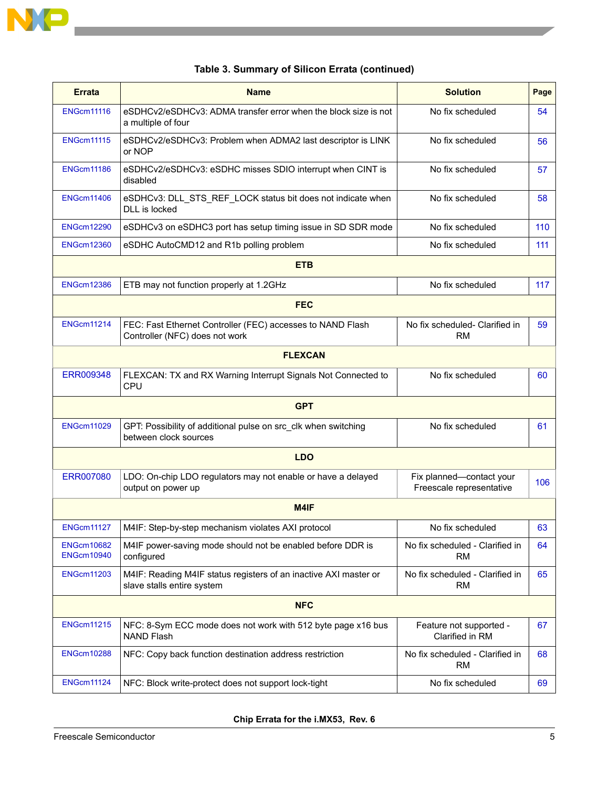

| <b>Errata</b>                          | <b>Name</b>                                                                                             | <b>Solution</b>                                      | Page |  |  |
|----------------------------------------|---------------------------------------------------------------------------------------------------------|------------------------------------------------------|------|--|--|
| <b>ENGcm11116</b>                      | eSDHCv2/eSDHCv3: ADMA transfer error when the block size is not<br>a multiple of four                   | No fix scheduled                                     | 54   |  |  |
| <b>ENGcm11115</b>                      | eSDHCv2/eSDHCv3: Problem when ADMA2 last descriptor is LINK<br>or NOP                                   | No fix scheduled                                     | 56   |  |  |
| <b>ENGcm11186</b>                      | eSDHCv2/eSDHCv3: eSDHC misses SDIO interrupt when CINT is<br>disabled                                   | No fix scheduled                                     | 57   |  |  |
| <b>ENGcm11406</b>                      | eSDHCv3: DLL_STS_REF_LOCK status bit does not indicate when<br>DLL is locked                            | No fix scheduled                                     | 58   |  |  |
| <b>ENGcm12290</b>                      | eSDHCv3 on eSDHC3 port has setup timing issue in SD SDR mode                                            | No fix scheduled                                     | 110  |  |  |
| <b>ENGcm12360</b>                      | eSDHC AutoCMD12 and R1b polling problem                                                                 | No fix scheduled                                     | 111  |  |  |
|                                        | <b>ETB</b>                                                                                              |                                                      |      |  |  |
| <b>ENGcm12386</b>                      | ETB may not function properly at 1.2GHz                                                                 | No fix scheduled                                     | 117  |  |  |
|                                        | <b>FEC</b>                                                                                              |                                                      |      |  |  |
| <b>ENGcm11214</b>                      | FEC: Fast Ethernet Controller (FEC) accesses to NAND Flash<br>Controller (NFC) does not work            | No fix scheduled- Clarified in<br>RM                 | 59   |  |  |
|                                        | <b>FLEXCAN</b>                                                                                          |                                                      |      |  |  |
| ERR009348                              | FLEXCAN: TX and RX Warning Interrupt Signals Not Connected to<br><b>CPU</b>                             | No fix scheduled                                     | 60   |  |  |
|                                        | <b>GPT</b>                                                                                              |                                                      |      |  |  |
| <b>ENGcm11029</b>                      | GPT: Possibility of additional pulse on src_clk when switching<br>between clock sources                 | No fix scheduled                                     | 61   |  |  |
|                                        | <b>LDO</b>                                                                                              |                                                      |      |  |  |
| ERR007080                              | LDO: On-chip LDO regulators may not enable or have a delayed<br>output on power up                      | Fix planned-contact your<br>Freescale representative | 106  |  |  |
|                                        | M4IF                                                                                                    |                                                      |      |  |  |
| <b>ENGcm11127</b>                      | M4IF: Step-by-step mechanism violates AXI protocol                                                      | No fix scheduled                                     | 63   |  |  |
| <b>ENGcm10682</b><br><b>ENGcm10940</b> | M4IF power-saving mode should not be enabled before DDR is<br>configured                                | No fix scheduled - Clarified in<br>RM                | 64   |  |  |
| <b>ENGcm11203</b>                      | M4IF: Reading M4IF status registers of an inactive AXI master or<br>slave stalls entire system          | No fix scheduled - Clarified in<br><b>RM</b>         | 65   |  |  |
| <b>NFC</b>                             |                                                                                                         |                                                      |      |  |  |
| <b>ENGcm11215</b>                      | NFC: 8-Sym ECC mode does not work with 512 byte page x16 bus<br><b>NAND Flash</b>                       | Feature not supported -<br>Clarified in RM           | 67   |  |  |
| <b>ENGcm10288</b>                      | NFC: Copy back function destination address restriction<br>No fix scheduled - Clarified in<br><b>RM</b> |                                                      | 68   |  |  |
| <b>ENGcm11124</b>                      | NFC: Block write-protect does not support lock-tight                                                    | No fix scheduled                                     | 69   |  |  |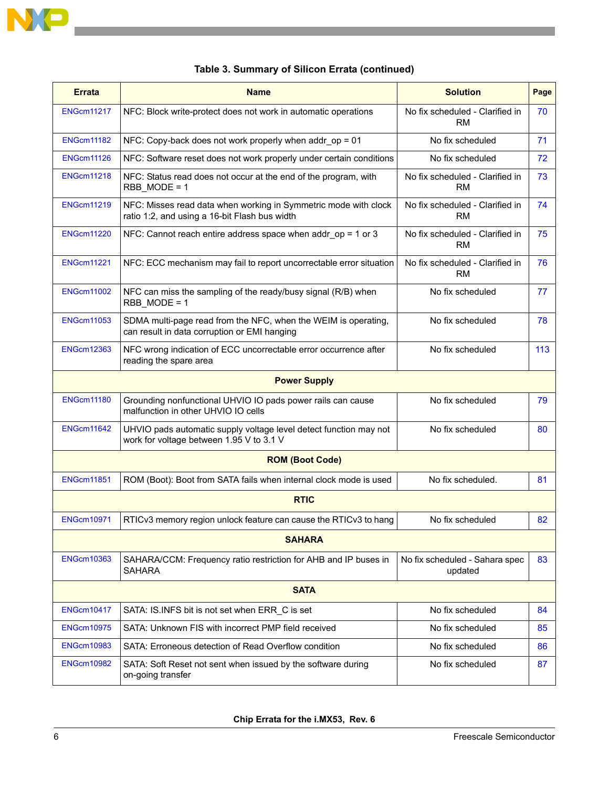

| <b>Errata</b>     | <b>Name</b>                                                                                                      | <b>Solution</b>                              | Page |  |  |
|-------------------|------------------------------------------------------------------------------------------------------------------|----------------------------------------------|------|--|--|
| <b>ENGcm11217</b> | No fix scheduled - Clarified in<br>NFC: Block write-protect does not work in automatic operations<br><b>RM</b>   |                                              | 70   |  |  |
| <b>ENGcm11182</b> | NFC: Copy-back does not work properly when addr_op = 01                                                          | No fix scheduled                             | 71   |  |  |
| <b>ENGcm11126</b> | NFC: Software reset does not work properly under certain conditions                                              | No fix scheduled                             | 72   |  |  |
| <b>ENGcm11218</b> | NFC: Status read does not occur at the end of the program, with<br>RBB MODE = 1                                  | No fix scheduled - Clarified in<br>RM.       | 73   |  |  |
| <b>ENGcm11219</b> | NFC: Misses read data when working in Symmetric mode with clock<br>ratio 1:2, and using a 16-bit Flash bus width | No fix scheduled - Clarified in<br><b>RM</b> | 74   |  |  |
| <b>ENGcm11220</b> | NFC: Cannot reach entire address space when addr_op = 1 or 3                                                     | No fix scheduled - Clarified in<br><b>RM</b> | 75   |  |  |
| <b>ENGcm11221</b> | NFC: ECC mechanism may fail to report uncorrectable error situation                                              | No fix scheduled - Clarified in<br><b>RM</b> | 76   |  |  |
| <b>ENGcm11002</b> | NFC can miss the sampling of the ready/busy signal (R/B) when<br>RBB MODE = 1                                    | No fix scheduled                             | 77   |  |  |
| <b>ENGcm11053</b> | SDMA multi-page read from the NFC, when the WEIM is operating,<br>can result in data corruption or EMI hanging   | No fix scheduled                             | 78   |  |  |
| <b>ENGcm12363</b> | NFC wrong indication of ECC uncorrectable error occurrence after<br>reading the spare area                       | No fix scheduled                             | 113  |  |  |
|                   | <b>Power Supply</b>                                                                                              |                                              |      |  |  |
| <b>ENGcm11180</b> | Grounding nonfunctional UHVIO IO pads power rails can cause<br>malfunction in other UHVIO IO cells               | No fix scheduled                             | 79   |  |  |
| <b>ENGcm11642</b> | UHVIO pads automatic supply voltage level detect function may not<br>work for voltage between 1.95 V to 3.1 V    | No fix scheduled                             | 80   |  |  |
|                   | <b>ROM (Boot Code)</b>                                                                                           |                                              |      |  |  |
| <b>ENGcm11851</b> | ROM (Boot): Boot from SATA fails when internal clock mode is used                                                | No fix scheduled.                            | 81   |  |  |
|                   | <b>RTIC</b>                                                                                                      |                                              |      |  |  |
| <b>ENGcm10971</b> | RTICv3 memory region unlock feature can cause the RTICv3 to hang                                                 | No fix scheduled                             | 82   |  |  |
| <b>SAHARA</b>     |                                                                                                                  |                                              |      |  |  |
| <b>ENGcm10363</b> | SAHARA/CCM: Frequency ratio restriction for AHB and IP buses in<br><b>SAHARA</b>                                 | No fix scheduled - Sahara spec<br>updated    | 83   |  |  |
| <b>SATA</b>       |                                                                                                                  |                                              |      |  |  |
| <b>ENGcm10417</b> | SATA: IS.INFS bit is not set when ERR_C is set                                                                   | No fix scheduled                             | 84   |  |  |
| <b>ENGcm10975</b> | SATA: Unknown FIS with incorrect PMP field received                                                              | No fix scheduled                             | 85   |  |  |
| <b>ENGcm10983</b> | SATA: Erroneous detection of Read Overflow condition                                                             | No fix scheduled                             | 86   |  |  |
| <b>ENGcm10982</b> | SATA: Soft Reset not sent when issued by the software during<br>on-going transfer                                | No fix scheduled                             | 87   |  |  |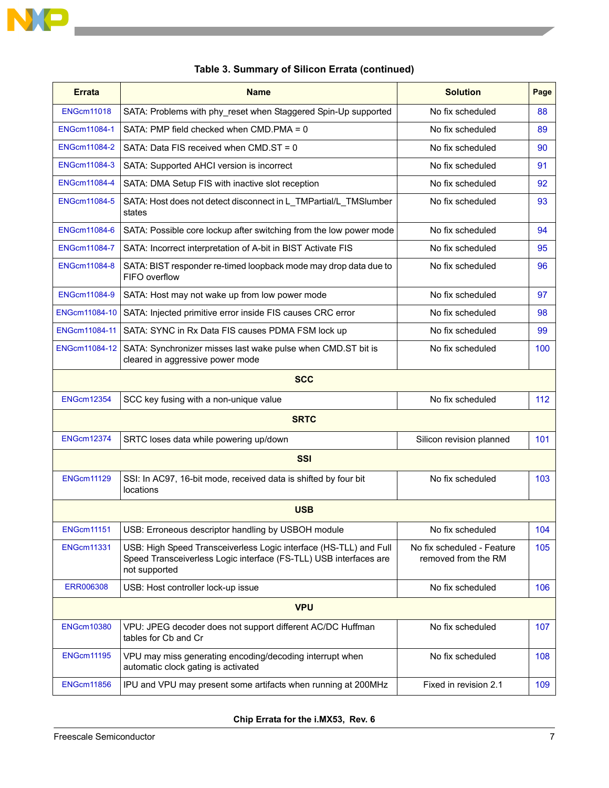

 $\overline{\phantom{a}}$ 

| <b>Errata</b>                                                                                                        | <b>Name</b>                                                                                                                                             | <b>Solution</b>                                   | Page |  |  |
|----------------------------------------------------------------------------------------------------------------------|---------------------------------------------------------------------------------------------------------------------------------------------------------|---------------------------------------------------|------|--|--|
| <b>ENGcm11018</b>                                                                                                    | SATA: Problems with phy_reset when Staggered Spin-Up supported                                                                                          | No fix scheduled                                  | 88   |  |  |
| <b>ENGcm11084-1</b>                                                                                                  | SATA: PMP field checked when CMD.PMA = 0                                                                                                                | No fix scheduled                                  | 89   |  |  |
| <b>ENGcm11084-2</b>                                                                                                  | SATA: Data FIS received when CMD.ST = 0                                                                                                                 | No fix scheduled                                  | 90   |  |  |
| <b>ENGcm11084-3</b>                                                                                                  | SATA: Supported AHCI version is incorrect                                                                                                               | No fix scheduled                                  | 91   |  |  |
| <b>ENGcm11084-4</b>                                                                                                  | SATA: DMA Setup FIS with inactive slot reception                                                                                                        | No fix scheduled                                  | 92   |  |  |
| <b>ENGcm11084-5</b>                                                                                                  | SATA: Host does not detect disconnect in L_TMPartial/L_TMSlumber<br>states                                                                              | No fix scheduled                                  | 93   |  |  |
| <b>ENGcm11084-6</b>                                                                                                  | SATA: Possible core lockup after switching from the low power mode                                                                                      | No fix scheduled                                  | 94   |  |  |
| <b>ENGcm11084-7</b>                                                                                                  | SATA: Incorrect interpretation of A-bit in BIST Activate FIS                                                                                            | No fix scheduled                                  | 95   |  |  |
| <b>ENGcm11084-8</b>                                                                                                  | SATA: BIST responder re-timed loopback mode may drop data due to<br>FIFO overflow                                                                       | No fix scheduled                                  | 96   |  |  |
| <b>ENGcm11084-9</b>                                                                                                  | SATA: Host may not wake up from low power mode                                                                                                          | No fix scheduled                                  | 97   |  |  |
| ENGcm11084-10                                                                                                        | SATA: Injected primitive error inside FIS causes CRC error                                                                                              | No fix scheduled                                  | 98   |  |  |
| ENGcm11084-11                                                                                                        | SATA: SYNC in Rx Data FIS causes PDMA FSM lock up                                                                                                       | No fix scheduled                                  | 99   |  |  |
| ENGcm11084-12<br>SATA: Synchronizer misses last wake pulse when CMD.ST bit is<br>cleared in aggressive power mode    |                                                                                                                                                         | No fix scheduled                                  | 100  |  |  |
|                                                                                                                      | <b>SCC</b>                                                                                                                                              |                                                   |      |  |  |
| <b>ENGcm12354</b>                                                                                                    | SCC key fusing with a non-unique value                                                                                                                  | No fix scheduled                                  | 112  |  |  |
|                                                                                                                      | <b>SRTC</b>                                                                                                                                             |                                                   |      |  |  |
| <b>ENGcm12374</b>                                                                                                    | SRTC loses data while powering up/down                                                                                                                  | Silicon revision planned                          | 101  |  |  |
|                                                                                                                      | <b>SSI</b>                                                                                                                                              |                                                   |      |  |  |
| <b>ENGcm11129</b>                                                                                                    | SSI: In AC97, 16-bit mode, received data is shifted by four bit<br>locations                                                                            | No fix scheduled                                  | 103  |  |  |
|                                                                                                                      | <b>USB</b>                                                                                                                                              |                                                   |      |  |  |
| <b>ENGcm11151</b>                                                                                                    | USB: Erroneous descriptor handling by USBOH module                                                                                                      | No fix scheduled                                  | 104  |  |  |
| <b>ENGcm11331</b>                                                                                                    | USB: High Speed Transceiverless Logic interface (HS-TLL) and Full<br>Speed Transceiverless Logic interface (FS-TLL) USB interfaces are<br>not supported | No fix scheduled - Feature<br>removed from the RM | 105  |  |  |
| <b>ERR006308</b>                                                                                                     | USB: Host controller lock-up issue                                                                                                                      | No fix scheduled                                  | 106  |  |  |
|                                                                                                                      | <b>VPU</b>                                                                                                                                              |                                                   |      |  |  |
| <b>ENGcm10380</b>                                                                                                    | VPU: JPEG decoder does not support different AC/DC Huffman<br>tables for Cb and Cr                                                                      | No fix scheduled                                  | 107  |  |  |
| <b>ENGcm11195</b><br>VPU may miss generating encoding/decoding interrupt when<br>automatic clock gating is activated |                                                                                                                                                         | No fix scheduled                                  | 108  |  |  |
| <b>ENGcm11856</b>                                                                                                    | IPU and VPU may present some artifacts when running at 200MHz                                                                                           | Fixed in revision 2.1                             | 109  |  |  |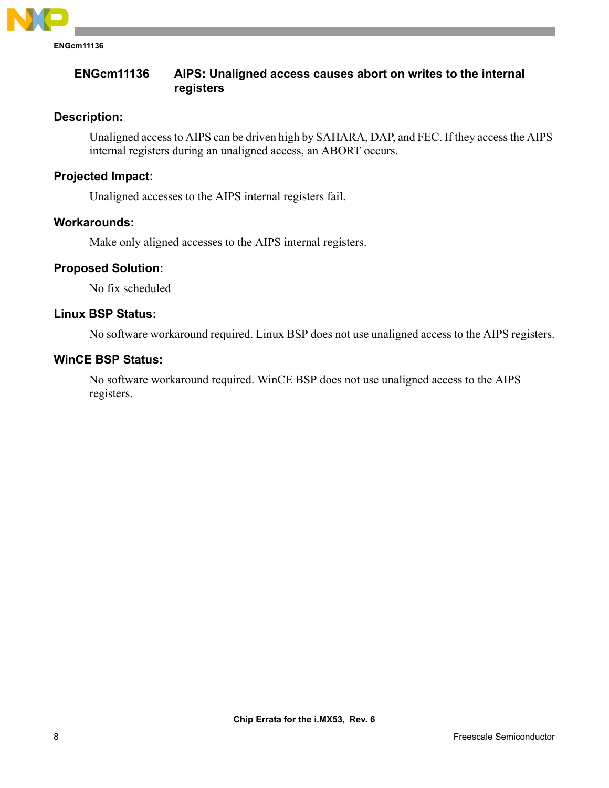

# <span id="page-7-0"></span>**ENGcm11136 AIPS: Unaligned access causes abort on writes to the internal registers**

# **Description:**

Unaligned access to AIPS can be driven high by SAHARA, DAP, and FEC. If they access the AIPS internal registers during an unaligned access, an ABORT occurs.

#### **Projected Impact:**

Unaligned accesses to the AIPS internal registers fail.

#### **Workarounds:**

Make only aligned accesses to the AIPS internal registers.

# **Proposed Solution:**

No fix scheduled

# **Linux BSP Status:**

No software workaround required. Linux BSP does not use unaligned access to the AIPS registers.

# **WinCE BSP Status:**

No software workaround required. WinCE BSP does not use unaligned access to the AIPS registers.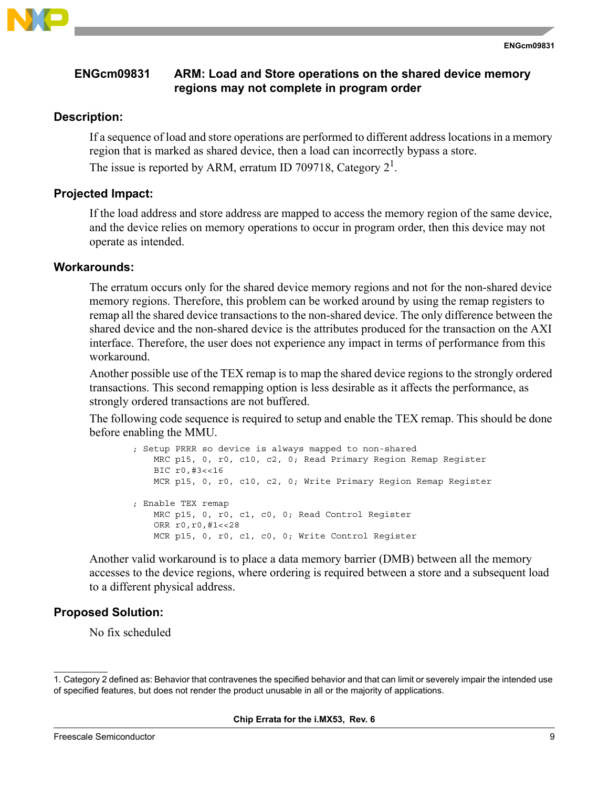

# <span id="page-8-0"></span>**ENGcm09831 ARM: Load and Store operations on the shared device memory regions may not complete in program order**

#### **Description:**

If a sequence of load and store operations are performed to different address locations in a memory region that is marked as shared device, then a load can incorrectly bypass a store. The issue is reported by ARM, erratum ID 709718, Category  $2^1$ .

#### **Projected Impact:**

If the load address and store address are mapped to access the memory region of the same device, and the device relies on memory operations to occur in program order, then this device may not operate as intended.

#### **Workarounds:**

The erratum occurs only for the shared device memory regions and not for the non-shared device memory regions. Therefore, this problem can be worked around by using the remap registers to remap all the shared device transactions to the non-shared device. The only difference between the shared device and the non-shared device is the attributes produced for the transaction on the AXI interface. Therefore, the user does not experience any impact in terms of performance from this workaround.

Another possible use of the TEX remap is to map the shared device regions to the strongly ordered transactions. This second remapping option is less desirable as it affects the performance, as strongly ordered transactions are not buffered.

The following code sequence is required to setup and enable the TEX remap. This should be done before enabling the MMU.

```
; Setup PRRR so device is always mapped to non-shared
    MRC p15, 0, r0, c10, c2, 0; Read Primary Region Remap Register
    BIC r0,#3<<16
    MCR p15, 0, r0, c10, c2, 0; Write Primary Region Remap Register
; Enable TEX remap
    MRC p15, 0, r0, c1, c0, 0; Read Control Register
    ORR r0,r0,#1<<28
    MCR p15, 0, r0, c1, c0, 0; Write Control Register
```
Another valid workaround is to place a data memory barrier (DMB) between all the memory accesses to the device regions, where ordering is required between a store and a subsequent load to a different physical address.

# **Proposed Solution:**

No fix scheduled

<sup>1.</sup> Category 2 defined as: Behavior that contravenes the specified behavior and that can limit or severely impair the intended use of specified features, but does not render the product unusable in all or the majority of applications.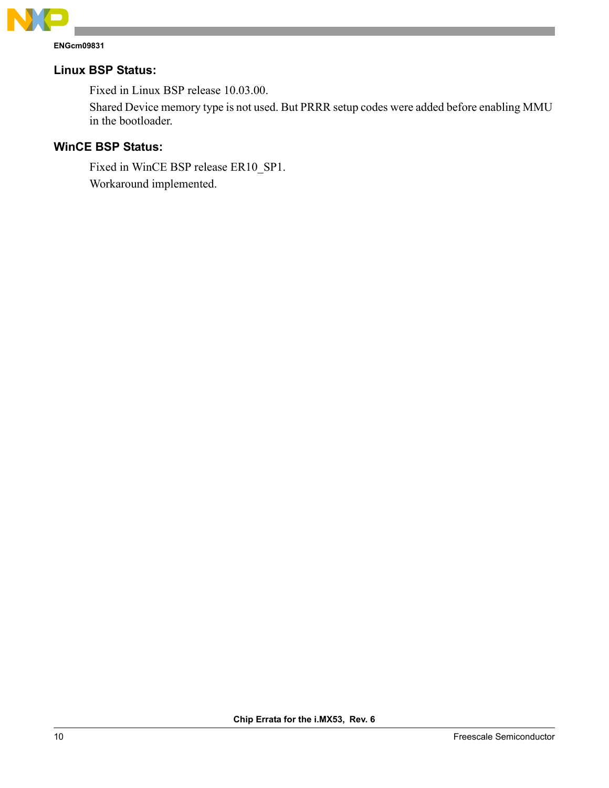

# **Linux BSP Status:**

Fixed in Linux BSP release 10.03.00.

Shared Device memory type is not used. But PRRR setup codes were added before enabling MMU in the bootloader.

# **WinCE BSP Status:**

Fixed in WinCE BSP release ER10\_SP1. Workaround implemented.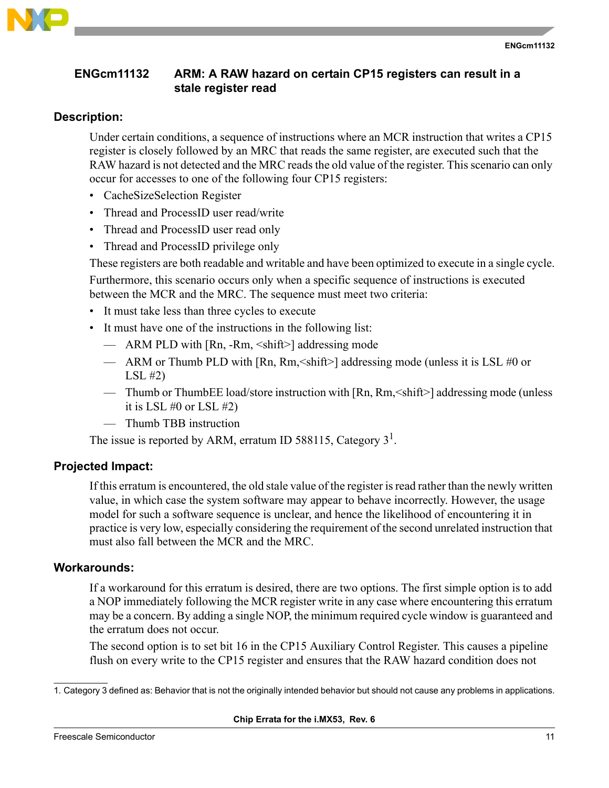

# <span id="page-10-0"></span>**ENGcm11132 ARM: A RAW hazard on certain CP15 registers can result in a stale register read**

# **Description:**

Under certain conditions, a sequence of instructions where an MCR instruction that writes a CP15 register is closely followed by an MRC that reads the same register, are executed such that the RAW hazard is not detected and the MRC reads the old value of the register. This scenario can only occur for accesses to one of the following four CP15 registers:

- CacheSizeSelection Register
- Thread and ProcessID user read/write
- Thread and ProcessID user read only
- Thread and ProcessID privilege only

These registers are both readable and writable and have been optimized to execute in a single cycle.

Furthermore, this scenario occurs only when a specific sequence of instructions is executed between the MCR and the MRC. The sequence must meet two criteria:

- It must take less than three cycles to execute
- It must have one of the instructions in the following list:
	- ARM PLD with [Rn, -Rm, <shift>] addressing mode
	- ARM or Thumb PLD with [Rn, Rm,<shift>] addressing mode (unless it is LSL #0 or LSL #2)
	- Thumb or ThumbEE load/store instruction with [Rn, Rm,<shift>] addressing mode (unless it is LSL  $#0$  or LSL  $#2$ )
	- Thumb TBB instruction

The issue is reported by ARM, erratum ID 588115, Category  $3<sup>1</sup>$ .

# **Projected Impact:**

If this erratum is encountered, the old stale value of the register is read rather than the newly written value, in which case the system software may appear to behave incorrectly. However, the usage model for such a software sequence is unclear, and hence the likelihood of encountering it in practice is very low, especially considering the requirement of the second unrelated instruction that must also fall between the MCR and the MRC.

# **Workarounds:**

If a workaround for this erratum is desired, there are two options. The first simple option is to add a NOP immediately following the MCR register write in any case where encountering this erratum may be a concern. By adding a single NOP, the minimum required cycle window is guaranteed and the erratum does not occur.

The second option is to set bit 16 in the CP15 Auxiliary Control Register. This causes a pipeline flush on every write to the CP15 register and ensures that the RAW hazard condition does not

<sup>1.</sup> Category 3 defined as: Behavior that is not the originally intended behavior but should not cause any problems in applications.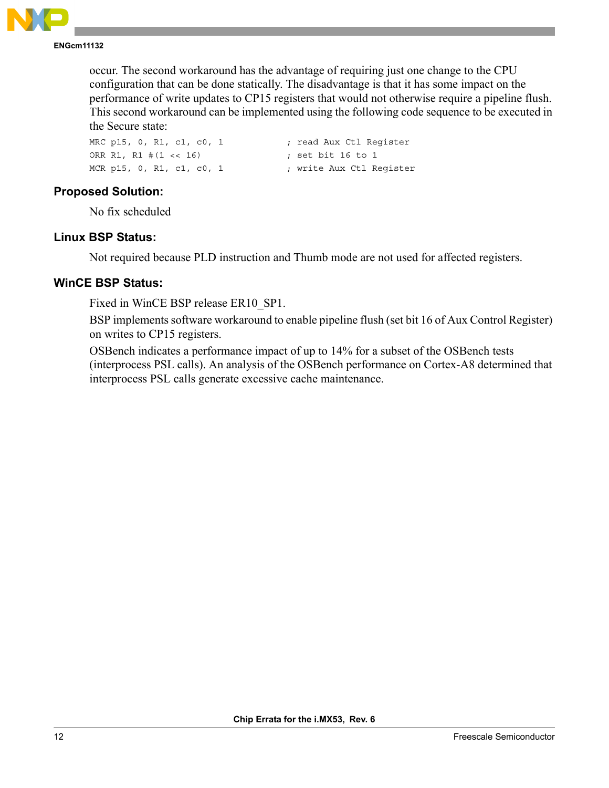

**ENGcm11132**

occur. The second workaround has the advantage of requiring just one change to the CPU configuration that can be done statically. The disadvantage is that it has some impact on the performance of write updates to CP15 registers that would not otherwise require a pipeline flush. This second workaround can be implemented using the following code sequence to be executed in the Secure state:

| MRC p15, 0, R1, c1, c0, 1 | ; read Aux Ctl Reqister  |  |
|---------------------------|--------------------------|--|
| ORR R1, R1 #(1 << 16)     | ; set bit 16 to 1        |  |
| MCR p15, 0, R1, c1, c0, 1 | ; write Aux Ctl Reqister |  |

# **Proposed Solution:**

No fix scheduled

# **Linux BSP Status:**

Not required because PLD instruction and Thumb mode are not used for affected registers.

# **WinCE BSP Status:**

Fixed in WinCE BSP release ER10\_SP1.

BSP implements software workaround to enable pipeline flush (set bit 16 of Aux Control Register) on writes to CP15 registers.

OSBench indicates a performance impact of up to 14% for a subset of the OSBench tests (interprocess PSL calls). An analysis of the OSBench performance on Cortex-A8 determined that interprocess PSL calls generate excessive cache maintenance.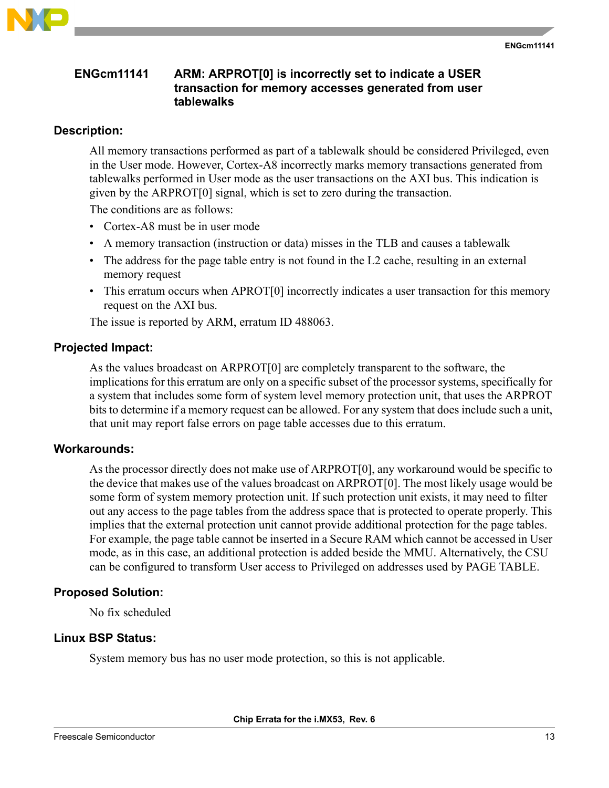

#### <span id="page-12-0"></span>**ENGcm11141 ARM: ARPROT[0] is incorrectly set to indicate a USER transaction for memory accesses generated from user tablewalks**

# **Description:**

All memory transactions performed as part of a tablewalk should be considered Privileged, even in the User mode. However, Cortex-A8 incorrectly marks memory transactions generated from tablewalks performed in User mode as the user transactions on the AXI bus. This indication is given by the ARPROT[0] signal, which is set to zero during the transaction.

The conditions are as follows:

- Cortex-A8 must be in user mode
- A memory transaction (instruction or data) misses in the TLB and causes a tablewalk
- The address for the page table entry is not found in the L2 cache, resulting in an external memory request
- This erratum occurs when APROT[0] incorrectly indicates a user transaction for this memory request on the AXI bus.

The issue is reported by ARM, erratum ID 488063.

# **Projected Impact:**

As the values broadcast on ARPROT[0] are completely transparent to the software, the implications for this erratum are only on a specific subset of the processor systems, specifically for a system that includes some form of system level memory protection unit, that uses the ARPROT bits to determine if a memory request can be allowed. For any system that does include such a unit, that unit may report false errors on page table accesses due to this erratum.

# **Workarounds:**

As the processor directly does not make use of ARPROT[0], any workaround would be specific to the device that makes use of the values broadcast on ARPROT[0]. The most likely usage would be some form of system memory protection unit. If such protection unit exists, it may need to filter out any access to the page tables from the address space that is protected to operate properly. This implies that the external protection unit cannot provide additional protection for the page tables. For example, the page table cannot be inserted in a Secure RAM which cannot be accessed in User mode, as in this case, an additional protection is added beside the MMU. Alternatively, the CSU can be configured to transform User access to Privileged on addresses used by PAGE TABLE.

# **Proposed Solution:**

No fix scheduled

# **Linux BSP Status:**

System memory bus has no user mode protection, so this is not applicable.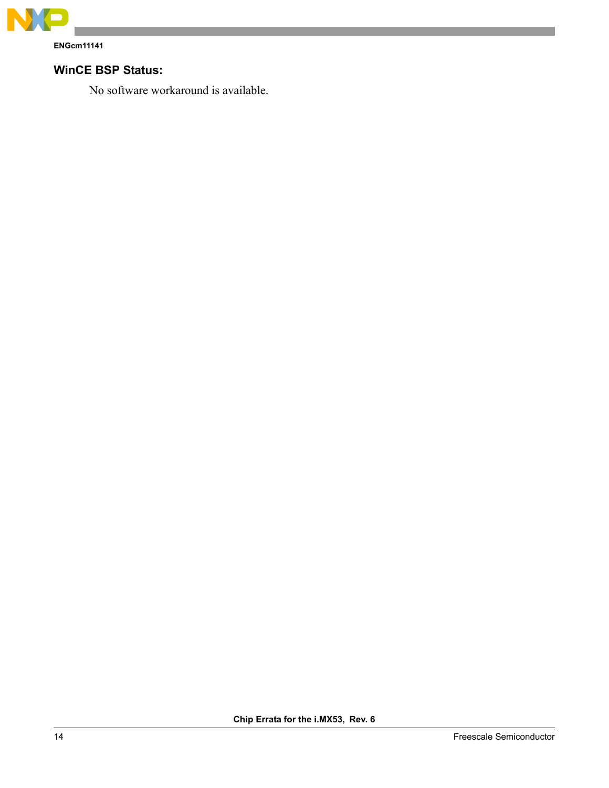

**ENGcm11141**

# **WinCE BSP Status:**

No software workaround is available.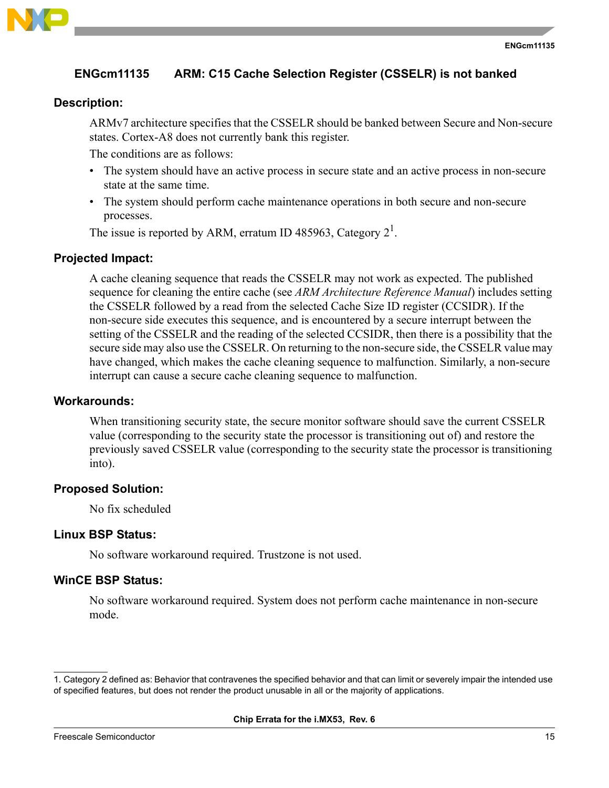

# <span id="page-14-0"></span>**ENGcm11135 ARM: C15 Cache Selection Register (CSSELR) is not banked**

### **Description:**

ARMv7 architecture specifies that the CSSELR should be banked between Secure and Non-secure states. Cortex-A8 does not currently bank this register.

The conditions are as follows:

- The system should have an active process in secure state and an active process in non-secure state at the same time.
- The system should perform cache maintenance operations in both secure and non-secure processes.

The issue is reported by ARM, erratum ID 485963, Category  $2^1$ .

# **Projected Impact:**

A cache cleaning sequence that reads the CSSELR may not work as expected. The published sequence for cleaning the entire cache (see *ARM Architecture Reference Manual*) includes setting the CSSELR followed by a read from the selected Cache Size ID register (CCSIDR). If the non-secure side executes this sequence, and is encountered by a secure interrupt between the setting of the CSSELR and the reading of the selected CCSIDR, then there is a possibility that the secure side may also use the CSSELR. On returning to the non-secure side, the CSSELR value may have changed, which makes the cache cleaning sequence to malfunction. Similarly, a non-secure interrupt can cause a secure cache cleaning sequence to malfunction.

#### **Workarounds:**

When transitioning security state, the secure monitor software should save the current CSSELR value (corresponding to the security state the processor is transitioning out of) and restore the previously saved CSSELR value (corresponding to the security state the processor is transitioning into).

#### **Proposed Solution:**

No fix scheduled

#### **Linux BSP Status:**

No software workaround required. Trustzone is not used.

#### **WinCE BSP Status:**

No software workaround required. System does not perform cache maintenance in non-secure mode.

<sup>1.</sup> Category 2 defined as: Behavior that contravenes the specified behavior and that can limit or severely impair the intended use of specified features, but does not render the product unusable in all or the majority of applications.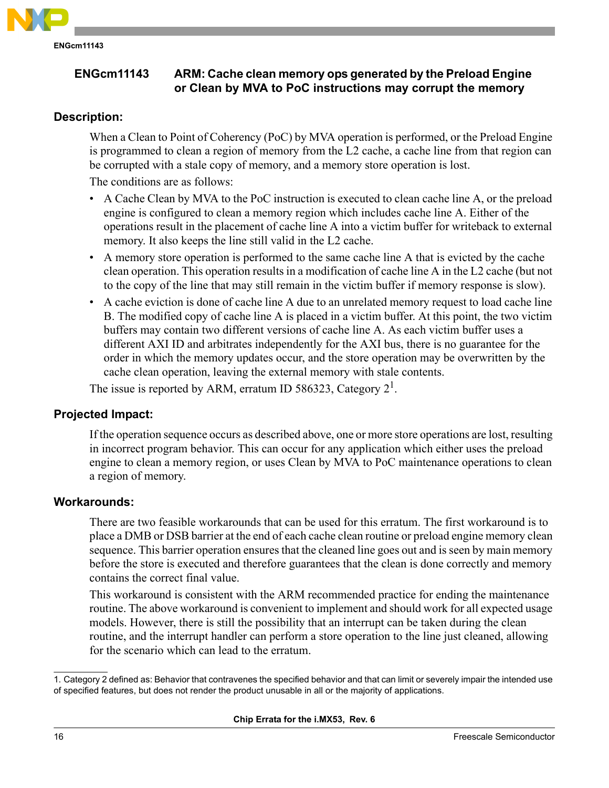

# <span id="page-15-0"></span>**ENGcm11143 ARM: Cache clean memory ops generated by the Preload Engine or Clean by MVA to PoC instructions may corrupt the memory**

# **Description:**

When a Clean to Point of Coherency (PoC) by MVA operation is performed, or the Preload Engine is programmed to clean a region of memory from the L2 cache, a cache line from that region can be corrupted with a stale copy of memory, and a memory store operation is lost.

The conditions are as follows:

- A Cache Clean by MVA to the PoC instruction is executed to clean cache line A, or the preload engine is configured to clean a memory region which includes cache line A. Either of the operations result in the placement of cache line A into a victim buffer for writeback to external memory. It also keeps the line still valid in the L2 cache.
- A memory store operation is performed to the same cache line A that is evicted by the cache clean operation. This operation results in a modification of cache line A in the L2 cache (but not to the copy of the line that may still remain in the victim buffer if memory response is slow).
- A cache eviction is done of cache line A due to an unrelated memory request to load cache line B. The modified copy of cache line A is placed in a victim buffer. At this point, the two victim buffers may contain two different versions of cache line A. As each victim buffer uses a different AXI ID and arbitrates independently for the AXI bus, there is no guarantee for the order in which the memory updates occur, and the store operation may be overwritten by the cache clean operation, leaving the external memory with stale contents.

The issue is reported by ARM, erratum ID 586323, Category  $2^1$ .

# **Projected Impact:**

If the operation sequence occurs as described above, one or more store operations are lost, resulting in incorrect program behavior. This can occur for any application which either uses the preload engine to clean a memory region, or uses Clean by MVA to PoC maintenance operations to clean a region of memory.

# **Workarounds:**

There are two feasible workarounds that can be used for this erratum. The first workaround is to place a DMB or DSB barrier at the end of each cache clean routine or preload engine memory clean sequence. This barrier operation ensures that the cleaned line goes out and is seen by main memory before the store is executed and therefore guarantees that the clean is done correctly and memory contains the correct final value.

This workaround is consistent with the ARM recommended practice for ending the maintenance routine. The above workaround is convenient to implement and should work for all expected usage models. However, there is still the possibility that an interrupt can be taken during the clean routine, and the interrupt handler can perform a store operation to the line just cleaned, allowing for the scenario which can lead to the erratum.

<sup>1.</sup> Category 2 defined as: Behavior that contravenes the specified behavior and that can limit or severely impair the intended use of specified features, but does not render the product unusable in all or the majority of applications.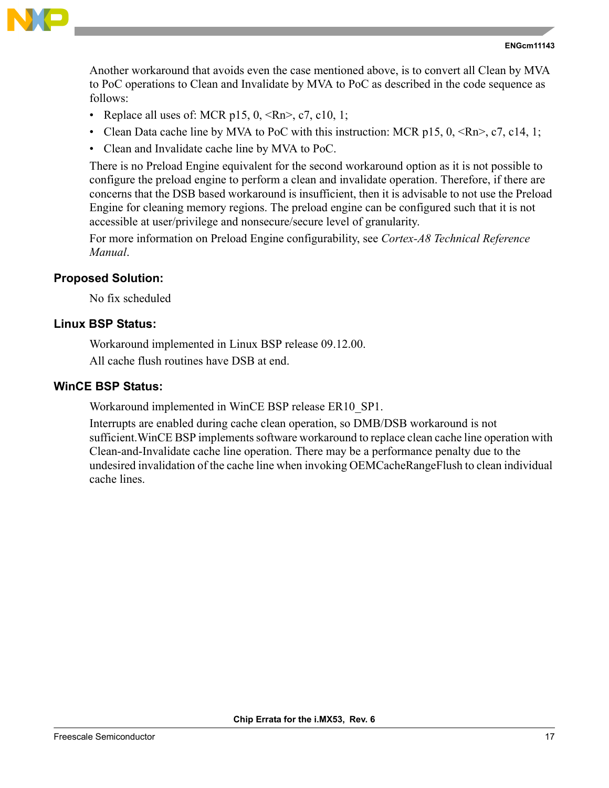

Another workaround that avoids even the case mentioned above, is to convert all Clean by MVA to PoC operations to Clean and Invalidate by MVA to PoC as described in the code sequence as follows:

- Replace all uses of: MCR p15,  $0, \le Rn$ ,  $c7, c10, 1$ ;
- Clean Data cache line by MVA to PoC with this instruction: MCR p15, 0,  $\langle Rn \rangle$ , c7, c14, 1;
- Clean and Invalidate cache line by MVA to PoC.

There is no Preload Engine equivalent for the second workaround option as it is not possible to configure the preload engine to perform a clean and invalidate operation. Therefore, if there are concerns that the DSB based workaround is insufficient, then it is advisable to not use the Preload Engine for cleaning memory regions. The preload engine can be configured such that it is not accessible at user/privilege and nonsecure/secure level of granularity.

For more information on Preload Engine configurability, see *Cortex-A8 Technical Reference Manual*.

#### **Proposed Solution:**

No fix scheduled

# **Linux BSP Status:**

Workaround implemented in Linux BSP release 09.12.00.

All cache flush routines have DSB at end.

# **WinCE BSP Status:**

Workaround implemented in WinCE BSP release ER10\_SP1.

Interrupts are enabled during cache clean operation, so DMB/DSB workaround is not sufficient.WinCE BSP implements software workaround to replace clean cache line operation with Clean-and-Invalidate cache line operation. There may be a performance penalty due to the undesired invalidation of the cache line when invoking OEMCacheRangeFlush to clean individual cache lines.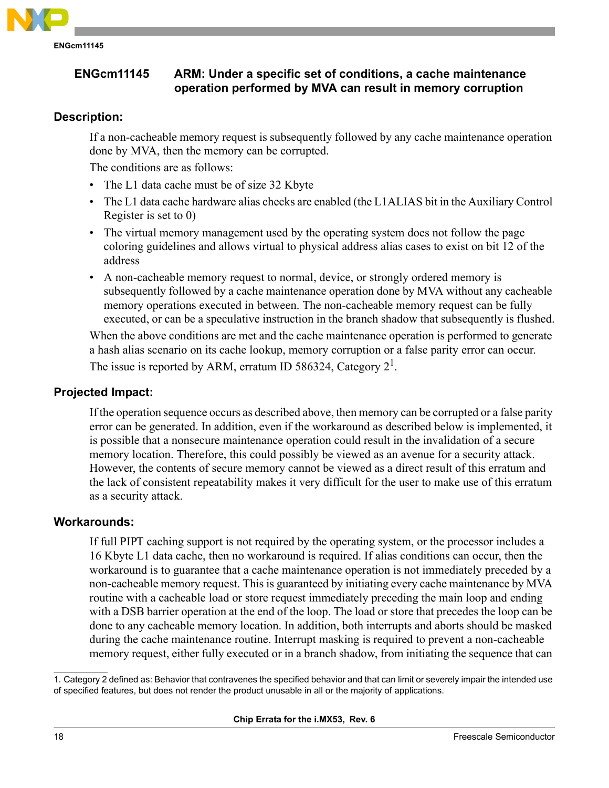

# <span id="page-17-0"></span>**ENGcm11145 ARM: Under a specific set of conditions, a cache maintenance operation performed by MVA can result in memory corruption**

# **Description:**

If a non-cacheable memory request is subsequently followed by any cache maintenance operation done by MVA, then the memory can be corrupted.

The conditions are as follows:

- The L1 data cache must be of size 32 Kbyte
- The L1 data cache hardware alias checks are enabled (the L1ALIAS bit in the Auxiliary Control Register is set to 0)
- The virtual memory management used by the operating system does not follow the page coloring guidelines and allows virtual to physical address alias cases to exist on bit 12 of the address
- A non-cacheable memory request to normal, device, or strongly ordered memory is subsequently followed by a cache maintenance operation done by MVA without any cacheable memory operations executed in between. The non-cacheable memory request can be fully executed, or can be a speculative instruction in the branch shadow that subsequently is flushed.

When the above conditions are met and the cache maintenance operation is performed to generate a hash alias scenario on its cache lookup, memory corruption or a false parity error can occur. The issue is reported by ARM, erratum ID 586324, Category  $2^1$ .

# **Projected Impact:**

If the operation sequence occurs as described above, then memory can be corrupted or a false parity error can be generated. In addition, even if the workaround as described below is implemented, it is possible that a nonsecure maintenance operation could result in the invalidation of a secure memory location. Therefore, this could possibly be viewed as an avenue for a security attack. However, the contents of secure memory cannot be viewed as a direct result of this erratum and the lack of consistent repeatability makes it very difficult for the user to make use of this erratum as a security attack.

# **Workarounds:**

If full PIPT caching support is not required by the operating system, or the processor includes a 16 Kbyte L1 data cache, then no workaround is required. If alias conditions can occur, then the workaround is to guarantee that a cache maintenance operation is not immediately preceded by a non-cacheable memory request. This is guaranteed by initiating every cache maintenance by MVA routine with a cacheable load or store request immediately preceding the main loop and ending with a DSB barrier operation at the end of the loop. The load or store that precedes the loop can be done to any cacheable memory location. In addition, both interrupts and aborts should be masked during the cache maintenance routine. Interrupt masking is required to prevent a non-cacheable memory request, either fully executed or in a branch shadow, from initiating the sequence that can

<sup>1.</sup> Category 2 defined as: Behavior that contravenes the specified behavior and that can limit or severely impair the intended use of specified features, but does not render the product unusable in all or the majority of applications.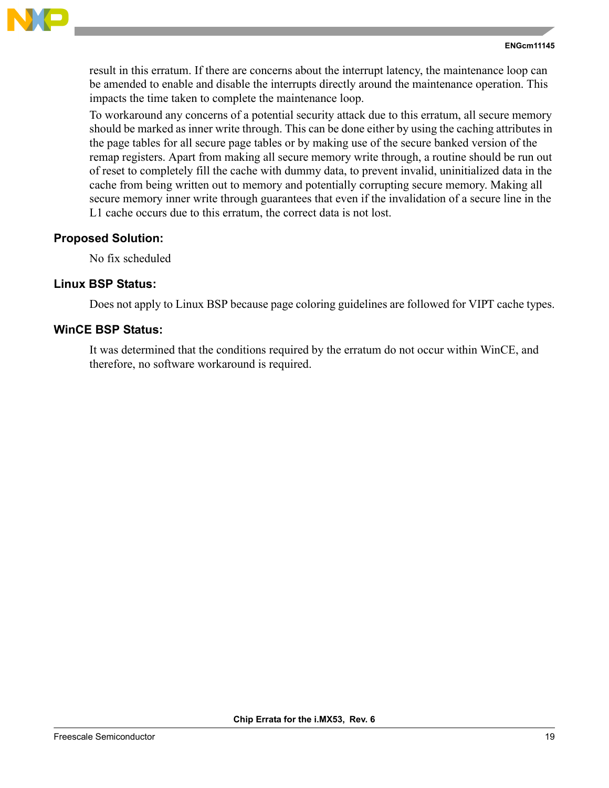

result in this erratum. If there are concerns about the interrupt latency, the maintenance loop can be amended to enable and disable the interrupts directly around the maintenance operation. This impacts the time taken to complete the maintenance loop.

To workaround any concerns of a potential security attack due to this erratum, all secure memory should be marked as inner write through. This can be done either by using the caching attributes in the page tables for all secure page tables or by making use of the secure banked version of the remap registers. Apart from making all secure memory write through, a routine should be run out of reset to completely fill the cache with dummy data, to prevent invalid, uninitialized data in the cache from being written out to memory and potentially corrupting secure memory. Making all secure memory inner write through guarantees that even if the invalidation of a secure line in the L1 cache occurs due to this erratum, the correct data is not lost.

# **Proposed Solution:**

No fix scheduled

# **Linux BSP Status:**

Does not apply to Linux BSP because page coloring guidelines are followed for VIPT cache types.

# **WinCE BSP Status:**

It was determined that the conditions required by the erratum do not occur within WinCE, and therefore, no software workaround is required.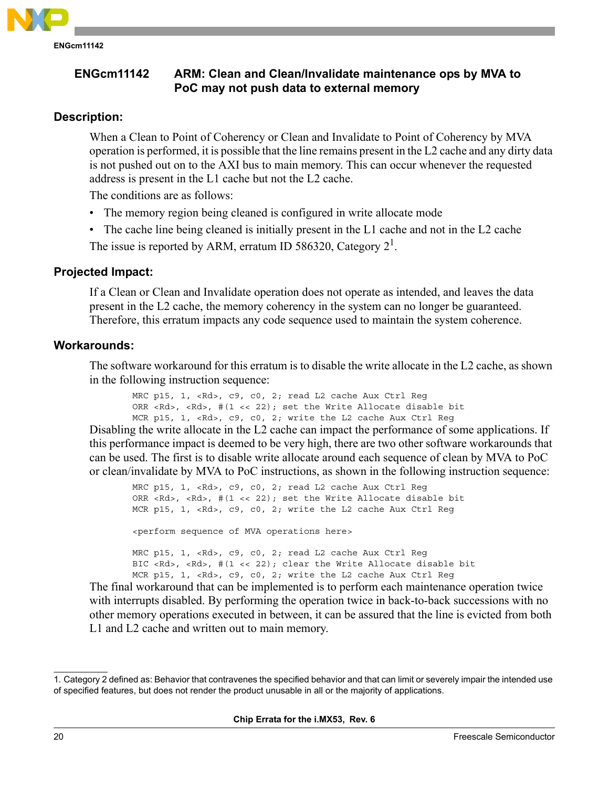

# <span id="page-19-0"></span>**ENGcm11142 ARM: Clean and Clean/Invalidate maintenance ops by MVA to PoC may not push data to external memory**

# **Description:**

When a Clean to Point of Coherency or Clean and Invalidate to Point of Coherency by MVA operation is performed, it is possible that the line remains present in the L2 cache and any dirty data is not pushed out on to the AXI bus to main memory. This can occur whenever the requested address is present in the L1 cache but not the L2 cache.

The conditions are as follows:

- The memory region being cleaned is configured in write allocate mode
- The cache line being cleaned is initially present in the L1 cache and not in the L2 cache The issue is reported by ARM, erratum ID 586320, Category  $2^1$ .

#### **Projected Impact:**

If a Clean or Clean and Invalidate operation does not operate as intended, and leaves the data present in the L2 cache, the memory coherency in the system can no longer be guaranteed. Therefore, this erratum impacts any code sequence used to maintain the system coherence.

#### **Workarounds:**

The software workaround for this erratum is to disable the write allocate in the L2 cache, as shown in the following instruction sequence:

MRC p15, 1, <Rd>, c9, c0, 2; read L2 cache Aux Ctrl Reg ORR <Rd>, <Rd>,  $\#(1 \leq 22)$ ; set the Write Allocate disable bit MCR p15, 1, <Rd>, c9, c0, 2; write the L2 cache Aux Ctrl Reg

Disabling the write allocate in the L2 cache can impact the performance of some applications. If this performance impact is deemed to be very high, there are two other software workarounds that can be used. The first is to disable write allocate around each sequence of clean by MVA to PoC or clean/invalidate by MVA to PoC instructions, as shown in the following instruction sequence:

MRC p15, 1, <Rd>, c9, c0, 2; read L2 cache Aux Ctrl Reg ORR <Rd>, <Rd>, #(1 << 22); set the Write Allocate disable bit MCR p15, 1, <Rd>, c9, c0, 2; write the L2 cache Aux Ctrl Reg <perform sequence of MVA operations here> MRC p15, 1, <Rd>, c9, c0, 2; read L2 cache Aux Ctrl Reg BIC <Rd>, <Rd>, #(1 << 22); clear the Write Allocate disable bit MCR p15, 1, <Rd>, c9, c0, 2; write the L2 cache Aux Ctrl Reg

The final workaround that can be implemented is to perform each maintenance operation twice with interrupts disabled. By performing the operation twice in back-to-back successions with no other memory operations executed in between, it can be assured that the line is evicted from both L1 and L2 cache and written out to main memory.

<sup>1.</sup> Category 2 defined as: Behavior that contravenes the specified behavior and that can limit or severely impair the intended use of specified features, but does not render the product unusable in all or the majority of applications.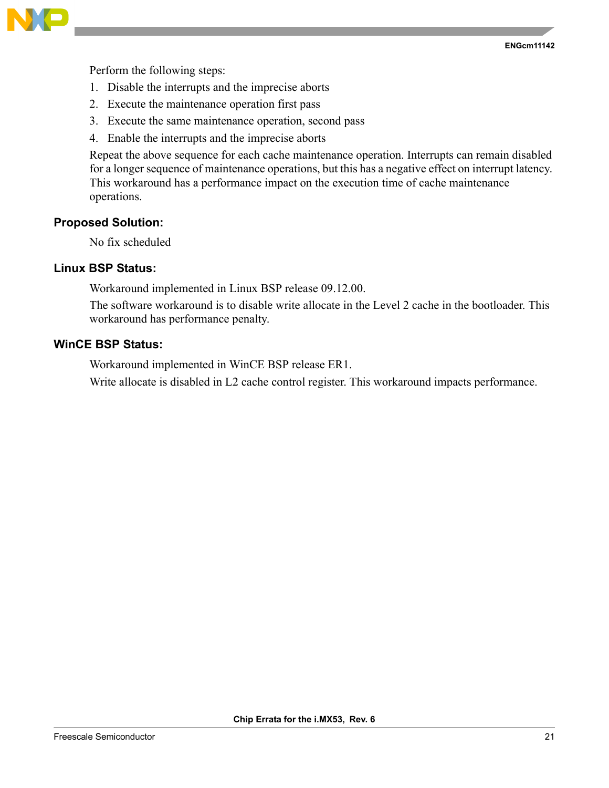

Perform the following steps:

- 1. Disable the interrupts and the imprecise aborts
- 2. Execute the maintenance operation first pass
- 3. Execute the same maintenance operation, second pass
- 4. Enable the interrupts and the imprecise aborts

Repeat the above sequence for each cache maintenance operation. Interrupts can remain disabled for a longer sequence of maintenance operations, but this has a negative effect on interrupt latency. This workaround has a performance impact on the execution time of cache maintenance operations.

#### **Proposed Solution:**

No fix scheduled

# **Linux BSP Status:**

Workaround implemented in Linux BSP release 09.12.00.

The software workaround is to disable write allocate in the Level 2 cache in the bootloader. This workaround has performance penalty.

# **WinCE BSP Status:**

Workaround implemented in WinCE BSP release ER1.

Write allocate is disabled in L2 cache control register. This workaround impacts performance.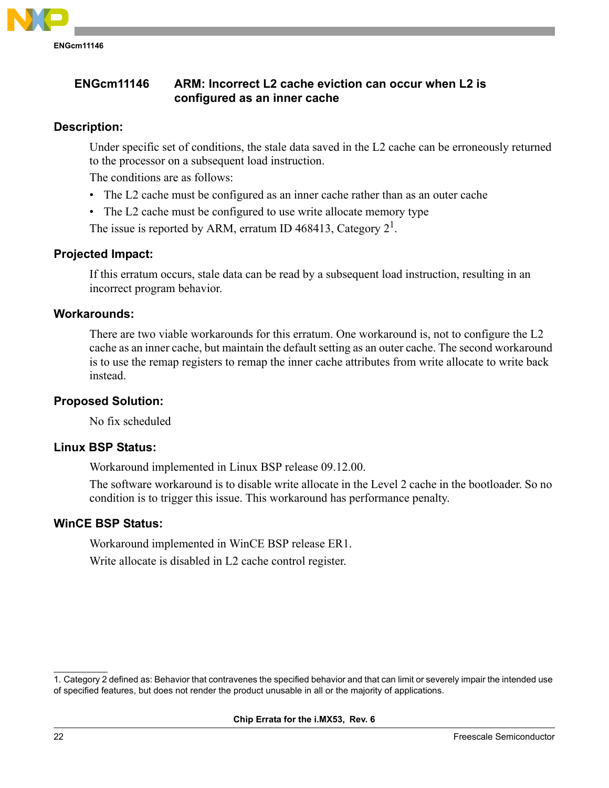

# <span id="page-21-0"></span>**Description:**

Under specific set of conditions, the stale data saved in the L2 cache can be erroneously returned to the processor on a subsequent load instruction.

The conditions are as follows:

- The L2 cache must be configured as an inner cache rather than as an outer cache
- The L2 cache must be configured to use write allocate memory type

The issue is reported by ARM, erratum ID 468413, Category  $2^1$ .

# **Projected Impact:**

If this erratum occurs, stale data can be read by a subsequent load instruction, resulting in an incorrect program behavior.

# **Workarounds:**

There are two viable workarounds for this erratum. One workaround is, not to configure the L2 cache as an inner cache, but maintain the default setting as an outer cache. The second workaround is to use the remap registers to remap the inner cache attributes from write allocate to write back instead.

# **Proposed Solution:**

No fix scheduled

# **Linux BSP Status:**

Workaround implemented in Linux BSP release 09.12.00.

The software workaround is to disable write allocate in the Level 2 cache in the bootloader. So no condition is to trigger this issue. This workaround has performance penalty.

# **WinCE BSP Status:**

Workaround implemented in WinCE BSP release ER1. Write allocate is disabled in L2 cache control register.

<sup>1.</sup> Category 2 defined as: Behavior that contravenes the specified behavior and that can limit or severely impair the intended use of specified features, but does not render the product unusable in all or the majority of applications.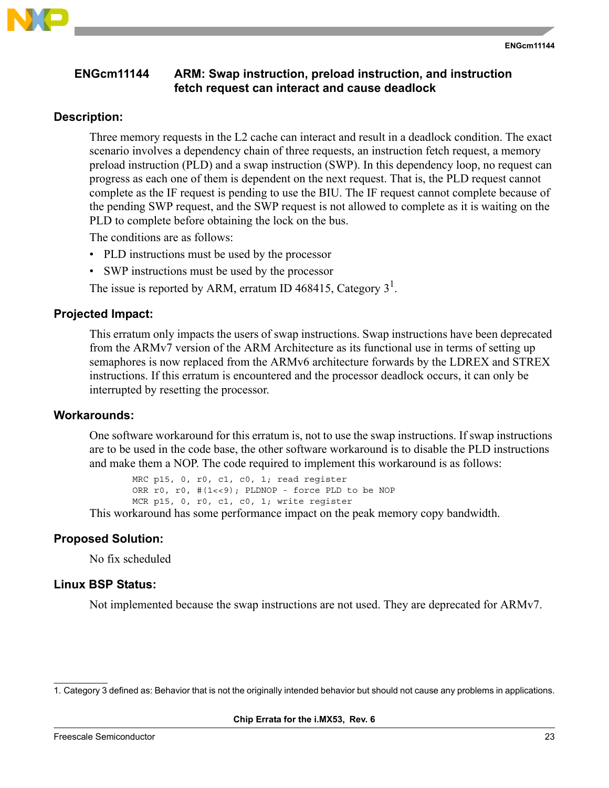

# <span id="page-22-0"></span>**ENGcm11144 ARM: Swap instruction, preload instruction, and instruction fetch request can interact and cause deadlock**

#### **Description:**

Three memory requests in the L2 cache can interact and result in a deadlock condition. The exact scenario involves a dependency chain of three requests, an instruction fetch request, a memory preload instruction (PLD) and a swap instruction (SWP). In this dependency loop, no request can progress as each one of them is dependent on the next request. That is, the PLD request cannot complete as the IF request is pending to use the BIU. The IF request cannot complete because of the pending SWP request, and the SWP request is not allowed to complete as it is waiting on the PLD to complete before obtaining the lock on the bus.

The conditions are as follows:

- PLD instructions must be used by the processor
- SWP instructions must be used by the processor

The issue is reported by ARM, erratum ID 468415, Category  $3<sup>1</sup>$ .

#### **Projected Impact:**

This erratum only impacts the users of swap instructions. Swap instructions have been deprecated from the ARMv7 version of the ARM Architecture as its functional use in terms of setting up semaphores is now replaced from the ARMv6 architecture forwards by the LDREX and STREX instructions. If this erratum is encountered and the processor deadlock occurs, it can only be interrupted by resetting the processor.

#### **Workarounds:**

One software workaround for this erratum is, not to use the swap instructions. If swap instructions are to be used in the code base, the other software workaround is to disable the PLD instructions and make them a NOP. The code required to implement this workaround is as follows:

MRC p15, 0, r0, c1, c0, 1; read register ORR r0, r0, #(1<<9); PLDNOP - force PLD to be NOP MCR p15, 0, r0, c1, c0, 1; write register

This workaround has some performance impact on the peak memory copy bandwidth.

#### **Proposed Solution:**

No fix scheduled

#### **Linux BSP Status:**

Not implemented because the swap instructions are not used. They are deprecated for ARMv7.

<sup>1.</sup> Category 3 defined as: Behavior that is not the originally intended behavior but should not cause any problems in applications.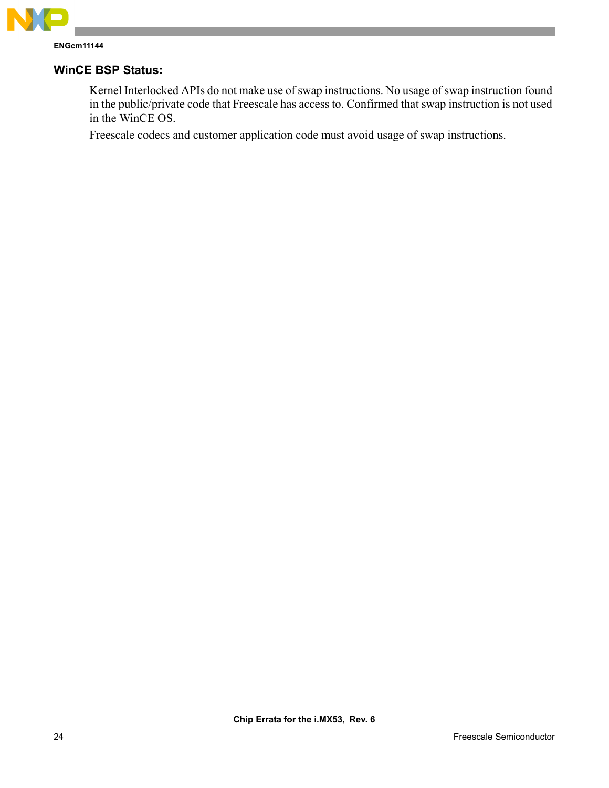

# **WinCE BSP Status:**

Kernel Interlocked APIs do not make use of swap instructions. No usage of swap instruction found in the public/private code that Freescale has access to. Confirmed that swap instruction is not used in the WinCE OS.

Freescale codecs and customer application code must avoid usage of swap instructions.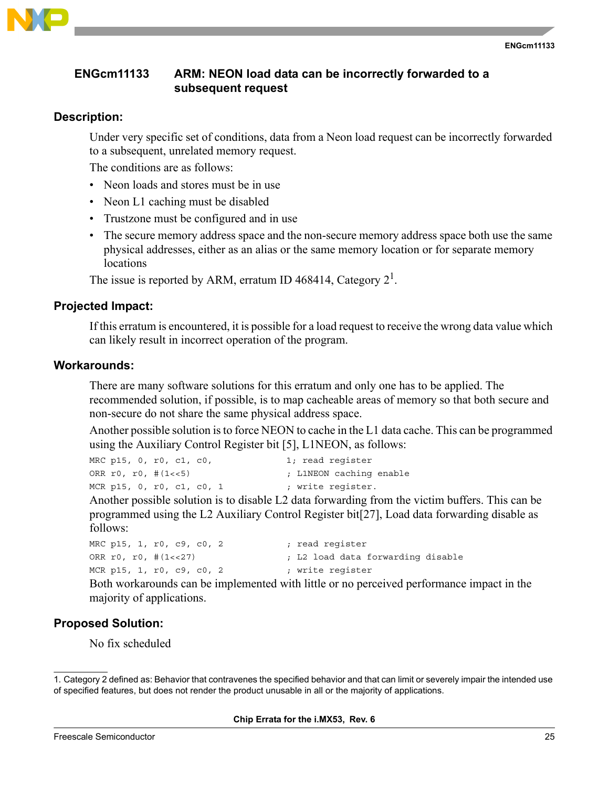

# <span id="page-24-0"></span>**ENGcm11133 ARM: NEON load data can be incorrectly forwarded to a subsequent request**

# **Description:**

Under very specific set of conditions, data from a Neon load request can be incorrectly forwarded to a subsequent, unrelated memory request.

The conditions are as follows:

- Neon loads and stores must be in use
- Neon L1 caching must be disabled
- Trustzone must be configured and in use
- The secure memory address space and the non-secure memory address space both use the same physical addresses, either as an alias or the same memory location or for separate memory locations

The issue is reported by ARM, erratum ID 468414, Category  $2<sup>1</sup>$ .

# **Projected Impact:**

If this erratum is encountered, it is possible for a load request to receive the wrong data value which can likely result in incorrect operation of the program.

# **Workarounds:**

There are many software solutions for this erratum and only one has to be applied. The recommended solution, if possible, is to map cacheable areas of memory so that both secure and non-secure do not share the same physical address space.

Another possible solution is to force NEON to cache in the L1 data cache. This can be programmed using the Auxiliary Control Register bit [5], L1NEON, as follows:

|                       | MRC p15, 0, r0, c1, c0,   | 1; read reqister        |
|-----------------------|---------------------------|-------------------------|
| ORR $r0, r0, #(1<<5)$ |                           | ; L1NEON caching enable |
|                       | MCR p15, 0, r0, c1, c0, 1 | ; write reqister.       |

Another possible solution is to disable L2 data forwarding from the victim buffers. This can be programmed using the L2 Auxiliary Control Register bit[27], Load data forwarding disable as follows:

| MRC p15, 1, r0, c9, c0, 2 | ; read register                   |
|---------------------------|-----------------------------------|
| ORR $r0, r0, #(1<<27)$    | ; L2 load data forwarding disable |
| MCR p15, 1, r0, c9, c0, 2 | ; write reqister                  |

Both workarounds can be implemented with little or no perceived performance impact in the majority of applications.

# **Proposed Solution:**

No fix scheduled

<sup>1.</sup> Category 2 defined as: Behavior that contravenes the specified behavior and that can limit or severely impair the intended use of specified features, but does not render the product unusable in all or the majority of applications.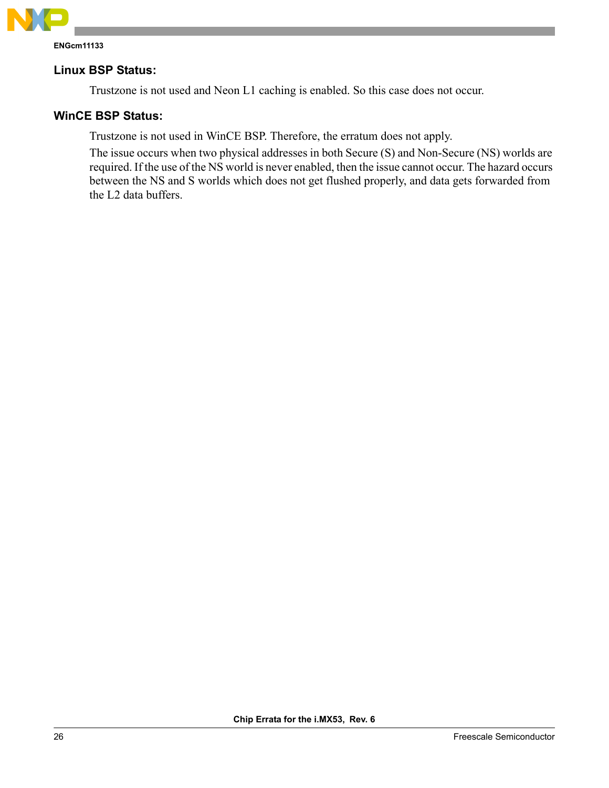

# **Linux BSP Status:**

Trustzone is not used and Neon L1 caching is enabled. So this case does not occur.

# **WinCE BSP Status:**

Trustzone is not used in WinCE BSP. Therefore, the erratum does not apply.

The issue occurs when two physical addresses in both Secure (S) and Non-Secure (NS) worlds are required. If the use of the NS world is never enabled, then the issue cannot occur. The hazard occurs between the NS and S worlds which does not get flushed properly, and data gets forwarded from the L2 data buffers.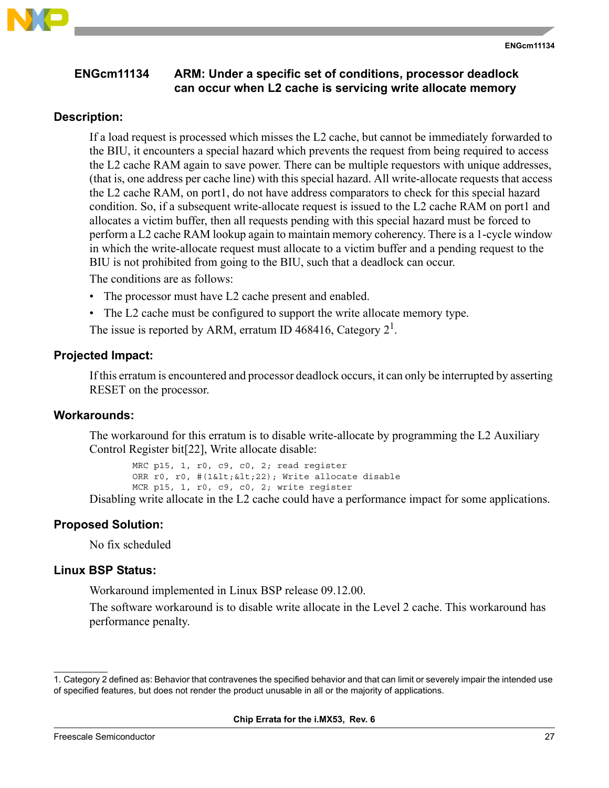

# <span id="page-26-0"></span>**Description:**

If a load request is processed which misses the L2 cache, but cannot be immediately forwarded to the BIU, it encounters a special hazard which prevents the request from being required to access the L2 cache RAM again to save power. There can be multiple requestors with unique addresses, (that is, one address per cache line) with this special hazard. All write-allocate requests that access the L2 cache RAM, on port1, do not have address comparators to check for this special hazard condition. So, if a subsequent write-allocate request is issued to the L2 cache RAM on port1 and allocates a victim buffer, then all requests pending with this special hazard must be forced to perform a L2 cache RAM lookup again to maintain memory coherency. There is a 1-cycle window in which the write-allocate request must allocate to a victim buffer and a pending request to the BIU is not prohibited from going to the BIU, such that a deadlock can occur.

The conditions are as follows:

- The processor must have L2 cache present and enabled.
- The L2 cache must be configured to support the write allocate memory type.

The issue is reported by ARM, erratum ID 468416, Category  $2^1$ .

# **Projected Impact:**

If this erratum is encountered and processor deadlock occurs, it can only be interrupted by asserting RESET on the processor.

# **Workarounds:**

The workaround for this erratum is to disable write-allocate by programming the L2 Auxiliary Control Register bit[22], Write allocate disable:

MRC p15, 1, r0, c9, c0, 2; read register ORR r0, r0, #(1< &lt; 22); Write allocate disable MCR p15, 1, r0, c9, c0, 2; write register

Disabling write allocate in the L2 cache could have a performance impact for some applications.

# **Proposed Solution:**

No fix scheduled

# **Linux BSP Status:**

Workaround implemented in Linux BSP release 09.12.00.

The software workaround is to disable write allocate in the Level 2 cache. This workaround has performance penalty.

**ENGcm11134**

<sup>1.</sup> Category 2 defined as: Behavior that contravenes the specified behavior and that can limit or severely impair the intended use of specified features, but does not render the product unusable in all or the majority of applications.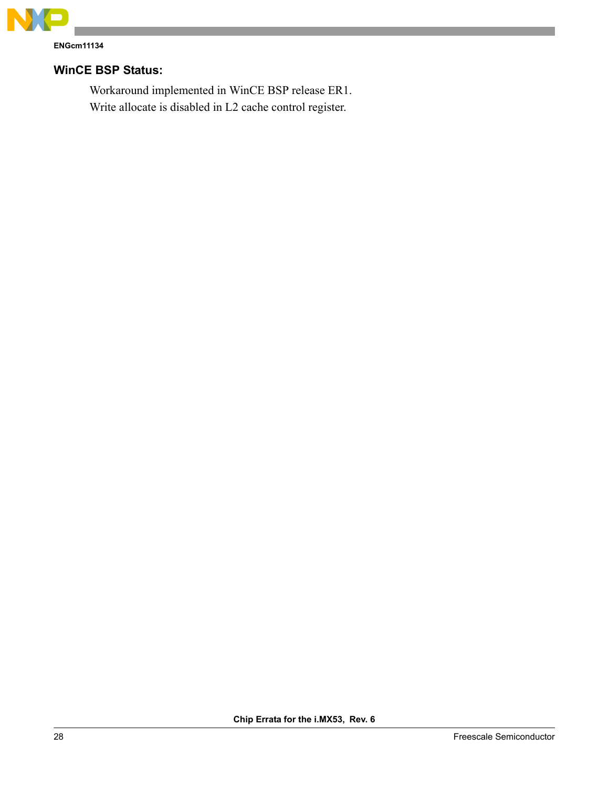

**ENGcm11134**

# **WinCE BSP Status:**

Workaround implemented in WinCE BSP release ER1. Write allocate is disabled in L2 cache control register.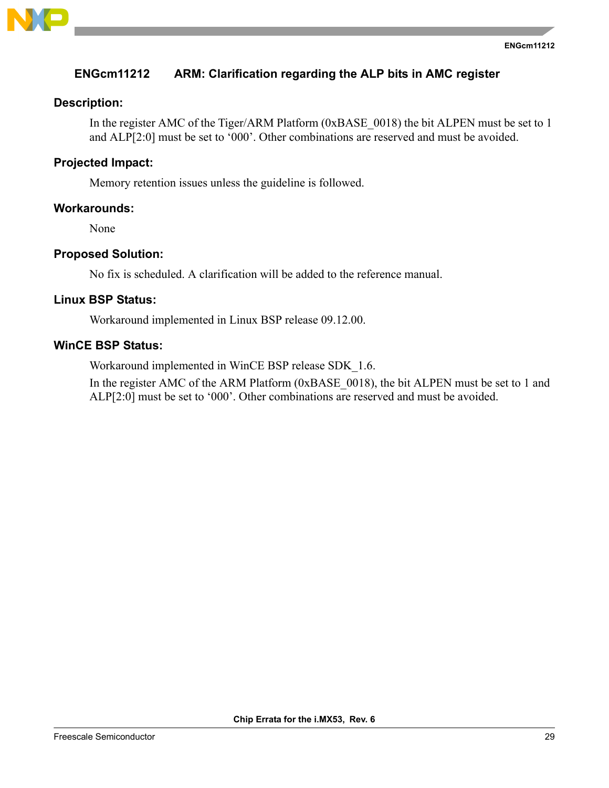

# <span id="page-28-0"></span>**ENGcm11212 ARM: Clarification regarding the ALP bits in AMC register**

# **Description:**

<span id="page-28-1"></span>In the register AMC of the Tiger/ARM Platform (0xBASE 0018) the bit ALPEN must be set to 1 and ALP[2:0] must be set to '000'. Other combinations are reserved and must be avoided.

#### **Projected Impact:**

Memory retention issues unless the guideline is followed.

#### **Workarounds:**

None

#### **Proposed Solution:**

No fix is scheduled. A clarification will be added to the reference manual.

# **Linux BSP Status:**

Workaround implemented in Linux BSP release 09.12.00.

# **WinCE BSP Status:**

Workaround implemented in WinCE BSP release SDK\_1.6.

In the register AMC of the ARM Platform (0xBASE\_0018), the bit ALPEN must be set to 1 and ALP[2:0] must be set to '000'. Other combinations are reserved and must be avoided.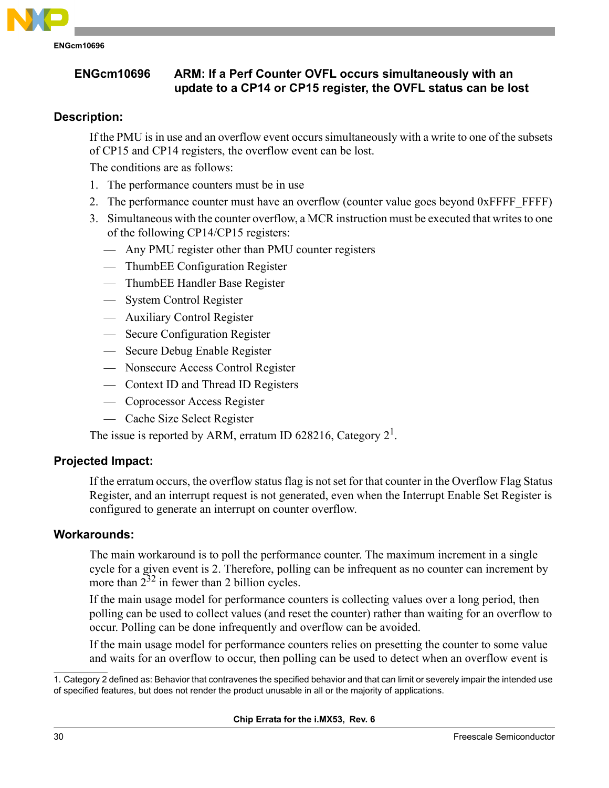

# <span id="page-29-1"></span><span id="page-29-0"></span>**ENGcm10696 ARM: If a Perf Counter OVFL occurs simultaneously with an update to a CP14 or CP15 register, the OVFL status can be lost**

# **Description:**

If the PMU is in use and an overflow event occurs simultaneously with a write to one of the subsets of CP15 and CP14 registers, the overflow event can be lost.

The conditions are as follows:

- 1. The performance counters must be in use
- 2. The performance counter must have an overflow (counter value goes beyond 0xFFFF FFFF)
- 3. Simultaneous with the counter overflow, a MCR instruction must be executed that writes to one of the following CP14/CP15 registers:
	- Any PMU register other than PMU counter registers
	- ThumbEE Configuration Register
	- ThumbEE Handler Base Register
	- System Control Register
	- Auxiliary Control Register
	- Secure Configuration Register
	- Secure Debug Enable Register
	- Nonsecure Access Control Register
	- Context ID and Thread ID Registers
	- Coprocessor Access Register
	- Cache Size Select Register

The issue is reported by ARM, erratum ID 628216, Category  $2^1$ .

# **Projected Impact:**

If the erratum occurs, the overflow status flag is not set for that counter in the Overflow Flag Status Register, and an interrupt request is not generated, even when the Interrupt Enable Set Register is configured to generate an interrupt on counter overflow.

# **Workarounds:**

The main workaround is to poll the performance counter. The maximum increment in a single cycle for a given event is 2. Therefore, polling can be infrequent as no counter can increment by more than  $2^{32}$  in fewer than 2 billion cycles.

If the main usage model for performance counters is collecting values over a long period, then polling can be used to collect values (and reset the counter) rather than waiting for an overflow to occur. Polling can be done infrequently and overflow can be avoided.

If the main usage model for performance counters relies on presetting the counter to some value and waits for an overflow to occur, then polling can be used to detect when an overflow event is

<sup>1.</sup> Category 2 defined as: Behavior that contravenes the specified behavior and that can limit or severely impair the intended use of specified features, but does not render the product unusable in all or the majority of applications.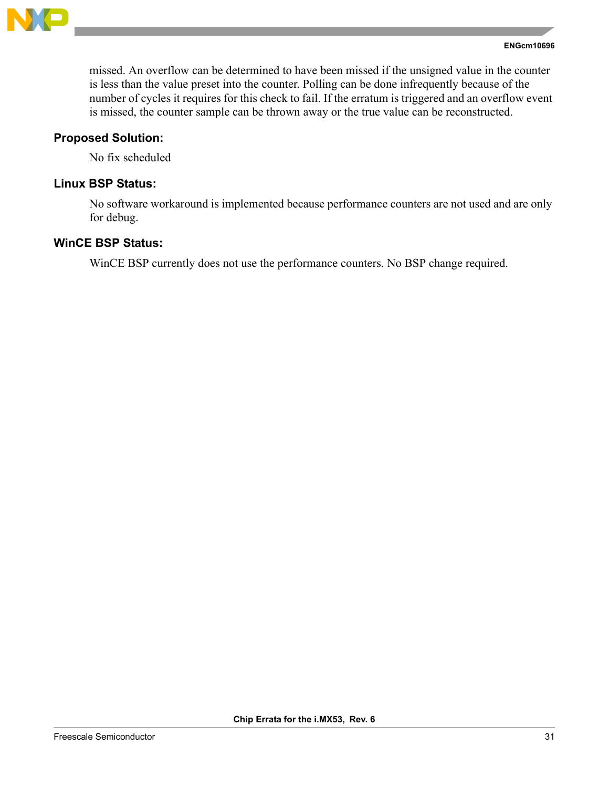

missed. An overflow can be determined to have been missed if the unsigned value in the counter is less than the value preset into the counter. Polling can be done infrequently because of the number of cycles it requires for this check to fail. If the erratum is triggered and an overflow event is missed, the counter sample can be thrown away or the true value can be reconstructed.

#### **Proposed Solution:**

No fix scheduled

# **Linux BSP Status:**

No software workaround is implemented because performance counters are not used and are only for debug.

# **WinCE BSP Status:**

WinCE BSP currently does not use the performance counters. No BSP change required.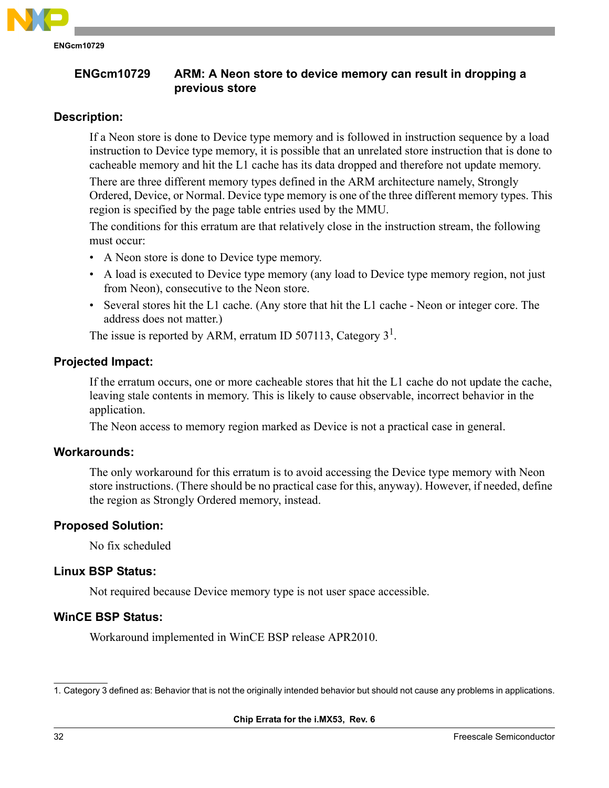

# <span id="page-31-1"></span><span id="page-31-0"></span>**ENGcm10729 ARM: A Neon store to device memory can result in dropping a previous store**

# **Description:**

If a Neon store is done to Device type memory and is followed in instruction sequence by a load instruction to Device type memory, it is possible that an unrelated store instruction that is done to cacheable memory and hit the L1 cache has its data dropped and therefore not update memory.

There are three different memory types defined in the ARM architecture namely, Strongly Ordered, Device, or Normal. Device type memory is one of the three different memory types. This region is specified by the page table entries used by the MMU.

The conditions for this erratum are that relatively close in the instruction stream, the following must occur:

- A Neon store is done to Device type memory.
- A load is executed to Device type memory (any load to Device type memory region, not just from Neon), consecutive to the Neon store.
- Several stores hit the L1 cache. (Any store that hit the L1 cache Neon or integer core. The address does not matter.)

The issue is reported by ARM, erratum ID 507113, Category  $3<sup>1</sup>$ .

# **Projected Impact:**

If the erratum occurs, one or more cacheable stores that hit the L1 cache do not update the cache, leaving stale contents in memory. This is likely to cause observable, incorrect behavior in the application.

The Neon access to memory region marked as Device is not a practical case in general.

# **Workarounds:**

The only workaround for this erratum is to avoid accessing the Device type memory with Neon store instructions. (There should be no practical case for this, anyway). However, if needed, define the region as Strongly Ordered memory, instead.

# **Proposed Solution:**

No fix scheduled

# **Linux BSP Status:**

Not required because Device memory type is not user space accessible.

# **WinCE BSP Status:**

Workaround implemented in WinCE BSP release APR2010.

<sup>1.</sup> Category 3 defined as: Behavior that is not the originally intended behavior but should not cause any problems in applications.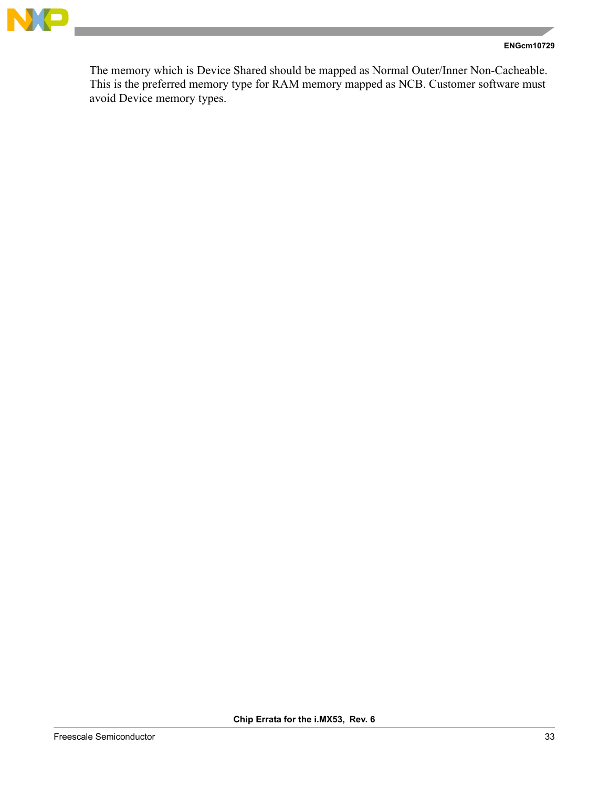

#### **ENGcm10729**

The memory which is Device Shared should be mapped as Normal Outer/Inner Non-Cacheable. This is the preferred memory type for RAM memory mapped as NCB. Customer software must avoid Device memory types.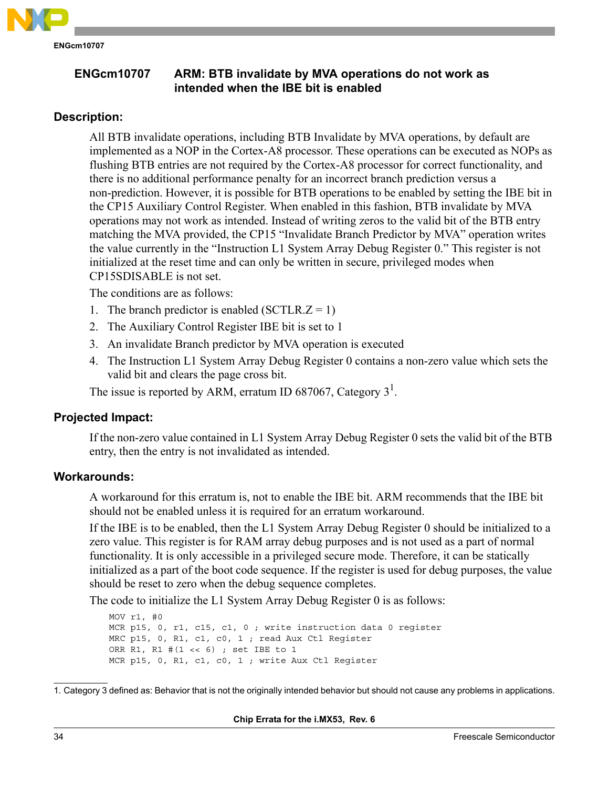

<span id="page-33-1"></span><span id="page-33-0"></span>**ENGcm10707 ARM: BTB invalidate by MVA operations do not work as intended when the IBE bit is enabled**

# **Description:**

All BTB invalidate operations, including BTB Invalidate by MVA operations, by default are implemented as a NOP in the Cortex-A8 processor. These operations can be executed as NOPs as flushing BTB entries are not required by the Cortex-A8 processor for correct functionality, and there is no additional performance penalty for an incorrect branch prediction versus a non-prediction. However, it is possible for BTB operations to be enabled by setting the IBE bit in the CP15 Auxiliary Control Register. When enabled in this fashion, BTB invalidate by MVA operations may not work as intended. Instead of writing zeros to the valid bit of the BTB entry matching the MVA provided, the CP15 "Invalidate Branch Predictor by MVA" operation writes the value currently in the "Instruction L1 System Array Debug Register 0." This register is not initialized at the reset time and can only be written in secure, privileged modes when CP15SDISABLE is not set.

The conditions are as follows:

- 1. The branch predictor is enabled  $(SCTLR, Z = 1)$
- 2. The Auxiliary Control Register IBE bit is set to 1
- 3. An invalidate Branch predictor by MVA operation is executed
- 4. The Instruction L1 System Array Debug Register 0 contains a non-zero value which sets the valid bit and clears the page cross bit.

The issue is reported by ARM, erratum ID 687067, Category  $3<sup>1</sup>$ .

# **Projected Impact:**

If the non-zero value contained in L1 System Array Debug Register 0 sets the valid bit of the BTB entry, then the entry is not invalidated as intended.

#### **Workarounds:**

A workaround for this erratum is, not to enable the IBE bit. ARM recommends that the IBE bit should not be enabled unless it is required for an erratum workaround.

If the IBE is to be enabled, then the L1 System Array Debug Register 0 should be initialized to a zero value. This register is for RAM array debug purposes and is not used as a part of normal functionality. It is only accessible in a privileged secure mode. Therefore, it can be statically initialized as a part of the boot code sequence. If the register is used for debug purposes, the value should be reset to zero when the debug sequence completes.

The code to initialize the L1 System Array Debug Register 0 is as follows:

MOV r1, #0 MCR p15, 0, r1, c15, c1, 0 ; write instruction data 0 register MRC p15, 0, R1, c1, c0, 1 ; read Aux Ctl Register ORR R1, R1 #(1 << 6) ; set IBE to 1 MCR p15, 0, R1, c1, c0, 1 ; write Aux Ctl Register

<sup>1.</sup> Category 3 defined as: Behavior that is not the originally intended behavior but should not cause any problems in applications.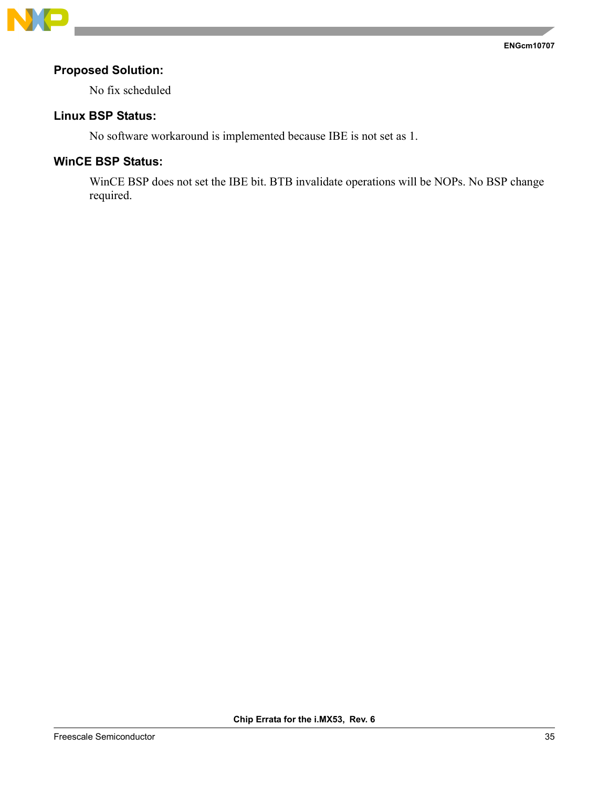

# **Proposed Solution:**

No fix scheduled

# **Linux BSP Status:**

No software workaround is implemented because IBE is not set as 1.

# **WinCE BSP Status:**

WinCE BSP does not set the IBE bit. BTB invalidate operations will be NOPs. No BSP change required.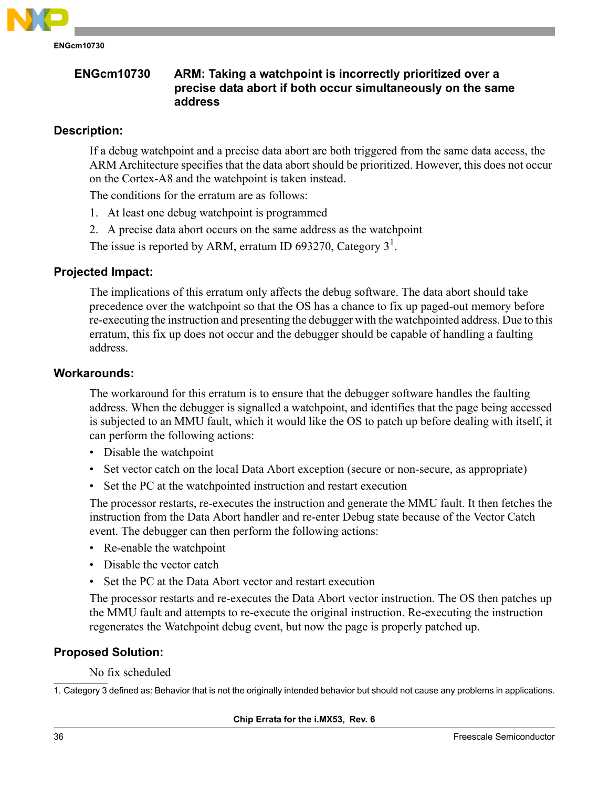

# <span id="page-35-1"></span><span id="page-35-0"></span>**ENGcm10730 ARM: Taking a watchpoint is incorrectly prioritized over a precise data abort if both occur simultaneously on the same address**

# **Description:**

If a debug watchpoint and a precise data abort are both triggered from the same data access, the ARM Architecture specifies that the data abort should be prioritized. However, this does not occur on the Cortex-A8 and the watchpoint is taken instead.

The conditions for the erratum are as follows:

- 1. At least one debug watchpoint is programmed
- 2. A precise data abort occurs on the same address as the watchpoint

The issue is reported by ARM, erratum ID 693270, Category  $3<sup>1</sup>$ .

# **Projected Impact:**

The implications of this erratum only affects the debug software. The data abort should take precedence over the watchpoint so that the OS has a chance to fix up paged-out memory before re-executing the instruction and presenting the debugger with the watchpointed address. Due to this erratum, this fix up does not occur and the debugger should be capable of handling a faulting address.

#### **Workarounds:**

The workaround for this erratum is to ensure that the debugger software handles the faulting address. When the debugger is signalled a watchpoint, and identifies that the page being accessed is subjected to an MMU fault, which it would like the OS to patch up before dealing with itself, it can perform the following actions:

- Disable the watchpoint
- Set vector catch on the local Data Abort exception (secure or non-secure, as appropriate)
- Set the PC at the watchpointed instruction and restart execution

The processor restarts, re-executes the instruction and generate the MMU fault. It then fetches the instruction from the Data Abort handler and re-enter Debug state because of the Vector Catch event. The debugger can then perform the following actions:

- Re-enable the watchpoint
- Disable the vector catch
- Set the PC at the Data Abort vector and restart execution

The processor restarts and re-executes the Data Abort vector instruction. The OS then patches up the MMU fault and attempts to re-execute the original instruction. Re-executing the instruction regenerates the Watchpoint debug event, but now the page is properly patched up.

# **Proposed Solution:**

No fix scheduled

1. Category 3 defined as: Behavior that is not the originally intended behavior but should not cause any problems in applications.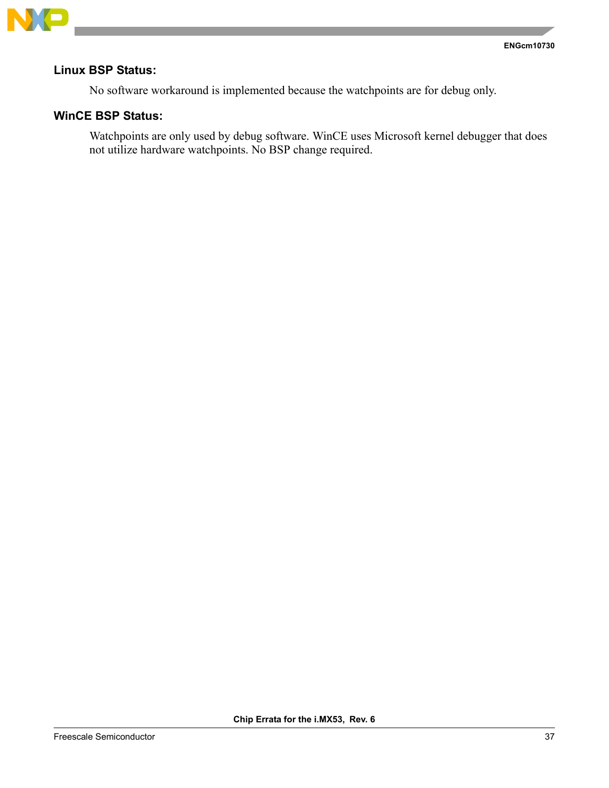

# **Linux BSP Status:**

No software workaround is implemented because the watchpoints are for debug only.

# **WinCE BSP Status:**

Watchpoints are only used by debug software. WinCE uses Microsoft kernel debugger that does not utilize hardware watchpoints. No BSP change required.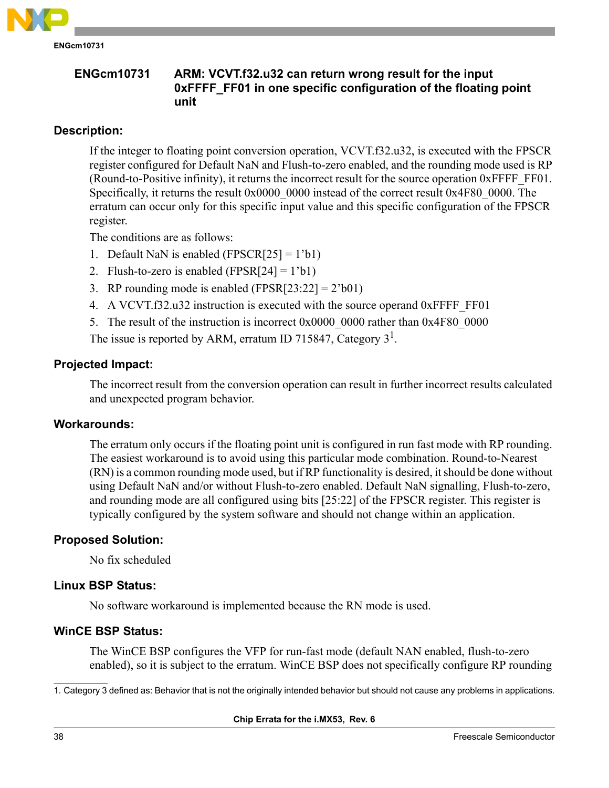

**ENGcm10731 ARM: VCVT.f32.u32 can return wrong result for the input 0xFFFF\_FF01 in one specific configuration of the floating point unit**

# **Description:**

If the integer to floating point conversion operation, VCVT.f32.u32, is executed with the FPSCR register configured for Default NaN and Flush-to-zero enabled, and the rounding mode used is RP (Round-to-Positive infinity), it returns the incorrect result for the source operation  $0x$ FFFF FF01. Specifically, it returns the result 0x0000 0000 instead of the correct result 0x4F80 0000. The erratum can occur only for this specific input value and this specific configuration of the FPSCR register.

The conditions are as follows:

- 1. Default NaN is enabled (FPSCR[25] =  $1$ 'b1)
- 2. Flush-to-zero is enabled (FPSR[24] =  $1$ 'b1)
- 3. RP rounding mode is enabled  $(FPSR[23:22] = 2^b 0 1)$
- 4. A VCVT.f32.u32 instruction is executed with the source operand 0xFFFF\_FF01
- 5. The result of the instruction is incorrect 0x0000 0000 rather than 0x4F80 0000

The issue is reported by ARM, erratum ID 715847, Category  $3<sup>1</sup>$ .

## **Projected Impact:**

The incorrect result from the conversion operation can result in further incorrect results calculated and unexpected program behavior.

#### **Workarounds:**

The erratum only occurs if the floating point unit is configured in run fast mode with RP rounding. The easiest workaround is to avoid using this particular mode combination. Round-to-Nearest (RN) is a common rounding mode used, but if RP functionality is desired, it should be done without using Default NaN and/or without Flush-to-zero enabled. Default NaN signalling, Flush-to-zero, and rounding mode are all configured using bits [25:22] of the FPSCR register. This register is typically configured by the system software and should not change within an application.

## **Proposed Solution:**

No fix scheduled

## **Linux BSP Status:**

No software workaround is implemented because the RN mode is used.

# **WinCE BSP Status:**

The WinCE BSP configures the VFP for run-fast mode (default NAN enabled, flush-to-zero enabled), so it is subject to the erratum. WinCE BSP does not specifically configure RP rounding

<sup>1.</sup> Category 3 defined as: Behavior that is not the originally intended behavior but should not cause any problems in applications.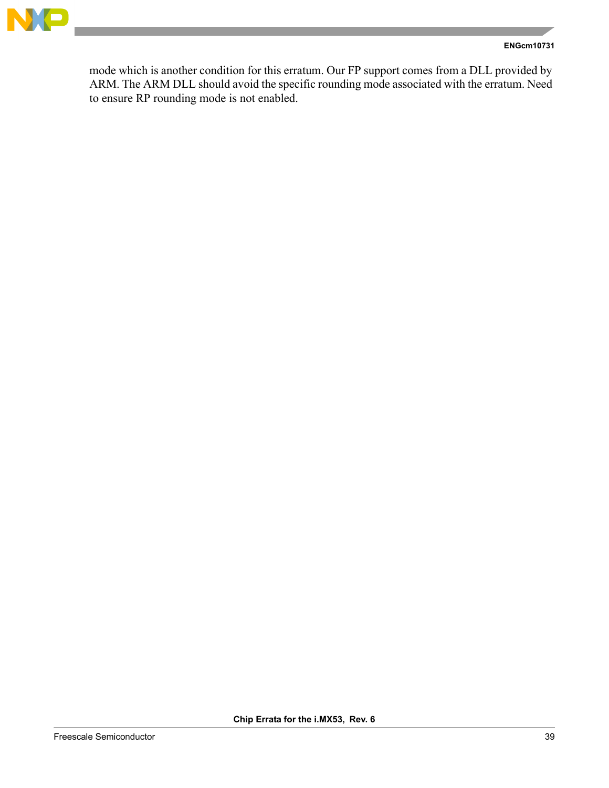

#### **ENGcm10731**

mode which is another condition for this erratum. Our FP support comes from a DLL provided by ARM. The ARM DLL should avoid the specific rounding mode associated with the erratum. Need to ensure RP rounding mode is not enabled.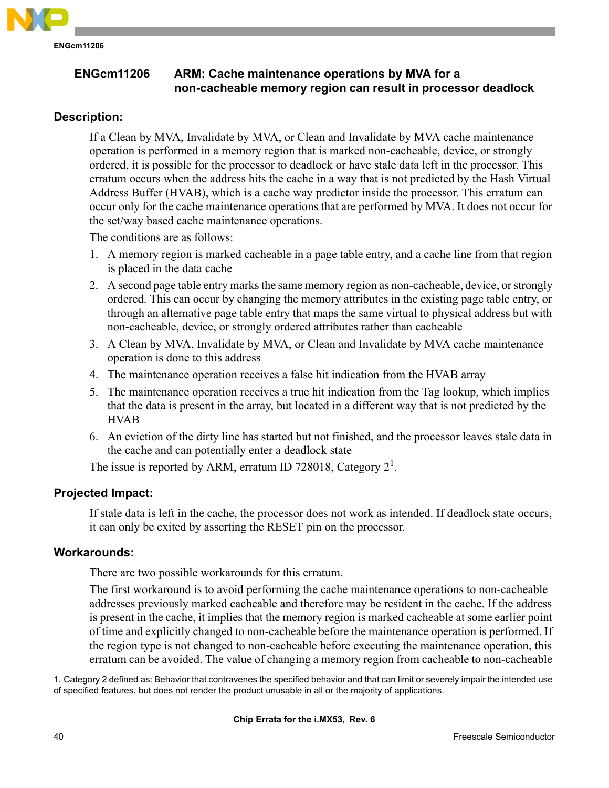

**ENGcm11206 ARM: Cache maintenance operations by MVA for a non-cacheable memory region can result in processor deadlock**

# **Description:**

If a Clean by MVA, Invalidate by MVA, or Clean and Invalidate by MVA cache maintenance operation is performed in a memory region that is marked non-cacheable, device, or strongly ordered, it is possible for the processor to deadlock or have stale data left in the processor. This erratum occurs when the address hits the cache in a way that is not predicted by the Hash Virtual Address Buffer (HVAB), which is a cache way predictor inside the processor. This erratum can occur only for the cache maintenance operations that are performed by MVA. It does not occur for the set/way based cache maintenance operations.

The conditions are as follows:

- 1. A memory region is marked cacheable in a page table entry, and a cache line from that region is placed in the data cache
- 2. A second page table entry marks the same memory region as non-cacheable, device, or strongly ordered. This can occur by changing the memory attributes in the existing page table entry, or through an alternative page table entry that maps the same virtual to physical address but with non-cacheable, device, or strongly ordered attributes rather than cacheable
- 3. A Clean by MVA, Invalidate by MVA, or Clean and Invalidate by MVA cache maintenance operation is done to this address
- 4. The maintenance operation receives a false hit indication from the HVAB array
- 5. The maintenance operation receives a true hit indication from the Tag lookup, which implies that the data is present in the array, but located in a different way that is not predicted by the **HVAB**
- 6. An eviction of the dirty line has started but not finished, and the processor leaves stale data in the cache and can potentially enter a deadlock state

The issue is reported by ARM, erratum ID 728018, Category  $2^1$ .

# **Projected Impact:**

If stale data is left in the cache, the processor does not work as intended. If deadlock state occurs, it can only be exited by asserting the RESET pin on the processor.

# **Workarounds:**

There are two possible workarounds for this erratum.

The first workaround is to avoid performing the cache maintenance operations to non-cacheable addresses previously marked cacheable and therefore may be resident in the cache. If the address is present in the cache, it implies that the memory region is marked cacheable at some earlier point of time and explicitly changed to non-cacheable before the maintenance operation is performed. If the region type is not changed to non-cacheable before executing the maintenance operation, this erratum can be avoided. The value of changing a memory region from cacheable to non-cacheable

1. Category 2 defined as: Behavior that contravenes the specified behavior and that can limit or severely impair the intended use of specified features, but does not render the product unusable in all or the majority of applications.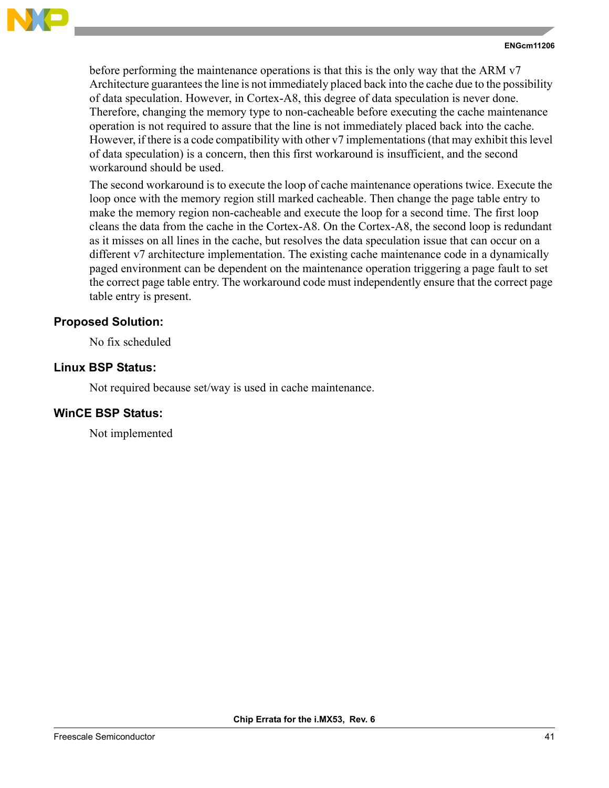

before performing the maintenance operations is that this is the only way that the ARM v7 Architecture guarantees the line is not immediately placed back into the cache due to the possibility of data speculation. However, in Cortex-A8, this degree of data speculation is never done. Therefore, changing the memory type to non-cacheable before executing the cache maintenance operation is not required to assure that the line is not immediately placed back into the cache. However, if there is a code compatibility with other v7 implementations (that may exhibit this level of data speculation) is a concern, then this first workaround is insufficient, and the second workaround should be used.

The second workaround is to execute the loop of cache maintenance operations twice. Execute the loop once with the memory region still marked cacheable. Then change the page table entry to make the memory region non-cacheable and execute the loop for a second time. The first loop cleans the data from the cache in the Cortex-A8. On the Cortex-A8, the second loop is redundant as it misses on all lines in the cache, but resolves the data speculation issue that can occur on a different v7 architecture implementation. The existing cache maintenance code in a dynamically paged environment can be dependent on the maintenance operation triggering a page fault to set the correct page table entry. The workaround code must independently ensure that the correct page table entry is present.

# **Proposed Solution:**

No fix scheduled

# **Linux BSP Status:**

Not required because set/way is used in cache maintenance.

## **WinCE BSP Status:**

Not implemented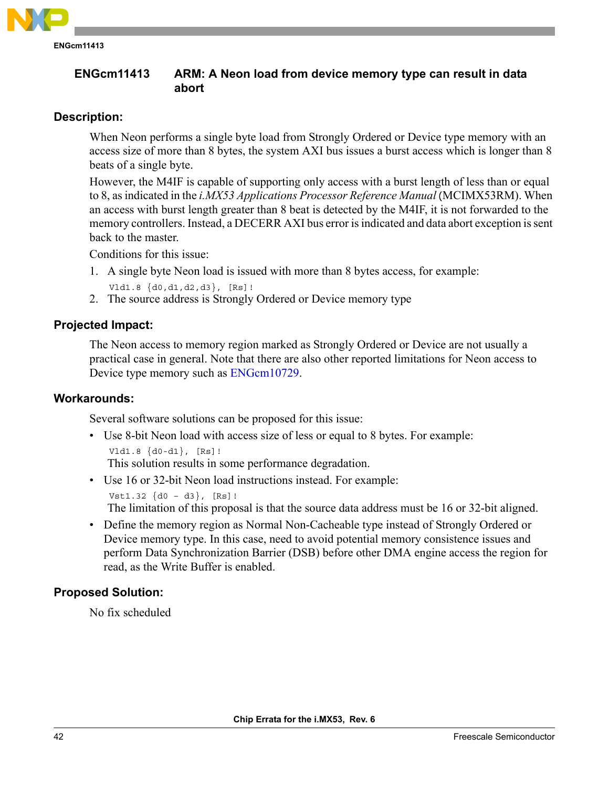

# **ENGcm11413 ARM: A Neon load from device memory type can result in data abort**

# **Description:**

When Neon performs a single byte load from Strongly Ordered or Device type memory with an access size of more than 8 bytes, the system AXI bus issues a burst access which is longer than 8 beats of a single byte.

However, the M4IF is capable of supporting only access with a burst length of less than or equal to 8, as indicated in the *i.MX53 Applications Processor Reference Manual* (MCIMX53RM). When an access with burst length greater than 8 beat is detected by the M4IF, it is not forwarded to the memory controllers. Instead, a DECERR AXI bus error is indicated and data abort exception is sent back to the master.

Conditions for this issue:

- 1. A single byte Neon load is issued with more than 8 bytes access, for example: Vld1.8 {d0,d1,d2,d3}, [Rs]!
- 2. The source address is Strongly Ordered or Device memory type

# **Projected Impact:**

The Neon access to memory region marked as Strongly Ordered or Device are not usually a practical case in general. Note that there are also other reported limitations for Neon access to Device type memory such as [ENGcm10729.](#page-31-0)

## **Workarounds:**

Several software solutions can be proposed for this issue:

- Use 8-bit Neon load with access size of less or equal to 8 bytes. For example: Vld1.8 {d0-d1}, [Rs]! This solution results in some performance degradation.
- Use 16 or 32-bit Neon load instructions instead. For example:

```
Vst1.32 \{d0 - d3\}, [Rs]:
```
The limitation of this proposal is that the source data address must be 16 or 32-bit aligned.

• Define the memory region as Normal Non-Cacheable type instead of Strongly Ordered or Device memory type. In this case, need to avoid potential memory consistence issues and perform Data Synchronization Barrier (DSB) before other DMA engine access the region for read, as the Write Buffer is enabled.

## **Proposed Solution:**

No fix scheduled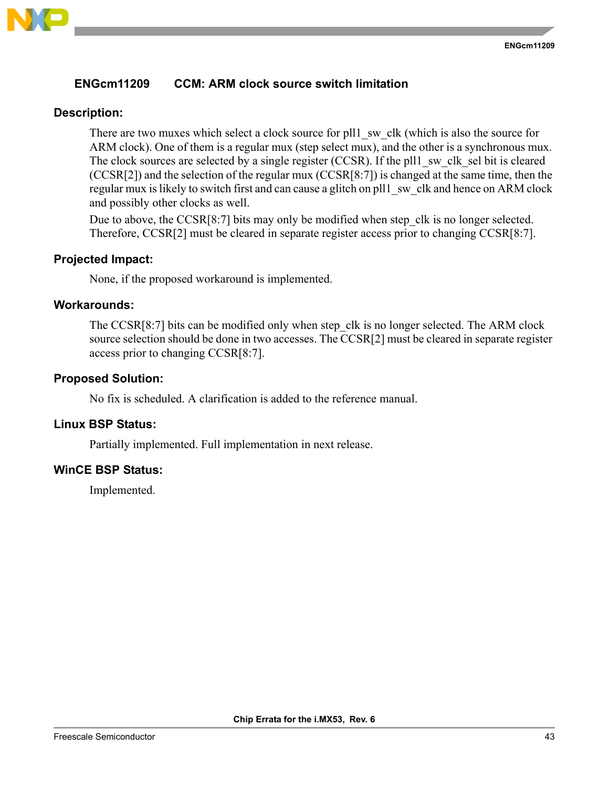

# **ENGcm11209 CCM: ARM clock source switch limitation**

# **Description:**

There are two muxes which select a clock source for pll1 sw clk (which is also the source for ARM clock). One of them is a regular mux (step select mux), and the other is a synchronous mux. The clock sources are selected by a single register (CCSR). If the pll1 sw clk sel bit is cleared (CCSR[2]) and the selection of the regular mux (CCSR[8:7]) is changed at the same time, then the regular mux is likely to switch first and can cause a glitch on pll1 sw clk and hence on ARM clock and possibly other clocks as well.

Due to above, the CCSR[8:7] bits may only be modified when step clk is no longer selected. Therefore, CCSR[2] must be cleared in separate register access prior to changing CCSR[8:7].

# **Projected Impact:**

None, if the proposed workaround is implemented.

## **Workarounds:**

The CCSR[8:7] bits can be modified only when step clk is no longer selected. The ARM clock source selection should be done in two accesses. The CCSR[2] must be cleared in separate register access prior to changing CCSR[8:7].

## **Proposed Solution:**

No fix is scheduled. A clarification is added to the reference manual.

## **Linux BSP Status:**

Partially implemented. Full implementation in next release.

# **WinCE BSP Status:**

Implemented.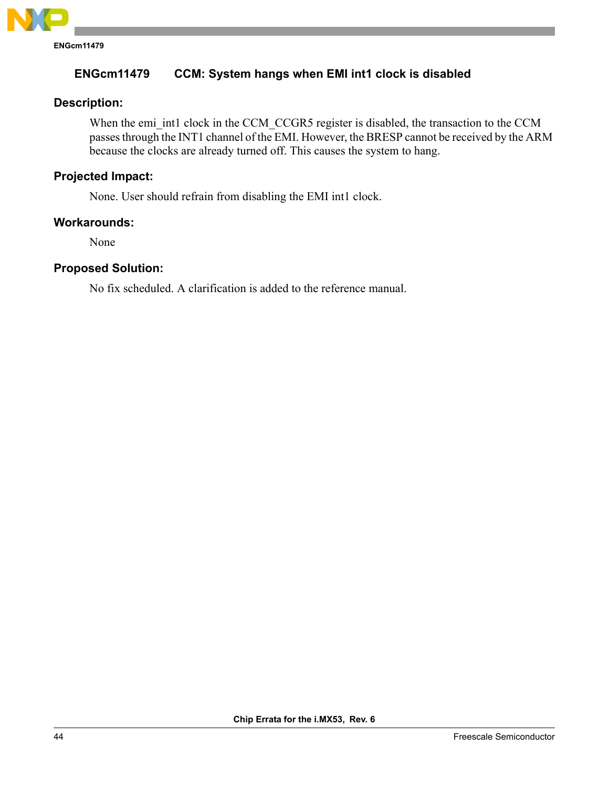

# **ENGcm11479 CCM: System hangs when EMI int1 clock is disabled**

# **Description:**

When the emi\_int1 clock in the CCM\_CCGR5 register is disabled, the transaction to the CCM passes through the INT1 channel of the EMI. However, the BRESP cannot be received by the ARM because the clocks are already turned off. This causes the system to hang.

# **Projected Impact:**

None. User should refrain from disabling the EMI int1 clock.

# **Workarounds:**

None

# **Proposed Solution:**

No fix scheduled. A clarification is added to the reference manual.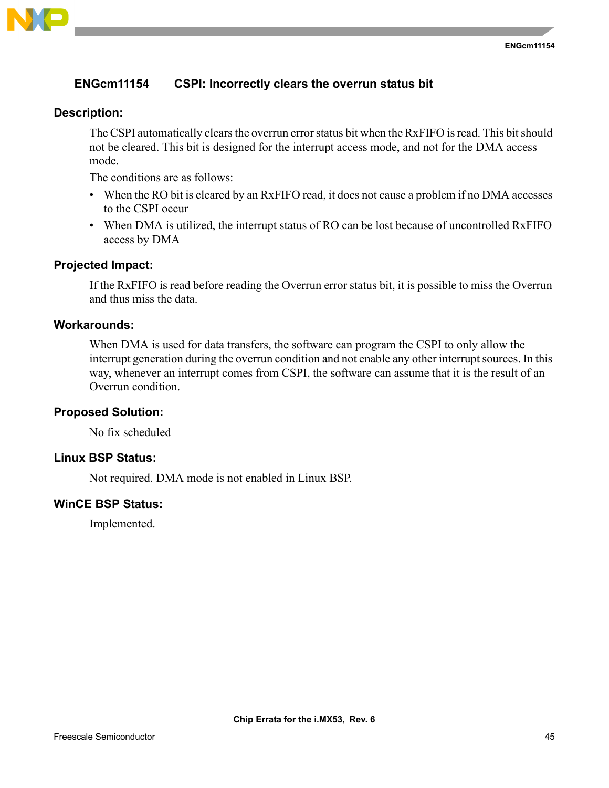

# **ENGcm11154 CSPI: Incorrectly clears the overrun status bit**

## **Description:**

The CSPI automatically clears the overrun error status bit when the RxFIFO is read. This bit should not be cleared. This bit is designed for the interrupt access mode, and not for the DMA access mode.

The conditions are as follows:

- When the RO bit is cleared by an RxFIFO read, it does not cause a problem if no DMA accesses to the CSPI occur
- When DMA is utilized, the interrupt status of RO can be lost because of uncontrolled RxFIFO access by DMA

## **Projected Impact:**

If the RxFIFO is read before reading the Overrun error status bit, it is possible to miss the Overrun and thus miss the data.

## **Workarounds:**

When DMA is used for data transfers, the software can program the CSPI to only allow the interrupt generation during the overrun condition and not enable any other interrupt sources. In this way, whenever an interrupt comes from CSPI, the software can assume that it is the result of an Overrun condition.

## **Proposed Solution:**

No fix scheduled

#### **Linux BSP Status:**

Not required. DMA mode is not enabled in Linux BSP.

# **WinCE BSP Status:**

Implemented.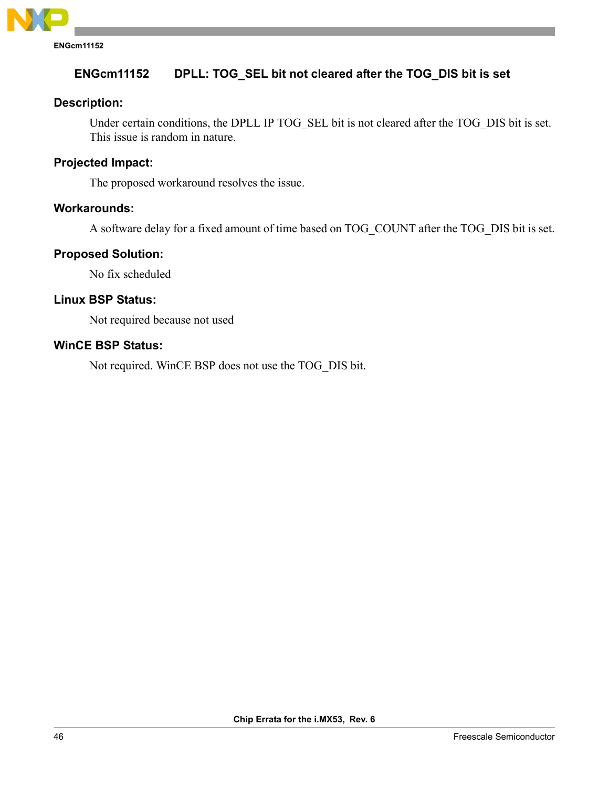

# **ENGcm11152 DPLL: TOG\_SEL bit not cleared after the TOG\_DIS bit is set**

## **Description:**

Under certain conditions, the DPLL IP TOG\_SEL bit is not cleared after the TOG\_DIS bit is set. This issue is random in nature.

#### **Projected Impact:**

The proposed workaround resolves the issue.

## **Workarounds:**

A software delay for a fixed amount of time based on TOG\_COUNT after the TOG\_DIS bit is set.

#### **Proposed Solution:**

No fix scheduled

# **Linux BSP Status:**

Not required because not used

## **WinCE BSP Status:**

Not required. WinCE BSP does not use the TOG\_DIS bit.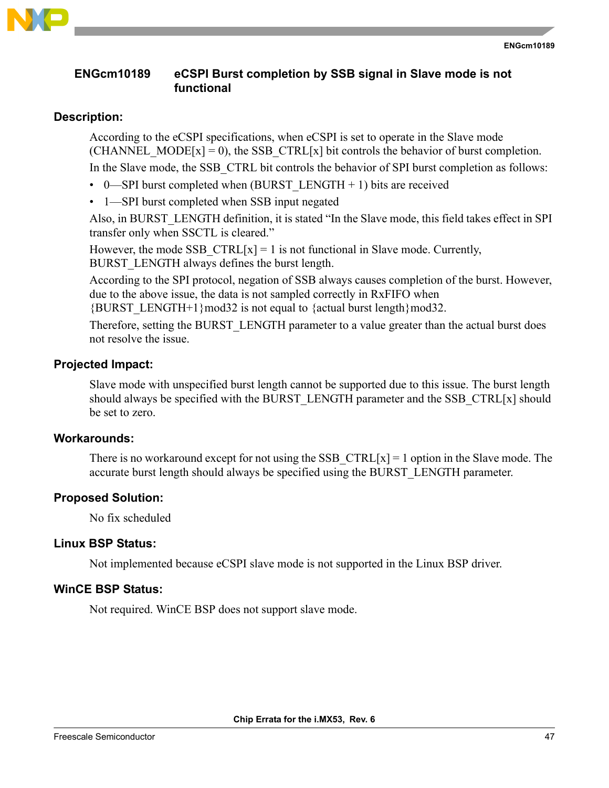

# **ENGcm10189 eCSPI Burst completion by SSB signal in Slave mode is not functional**

# **Description:**

According to the eCSPI specifications, when eCSPI is set to operate in the Slave mode (CHANNEL MODE[x] = 0), the SSB CTRL[x] bit controls the behavior of burst completion. In the Slave mode, the SSB\_CTRL bit controls the behavior of SPI burst completion as follows:

- 0—SPI burst completed when (BURST\_LENGTH + 1) bits are received
- 1—SPI burst completed when SSB input negated

Also, in BURST\_LENGTH definition, it is stated "In the Slave mode, this field takes effect in SPI transfer only when SSCTL is cleared."

However, the mode SSB  $CTRL[x] = 1$  is not functional in Slave mode. Currently, BURST\_LENGTH always defines the burst length.

According to the SPI protocol, negation of SSB always causes completion of the burst. However, due to the above issue, the data is not sampled correctly in RxFIFO when

 ${BURST LENGTH+1}mod32$  is not equal to  ${actual burst length}mod32$ .

Therefore, setting the BURST\_LENGTH parameter to a value greater than the actual burst does not resolve the issue.

# **Projected Impact:**

Slave mode with unspecified burst length cannot be supported due to this issue. The burst length should always be specified with the BURST\_LENGTH parameter and the SSB\_CTRL[x] should be set to zero.

# **Workarounds:**

There is no workaround except for not using the SSB  $\text{CTRL}[x] = 1$  option in the Slave mode. The accurate burst length should always be specified using the BURST\_LENGTH parameter.

# **Proposed Solution:**

No fix scheduled

# **Linux BSP Status:**

Not implemented because eCSPI slave mode is not supported in the Linux BSP driver.

# **WinCE BSP Status:**

Not required. WinCE BSP does not support slave mode.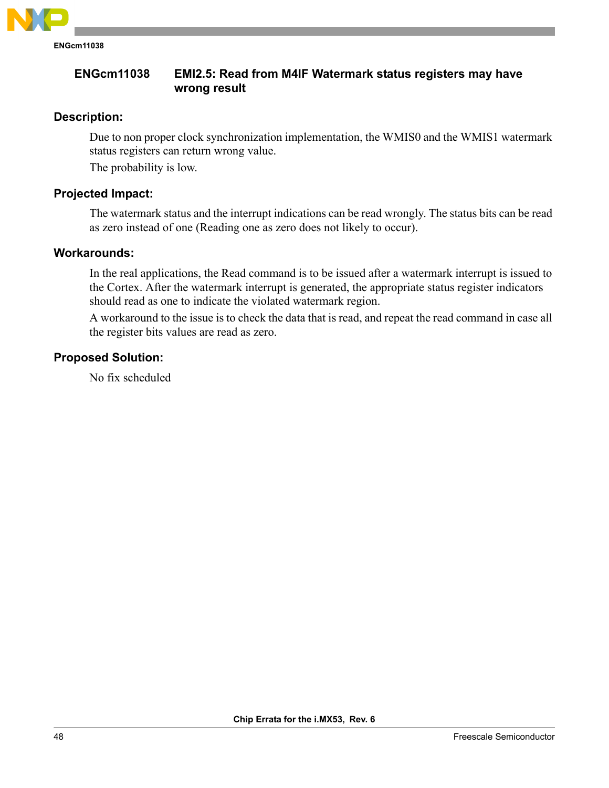

**ENGcm11038 EMI2.5: Read from M4IF Watermark status registers may have wrong result**

# **Description:**

Due to non proper clock synchronization implementation, the WMIS0 and the WMIS1 watermark status registers can return wrong value.

The probability is low.

# **Projected Impact:**

The watermark status and the interrupt indications can be read wrongly. The status bits can be read as zero instead of one (Reading one as zero does not likely to occur).

## **Workarounds:**

In the real applications, the Read command is to be issued after a watermark interrupt is issued to the Cortex. After the watermark interrupt is generated, the appropriate status register indicators should read as one to indicate the violated watermark region.

A workaround to the issue is to check the data that is read, and repeat the read command in case all the register bits values are read as zero.

# **Proposed Solution:**

No fix scheduled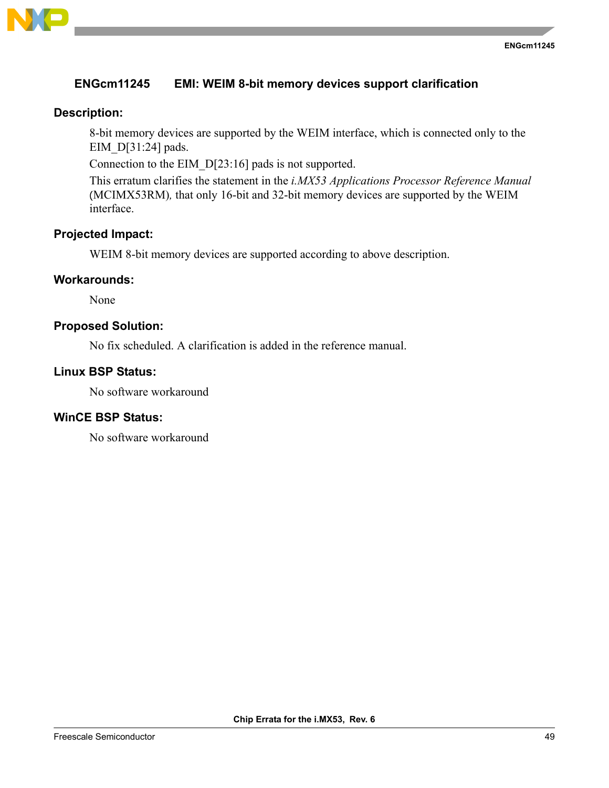

# **ENGcm11245 EMI: WEIM 8-bit memory devices support clarification**

## **Description:**

8-bit memory devices are supported by the WEIM interface, which is connected only to the EIM\_D[31:24] pads.

Connection to the EIM\_D[23:16] pads is not supported.

This erratum clarifies the statement in the *i.MX53 Applications Processor Reference Manual* (MCIMX53RM)*,* that only 16-bit and 32-bit memory devices are supported by the WEIM interface.

# **Projected Impact:**

WEIM 8-bit memory devices are supported according to above description.

## **Workarounds:**

None

## **Proposed Solution:**

No fix scheduled. A clarification is added in the reference manual.

#### **Linux BSP Status:**

No software workaround

# **WinCE BSP Status:**

No software workaround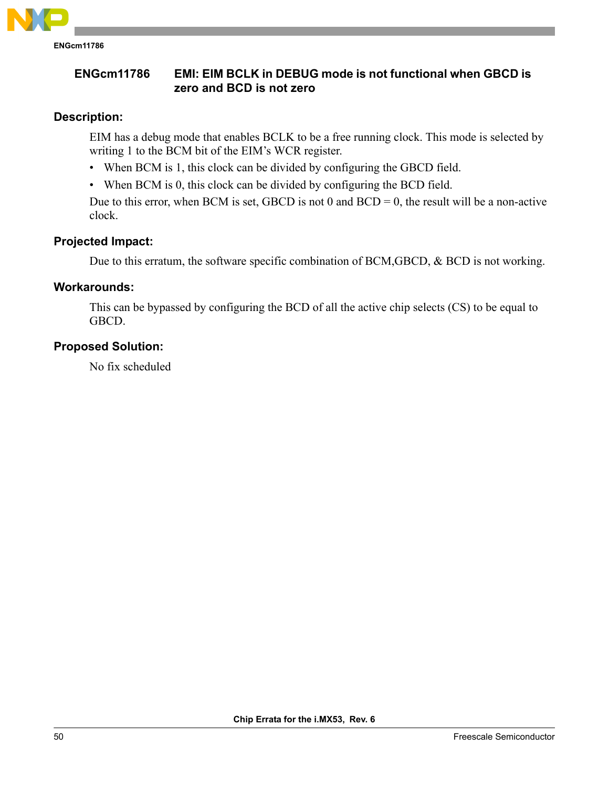

# **ENGcm11786 EMI: EIM BCLK in DEBUG mode is not functional when GBCD is zero and BCD is not zero**

# **Description:**

EIM has a debug mode that enables BCLK to be a free running clock. This mode is selected by writing 1 to the BCM bit of the EIM's WCR register.

- When BCM is 1, this clock can be divided by configuring the GBCD field.
- When BCM is 0, this clock can be divided by configuring the BCD field.

Due to this error, when BCM is set, GBCD is not 0 and  $BCD = 0$ , the result will be a non-active clock.

# **Projected Impact:**

Due to this erratum, the software specific combination of BCM,GBCD, & BCD is not working.

# **Workarounds:**

This can be bypassed by configuring the BCD of all the active chip selects (CS) to be equal to GBCD.

# **Proposed Solution:**

No fix scheduled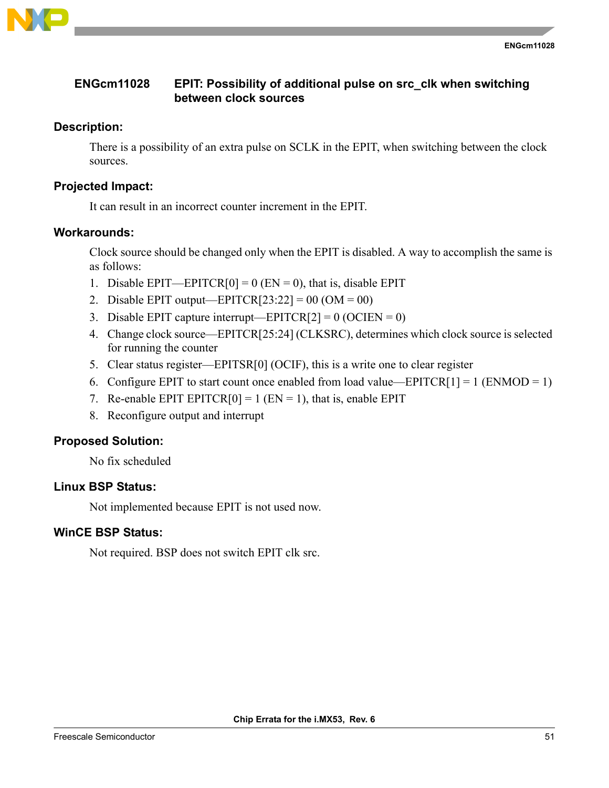

# **ENGcm11028 EPIT: Possibility of additional pulse on src\_clk when switching between clock sources**

# **Description:**

There is a possibility of an extra pulse on SCLK in the EPIT, when switching between the clock sources.

# **Projected Impact:**

It can result in an incorrect counter increment in the EPIT.

## **Workarounds:**

Clock source should be changed only when the EPIT is disabled. A way to accomplish the same is as follows:

- 1. Disable EPIT—EPITCR[0] = 0 (EN = 0), that is, disable EPIT
- 2. Disable EPIT output—EPITCR[23:22] = 00 (OM = 00)
- 3. Disable EPIT capture interrupt—EPITCR[2] =  $0$  (OCIEN = 0)
- 4. Change clock source—EPITCR[25:24] (CLKSRC), determines which clock source is selected for running the counter
- 5. Clear status register—EPITSR[0] (OCIF), this is a write one to clear register
- 6. Configure EPIT to start count once enabled from load value—EPITCR[1] = 1 (ENMOD = 1)
- 7. Re-enable EPIT EPITCR[0] = 1 (EN = 1), that is, enable EPIT
- 8. Reconfigure output and interrupt

# **Proposed Solution:**

No fix scheduled

# **Linux BSP Status:**

Not implemented because EPIT is not used now.

# **WinCE BSP Status:**

Not required. BSP does not switch EPIT clk src.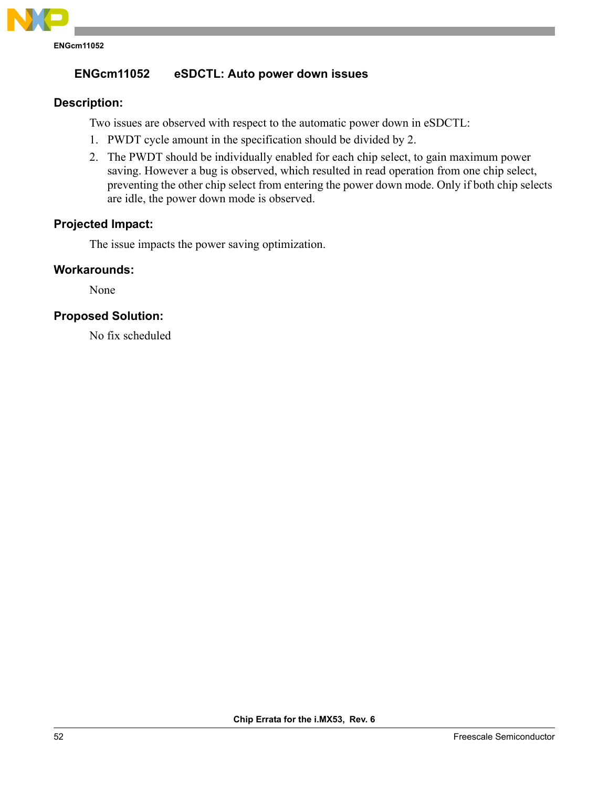

# **ENGcm11052 eSDCTL: Auto power down issues**

# **Description:**

Two issues are observed with respect to the automatic power down in eSDCTL:

- 1. PWDT cycle amount in the specification should be divided by 2.
- 2. The PWDT should be individually enabled for each chip select, to gain maximum power saving. However a bug is observed, which resulted in read operation from one chip select, preventing the other chip select from entering the power down mode. Only if both chip selects are idle, the power down mode is observed.

# **Projected Impact:**

The issue impacts the power saving optimization.

# **Workarounds:**

None

# **Proposed Solution:**

No fix scheduled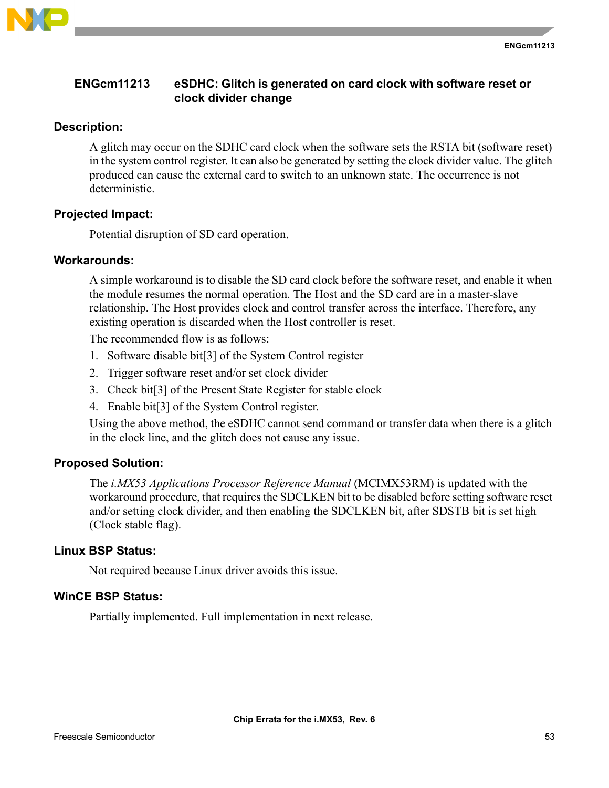

# **ENGcm11213 eSDHC: Glitch is generated on card clock with software reset or clock divider change**

# **Description:**

A glitch may occur on the SDHC card clock when the software sets the RSTA bit (software reset) in the system control register. It can also be generated by setting the clock divider value. The glitch produced can cause the external card to switch to an unknown state. The occurrence is not deterministic.

## **Projected Impact:**

Potential disruption of SD card operation.

## **Workarounds:**

A simple workaround is to disable the SD card clock before the software reset, and enable it when the module resumes the normal operation. The Host and the SD card are in a master-slave relationship. The Host provides clock and control transfer across the interface. Therefore, any existing operation is discarded when the Host controller is reset.

The recommended flow is as follows:

- 1. Software disable bit[3] of the System Control register
- 2. Trigger software reset and/or set clock divider
- 3. Check bit[3] of the Present State Register for stable clock
- 4. Enable bit[3] of the System Control register.

Using the above method, the eSDHC cannot send command or transfer data when there is a glitch in the clock line, and the glitch does not cause any issue.

# **Proposed Solution:**

The *i.MX53 Applications Processor Reference Manual* (MCIMX53RM) is updated with the workaround procedure, that requires the SDCLKEN bit to be disabled before setting software reset and/or setting clock divider, and then enabling the SDCLKEN bit, after SDSTB bit is set high (Clock stable flag).

## **Linux BSP Status:**

Not required because Linux driver avoids this issue.

## **WinCE BSP Status:**

Partially implemented. Full implementation in next release.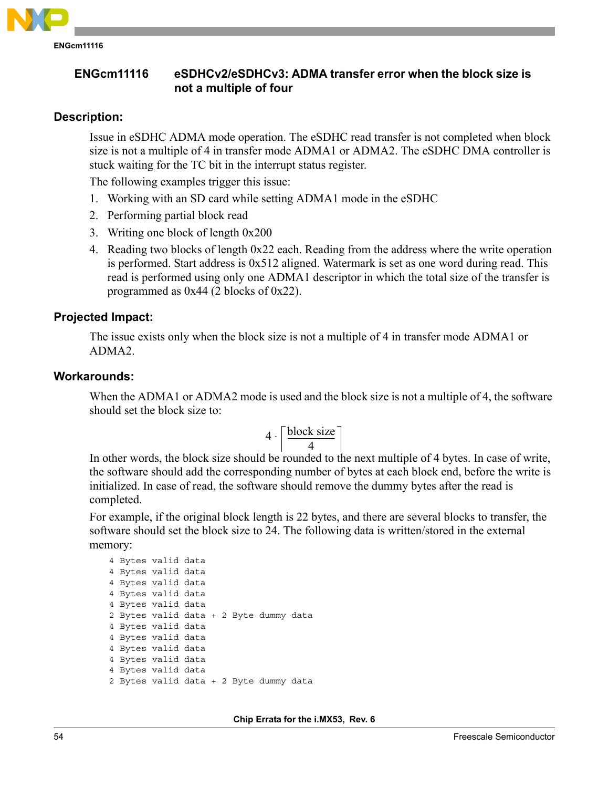

**ENGcm11116**

# **ENGcm11116 eSDHCv2/eSDHCv3: ADMA transfer error when the block size is not a multiple of four**

# **Description:**

Issue in eSDHC ADMA mode operation. The eSDHC read transfer is not completed when block size is not a multiple of 4 in transfer mode ADMA1 or ADMA2. The eSDHC DMA controller is stuck waiting for the TC bit in the interrupt status register.

The following examples trigger this issue:

- 1. Working with an SD card while setting ADMA1 mode in the eSDHC
- 2. Performing partial block read
- 3. Writing one block of length 0x200
- 4. Reading two blocks of length 0x22 each. Reading from the address where the write operation is performed. Start address is 0x512 aligned. Watermark is set as one word during read. This read is performed using only one ADMA1 descriptor in which the total size of the transfer is programmed as 0x44 (2 blocks of 0x22).

# **Projected Impact:**

The issue exists only when the block size is not a multiple of 4 in transfer mode ADMA1 or ADMA2.

## **Workarounds:**

When the ADMA1 or ADMA2 mode is used and the block size is not a multiple of 4, the software should set the block size to:

$$
4 \cdot \left\lceil \frac{\text{block size}}{4} \right\rceil
$$

In other words, the block size should be rounded to the next multiple of 4 bytes. In case of write, the software should add the corresponding number of bytes at each block end, before the write is initialized. In case of read, the software should remove the dummy bytes after the read is completed.

For example, if the original block length is 22 bytes, and there are several blocks to transfer, the software should set the block size to 24. The following data is written/stored in the external memory:

```
4 Bytes valid data
4 Bytes valid data
4 Bytes valid data
4 Bytes valid data
4 Bytes valid data
2 Bytes valid data + 2 Byte dummy data
4 Bytes valid data
4 Bytes valid data
4 Bytes valid data
4 Bytes valid data
4 Bytes valid data
2 Bytes valid data + 2 Byte dummy data
```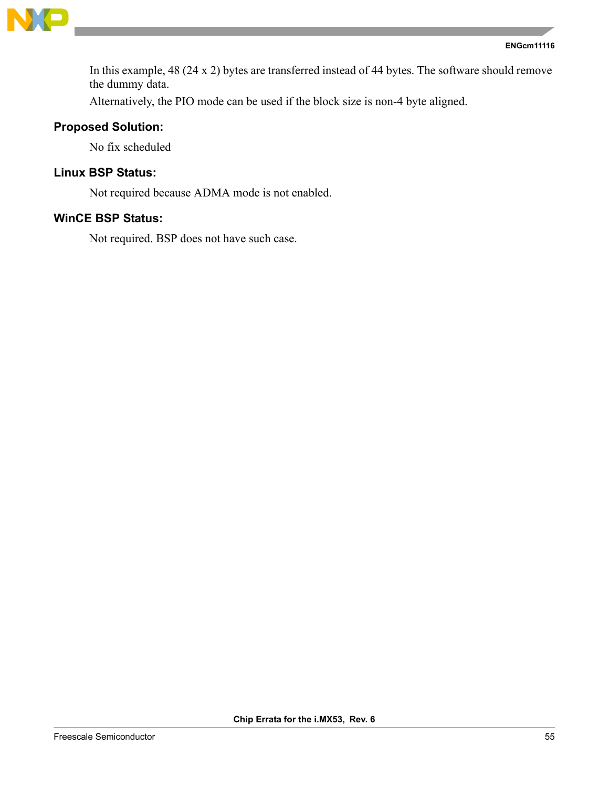

```
ENGcm11116
```
In this example, 48 (24 x 2) bytes are transferred instead of 44 bytes. The software should remove the dummy data.

Alternatively, the PIO mode can be used if the block size is non-4 byte aligned.

# **Proposed Solution:**

No fix scheduled

# **Linux BSP Status:**

Not required because ADMA mode is not enabled.

# **WinCE BSP Status:**

Not required. BSP does not have such case.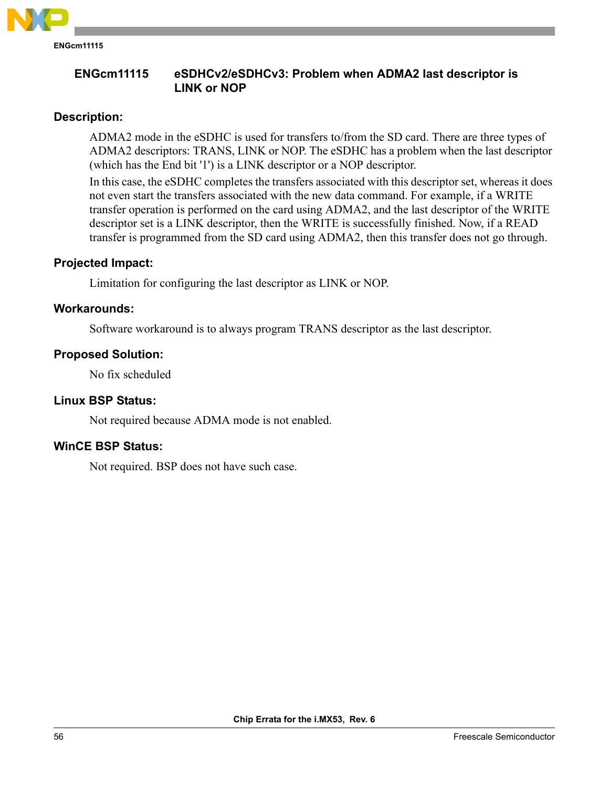

# **ENGcm11115 eSDHCv2/eSDHCv3: Problem when ADMA2 last descriptor is LINK or NOP**

# **Description:**

ADMA2 mode in the eSDHC is used for transfers to/from the SD card. There are three types of ADMA2 descriptors: TRANS, LINK or NOP. The eSDHC has a problem when the last descriptor (which has the End bit '1') is a LINK descriptor or a NOP descriptor.

In this case, the eSDHC completes the transfers associated with this descriptor set, whereas it does not even start the transfers associated with the new data command. For example, if a WRITE transfer operation is performed on the card using ADMA2, and the last descriptor of the WRITE descriptor set is a LINK descriptor, then the WRITE is successfully finished. Now, if a READ transfer is programmed from the SD card using ADMA2, then this transfer does not go through.

# **Projected Impact:**

Limitation for configuring the last descriptor as LINK or NOP.

# **Workarounds:**

Software workaround is to always program TRANS descriptor as the last descriptor.

# **Proposed Solution:**

No fix scheduled

# **Linux BSP Status:**

Not required because ADMA mode is not enabled.

# **WinCE BSP Status:**

Not required. BSP does not have such case.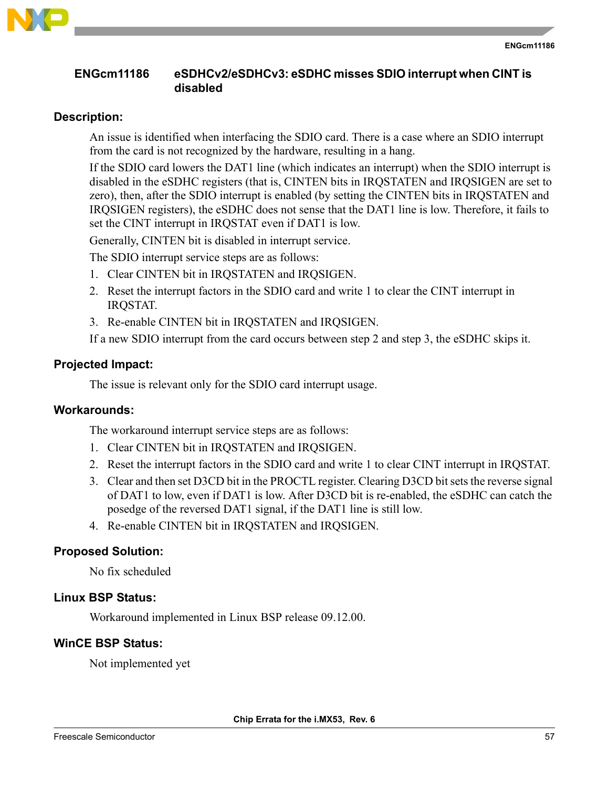

# **ENGcm11186 eSDHCv2/eSDHCv3: eSDHC misses SDIO interrupt when CINT is disabled**

# **Description:**

An issue is identified when interfacing the SDIO card. There is a case where an SDIO interrupt from the card is not recognized by the hardware, resulting in a hang.

If the SDIO card lowers the DAT1 line (which indicates an interrupt) when the SDIO interrupt is disabled in the eSDHC registers (that is, CINTEN bits in IRQSTATEN and IRQSIGEN are set to zero), then, after the SDIO interrupt is enabled (by setting the CINTEN bits in IRQSTATEN and IRQSIGEN registers), the eSDHC does not sense that the DAT1 line is low. Therefore, it fails to set the CINT interrupt in IRQSTAT even if DAT1 is low.

Generally, CINTEN bit is disabled in interrupt service.

The SDIO interrupt service steps are as follows:

- 1. Clear CINTEN bit in IRQSTATEN and IRQSIGEN.
- 2. Reset the interrupt factors in the SDIO card and write 1 to clear the CINT interrupt in IRQSTAT.
- 3. Re-enable CINTEN bit in IRQSTATEN and IRQSIGEN.

If a new SDIO interrupt from the card occurs between step 2 and step 3, the eSDHC skips it.

# **Projected Impact:**

The issue is relevant only for the SDIO card interrupt usage.

## **Workarounds:**

The workaround interrupt service steps are as follows:

- 1. Clear CINTEN bit in IRQSTATEN and IRQSIGEN.
- 2. Reset the interrupt factors in the SDIO card and write 1 to clear CINT interrupt in IRQSTAT.
- 3. Clear and then set D3CD bit in the PROCTL register. Clearing D3CD bit sets the reverse signal of DAT1 to low, even if DAT1 is low. After D3CD bit is re-enabled, the eSDHC can catch the posedge of the reversed DAT1 signal, if the DAT1 line is still low.
- 4. Re-enable CINTEN bit in IRQSTATEN and IRQSIGEN.

# **Proposed Solution:**

No fix scheduled

## **Linux BSP Status:**

Workaround implemented in Linux BSP release 09.12.00.

# **WinCE BSP Status:**

Not implemented yet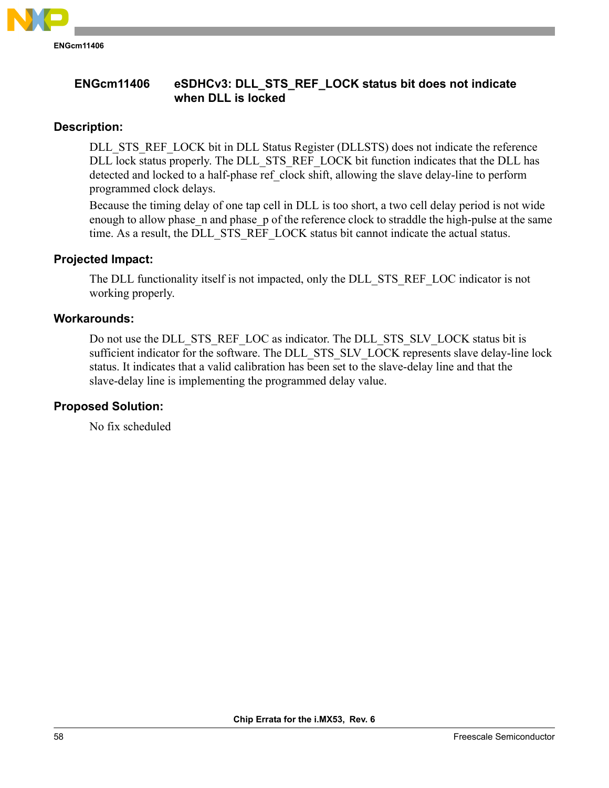

# **ENGcm11406 eSDHCv3: DLL\_STS\_REF\_LOCK status bit does not indicate when DLL is locked**

# **Description:**

DLL STS REF LOCK bit in DLL Status Register (DLLSTS) does not indicate the reference DLL lock status properly. The DLL\_STS\_REF\_LOCK bit function indicates that the DLL has detected and locked to a half-phase ref clock shift, allowing the slave delay-line to perform programmed clock delays.

Because the timing delay of one tap cell in DLL is too short, a two cell delay period is not wide enough to allow phase n and phase p of the reference clock to straddle the high-pulse at the same time. As a result, the DLL\_STS\_REF\_LOCK status bit cannot indicate the actual status.

# **Projected Impact:**

The DLL functionality itself is not impacted, only the DLL\_STS\_REF\_LOC indicator is not working properly.

# **Workarounds:**

Do not use the DLL\_STS\_REF\_LOC as indicator. The DLL\_STS\_SLV\_LOCK status bit is sufficient indicator for the software. The DLL\_STS\_SLV\_LOCK represents slave delay-line lock status. It indicates that a valid calibration has been set to the slave-delay line and that the slave-delay line is implementing the programmed delay value.

# **Proposed Solution:**

No fix scheduled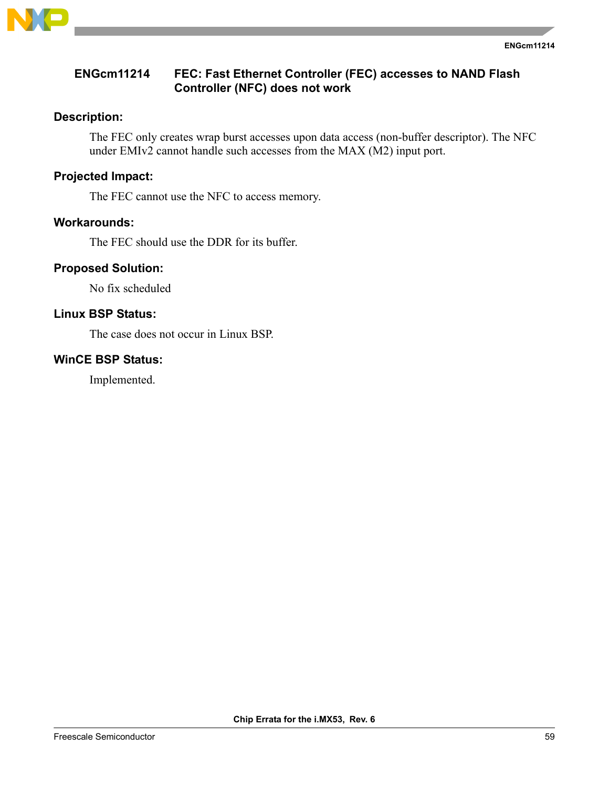

# **ENGcm11214 FEC: Fast Ethernet Controller (FEC) accesses to NAND Flash Controller (NFC) does not work**

# **Description:**

The FEC only creates wrap burst accesses upon data access (non-buffer descriptor). The NFC under EMIv2 cannot handle such accesses from the MAX (M2) input port.

# **Projected Impact:**

The FEC cannot use the NFC to access memory.

## **Workarounds:**

The FEC should use the DDR for its buffer.

# **Proposed Solution:**

No fix scheduled

# **Linux BSP Status:**

The case does not occur in Linux BSP.

# **WinCE BSP Status:**

Implemented.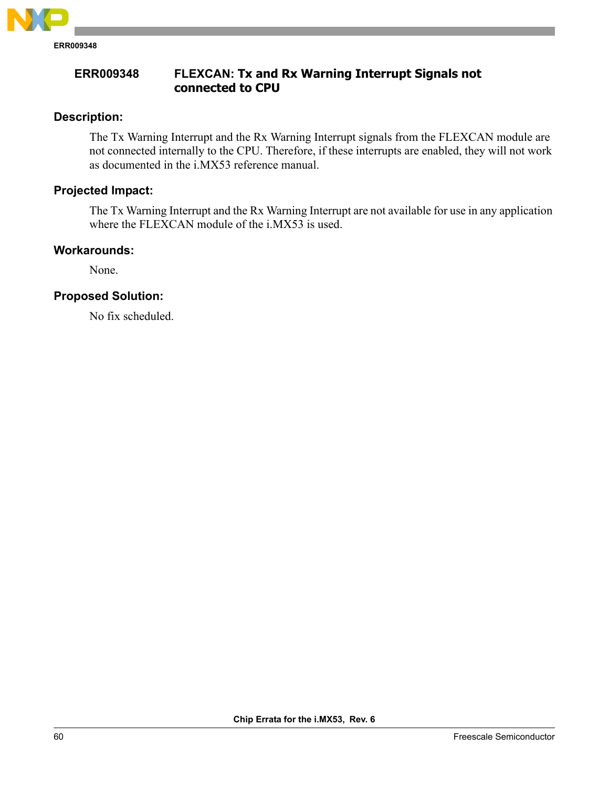

**ERR009348 FLEXCAN: Tx and Rx Warning Interrupt Signals not connected to CPU**

# **Description:**

The Tx Warning Interrupt and the Rx Warning Interrupt signals from the FLEXCAN module are not connected internally to the CPU. Therefore, if these interrupts are enabled, they will not work as documented in the i.MX53 reference manual.

# **Projected Impact:**

The Tx Warning Interrupt and the Rx Warning Interrupt are not available for use in any application where the FLEXCAN module of the i.MX53 is used.

# **Workarounds:**

None.

# **Proposed Solution:**

No fix scheduled.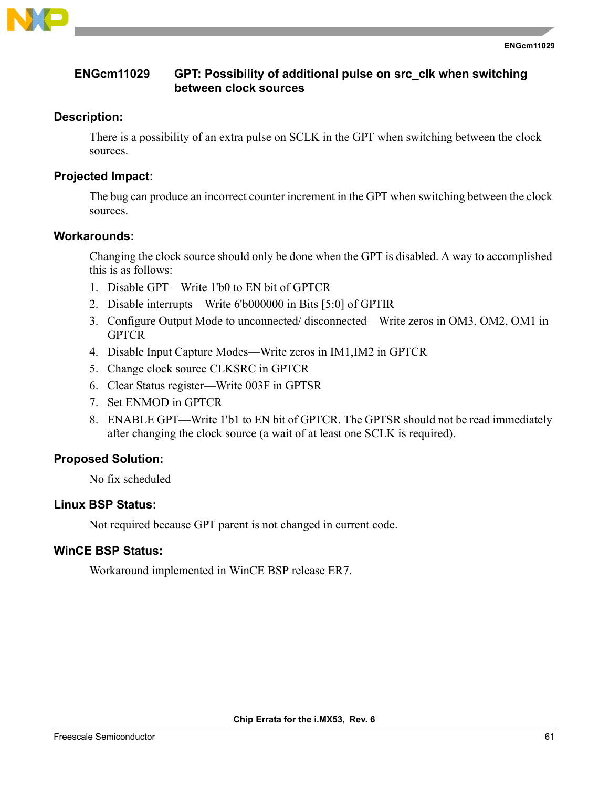

# **ENGcm11029 GPT: Possibility of additional pulse on src\_clk when switching between clock sources**

# **Description:**

There is a possibility of an extra pulse on SCLK in the GPT when switching between the clock sources.

# **Projected Impact:**

The bug can produce an incorrect counter increment in the GPT when switching between the clock sources.

# **Workarounds:**

Changing the clock source should only be done when the GPT is disabled. A way to accomplished this is as follows:

- 1. Disable GPT—Write 1'b0 to EN bit of GPTCR
- 2. Disable interrupts—Write 6'b000000 in Bits [5:0] of GPTIR
- 3. Configure Output Mode to unconnected/ disconnected—Write zeros in OM3, OM2, OM1 in **GPTCR**
- 4. Disable Input Capture Modes—Write zeros in IM1,IM2 in GPTCR
- 5. Change clock source CLKSRC in GPTCR
- 6. Clear Status register—Write 003F in GPTSR
- 7. Set ENMOD in GPTCR
- 8. ENABLE GPT—Write 1'b1 to EN bit of GPTCR. The GPTSR should not be read immediately after changing the clock source (a wait of at least one SCLK is required).

# **Proposed Solution:**

No fix scheduled

# **Linux BSP Status:**

Not required because GPT parent is not changed in current code.

# **WinCE BSP Status:**

Workaround implemented in WinCE BSP release ER7.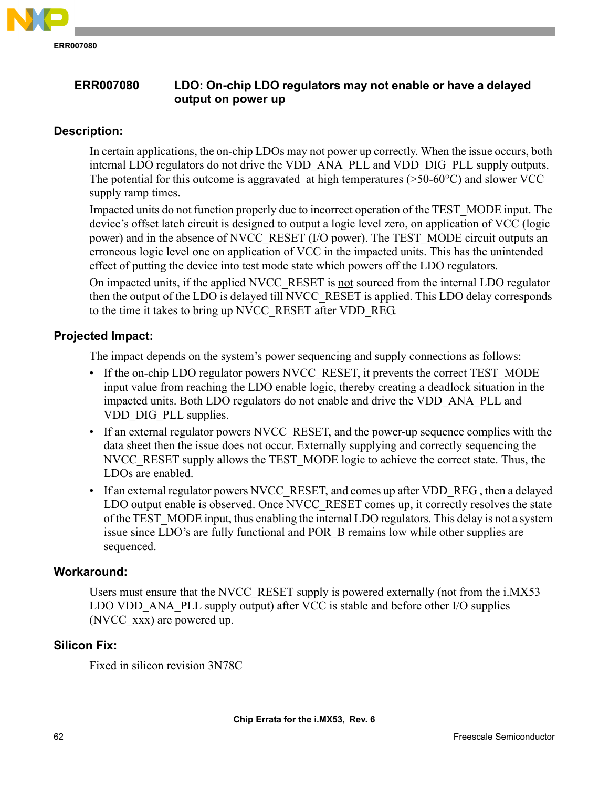

# **ERR007080 LDO: On-chip LDO regulators may not enable or have a delayed output on power up**

# **Description:**

In certain applications, the on-chip LDOs may not power up correctly. When the issue occurs, both internal LDO regulators do not drive the VDD\_ANA\_PLL and VDD\_DIG\_PLL supply outputs. The potential for this outcome is aggravated at high temperatures ( $>50-60^{\circ}$ C) and slower VCC supply ramp times.

Impacted units do not function properly due to incorrect operation of the TEST\_MODE input. The device's offset latch circuit is designed to output a logic level zero, on application of VCC (logic power) and in the absence of NVCC\_RESET (I/O power). The TEST\_MODE circuit outputs an erroneous logic level one on application of VCC in the impacted units. This has the unintended effect of putting the device into test mode state which powers off the LDO regulators.

On impacted units, if the applied NVCC\_RESET is not sourced from the internal LDO regulator then the output of the LDO is delayed till NVCC\_RESET is applied. This LDO delay corresponds to the time it takes to bring up NVCC\_RESET after VDD\_REG.

# **Projected Impact:**

The impact depends on the system's power sequencing and supply connections as follows:

- If the on-chip LDO regulator powers NVCC\_RESET, it prevents the correct TEST\_MODE input value from reaching the LDO enable logic, thereby creating a deadlock situation in the impacted units. Both LDO regulators do not enable and drive the VDD\_ANA\_PLL and VDD DIG PLL supplies.
- If an external regulator powers NVCC\_RESET, and the power-up sequence complies with the data sheet then the issue does not occur. Externally supplying and correctly sequencing the NVCC\_RESET supply allows the TEST\_MODE logic to achieve the correct state. Thus, the LDOs are enabled.
- If an external regulator powers NVCC\_RESET, and comes up after VDD\_REG, then a delayed LDO output enable is observed. Once NVCC\_RESET comes up, it correctly resolves the state of the TEST\_MODE input, thus enabling the internal LDO regulators. This delay is not a system issue since LDO's are fully functional and POR\_B remains low while other supplies are sequenced.

# **Workaround:**

Users must ensure that the NVCC\_RESET supply is powered externally (not from the i.MX53 LDO VDD ANA PLL supply output) after VCC is stable and before other I/O supplies (NVCC\_xxx) are powered up.

# **Silicon Fix:**

Fixed in silicon revision 3N78C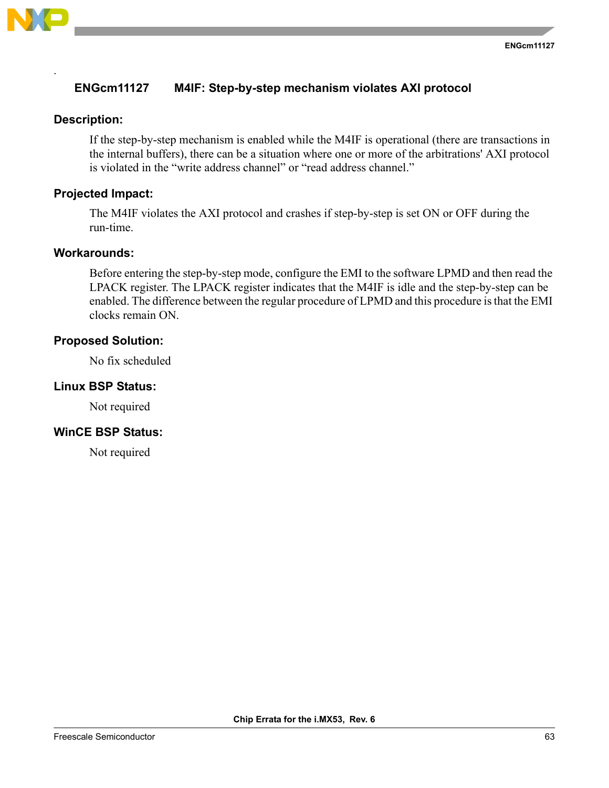

.

# **ENGcm11127 M4IF: Step-by-step mechanism violates AXI protocol**

## **Description:**

If the step-by-step mechanism is enabled while the M4IF is operational (there are transactions in the internal buffers), there can be a situation where one or more of the arbitrations' AXI protocol is violated in the "write address channel" or "read address channel."

# **Projected Impact:**

The M4IF violates the AXI protocol and crashes if step-by-step is set ON or OFF during the run-time.

#### **Workarounds:**

Before entering the step-by-step mode, configure the EMI to the software LPMD and then read the LPACK register. The LPACK register indicates that the M4IF is idle and the step-by-step can be enabled. The difference between the regular procedure of LPMD and this procedure is that the EMI clocks remain ON.

## **Proposed Solution:**

No fix scheduled

## **Linux BSP Status:**

Not required

# **WinCE BSP Status:**

Not required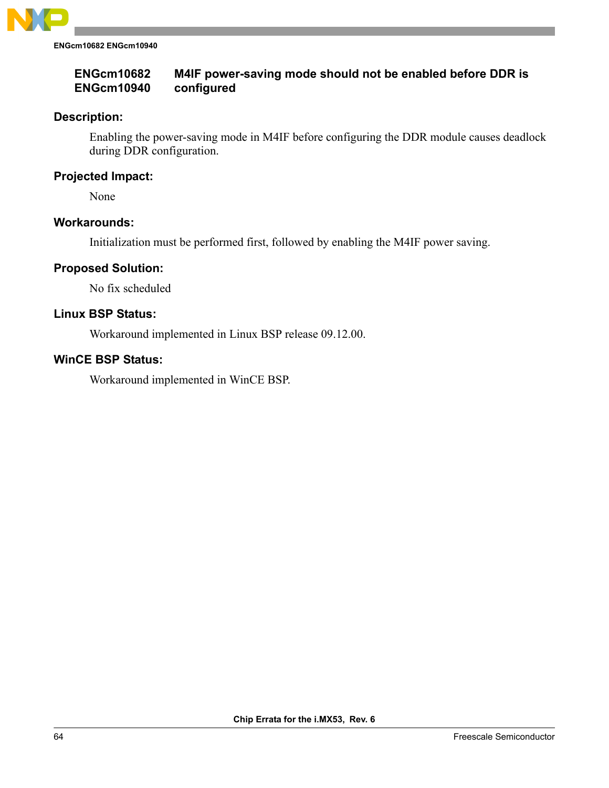

**ENGcm10682 ENGcm10940**

#### **ENGcm10682 ENGcm10940 M4IF power-saving mode should not be enabled before DDR is configured**

# **Description:**

Enabling the power-saving mode in M4IF before configuring the DDR module causes deadlock during DDR configuration.

# **Projected Impact:**

None

## **Workarounds:**

Initialization must be performed first, followed by enabling the M4IF power saving.

## **Proposed Solution:**

No fix scheduled

## **Linux BSP Status:**

Workaround implemented in Linux BSP release 09.12.00.

## **WinCE BSP Status:**

Workaround implemented in WinCE BSP.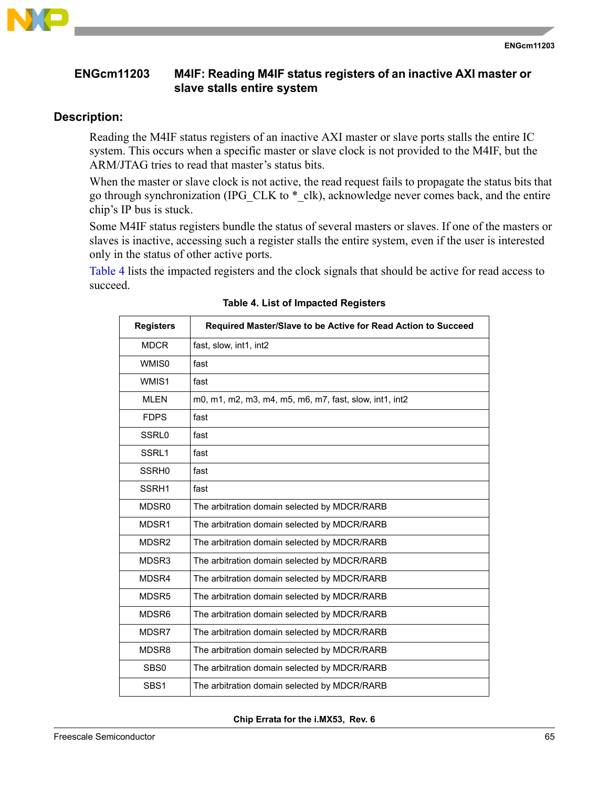

# **ENGcm11203 M4IF: Reading M4IF status registers of an inactive AXI master or slave stalls entire system**

# **Description:**

Reading the M4IF status registers of an inactive AXI master or slave ports stalls the entire IC system. This occurs when a specific master or slave clock is not provided to the M4IF, but the ARM/JTAG tries to read that master's status bits.

When the master or slave clock is not active, the read request fails to propagate the status bits that go through synchronization (IPG\_CLK to \*\_clk), acknowledge never comes back, and the entire chip's IP bus is stuck.

Some M4IF status registers bundle the status of several masters or slaves. If one of the masters or slaves is inactive, accessing such a register stalls the entire system, even if the user is interested only in the status of other active ports.

<span id="page-64-0"></span>[Table 4](#page-64-0) lists the impacted registers and the clock signals that should be active for read access to succeed.

| <b>Registers</b>  | Required Master/Slave to be Active for Read Action to Succeed |
|-------------------|---------------------------------------------------------------|
| <b>MDCR</b>       | fast, slow, int1, int2                                        |
| <b>WMIS0</b>      | fast                                                          |
| WMIS1             | fast                                                          |
| <b>MLEN</b>       | m0, m1, m2, m3, m4, m5, m6, m7, fast, slow, int1, int2        |
| <b>FDPS</b>       | fast                                                          |
| SSRL0             | fast                                                          |
| SSRL1             | fast                                                          |
| SSRH0             | fast                                                          |
| SSRH1             | fast                                                          |
| MDSR0             | The arbitration domain selected by MDCR/RARB                  |
| MDSR1             | The arbitration domain selected by MDCR/RARB                  |
| MDSR <sub>2</sub> | The arbitration domain selected by MDCR/RARB                  |
| MDSR3             | The arbitration domain selected by MDCR/RARB                  |
| MDSR4             | The arbitration domain selected by MDCR/RARB                  |
| MDSR <sub>5</sub> | The arbitration domain selected by MDCR/RARB                  |
| MDSR6             | The arbitration domain selected by MDCR/RARB                  |
| MDSR7             | The arbitration domain selected by MDCR/RARB                  |
| MDSR8             | The arbitration domain selected by MDCR/RARB                  |
| SBS0              | The arbitration domain selected by MDCR/RARB                  |
| SBS <sub>1</sub>  | The arbitration domain selected by MDCR/RARB                  |

#### **Table 4. List of Impacted Registers**

**Chip Errata for the i.MX53, Rev. 6**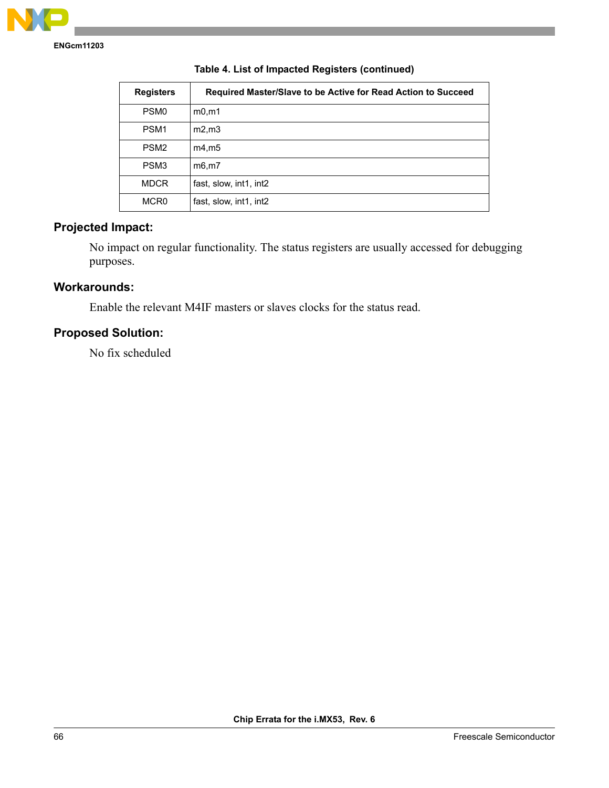

| <b>Registers</b> | Required Master/Slave to be Active for Read Action to Succeed |
|------------------|---------------------------------------------------------------|
| PSM <sub>0</sub> | m0, m1                                                        |
| PSM <sub>1</sub> | $m2$ , $m3$                                                   |
| PSM <sub>2</sub> | m4, m5                                                        |
| PSM <sub>3</sub> | m6.m7                                                         |
| <b>MDCR</b>      | fast, slow, int1, int2                                        |
| MCR <sub>0</sub> | fast, slow, int1, int2                                        |

## **Table 4. List of Impacted Registers (continued)**

# **Projected Impact:**

No impact on regular functionality. The status registers are usually accessed for debugging purposes.

# **Workarounds:**

Enable the relevant M4IF masters or slaves clocks for the status read.

# **Proposed Solution:**

No fix scheduled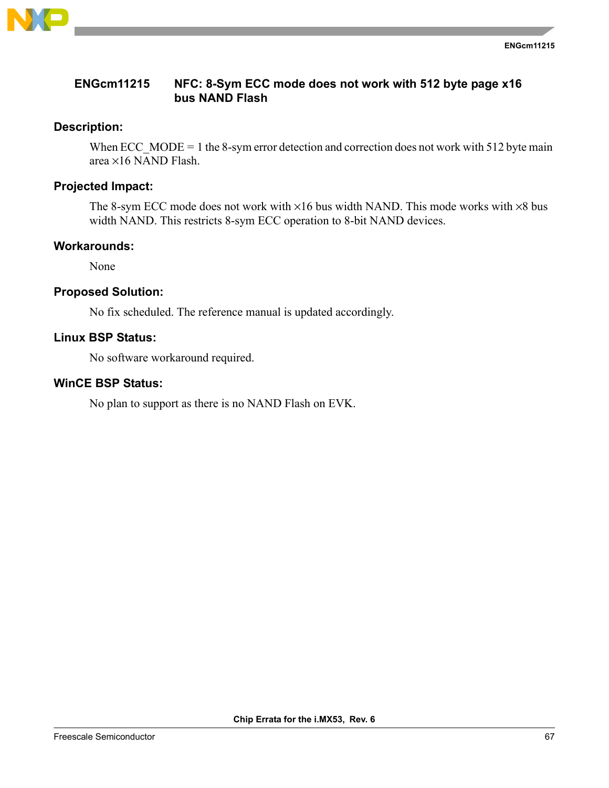

# **ENGcm11215 NFC: 8-Sym ECC mode does not work with 512 byte page x16 bus NAND Flash**

# **Description:**

When ECC\_MODE = 1 the 8-sym error detection and correction does not work with 512 byte main area ×16 NAND Flash.

# **Projected Impact:**

The 8-sym ECC mode does not work with  $\times 16$  bus width NAND. This mode works with  $\times 8$  bus width NAND. This restricts 8-sym ECC operation to 8-bit NAND devices.

# **Workarounds:**

None

# **Proposed Solution:**

No fix scheduled. The reference manual is updated accordingly.

## **Linux BSP Status:**

No software workaround required.

# **WinCE BSP Status:**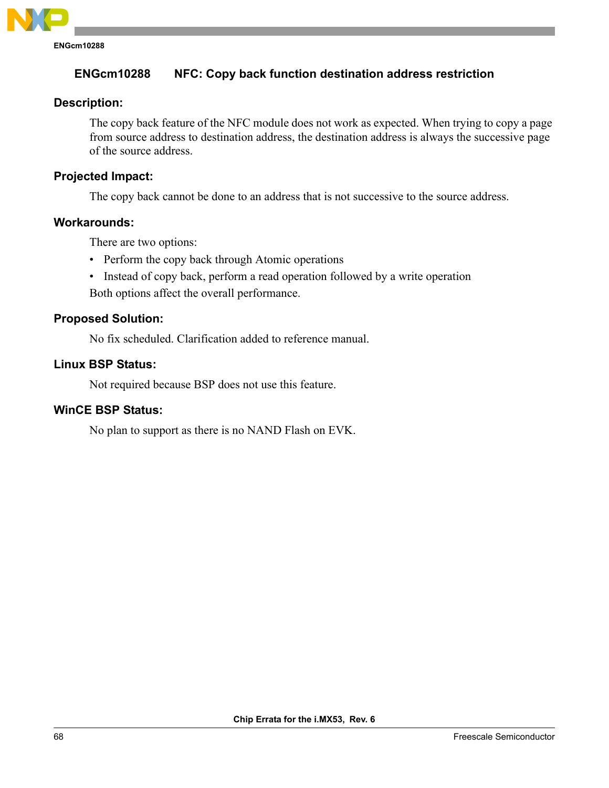

# **Description:**

The copy back feature of the NFC module does not work as expected. When trying to copy a page from source address to destination address, the destination address is always the successive page of the source address.

# **Projected Impact:**

The copy back cannot be done to an address that is not successive to the source address.

# **Workarounds:**

There are two options:

- Perform the copy back through Atomic operations
- Instead of copy back, perform a read operation followed by a write operation

Both options affect the overall performance.

# **Proposed Solution:**

No fix scheduled. Clarification added to reference manual.

# **Linux BSP Status:**

Not required because BSP does not use this feature.

# **WinCE BSP Status:**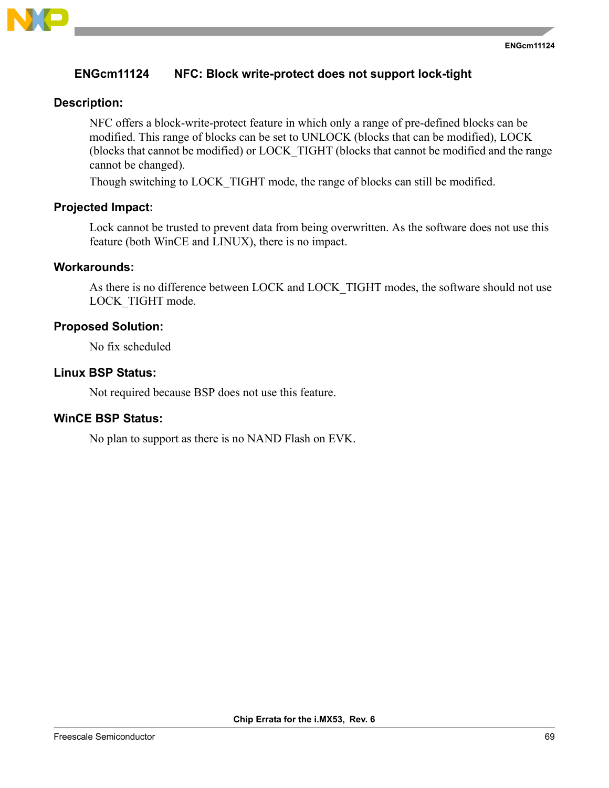

# **ENGcm11124 NFC: Block write-protect does not support lock-tight**

# **Description:**

NFC offers a block-write-protect feature in which only a range of pre-defined blocks can be modified. This range of blocks can be set to UNLOCK (blocks that can be modified), LOCK (blocks that cannot be modified) or LOCK\_TIGHT (blocks that cannot be modified and the range cannot be changed).

Though switching to LOCK\_TIGHT mode, the range of blocks can still be modified.

## **Projected Impact:**

Lock cannot be trusted to prevent data from being overwritten. As the software does not use this feature (both WinCE and LINUX), there is no impact.

#### **Workarounds:**

As there is no difference between LOCK and LOCK TIGHT modes, the software should not use LOCK\_TIGHT mode.

## **Proposed Solution:**

No fix scheduled

# **Linux BSP Status:**

Not required because BSP does not use this feature.

## **WinCE BSP Status:**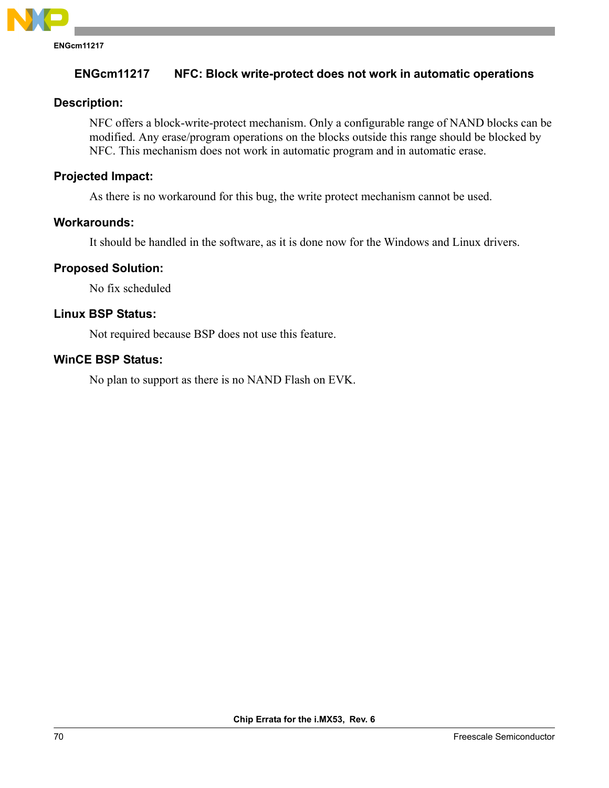

# **Description:**

NFC offers a block-write-protect mechanism. Only a configurable range of NAND blocks can be modified. Any erase/program operations on the blocks outside this range should be blocked by NFC. This mechanism does not work in automatic program and in automatic erase.

# **Projected Impact:**

As there is no workaround for this bug, the write protect mechanism cannot be used.

# **Workarounds:**

It should be handled in the software, as it is done now for the Windows and Linux drivers.

# **Proposed Solution:**

No fix scheduled

# **Linux BSP Status:**

Not required because BSP does not use this feature.

# **WinCE BSP Status:**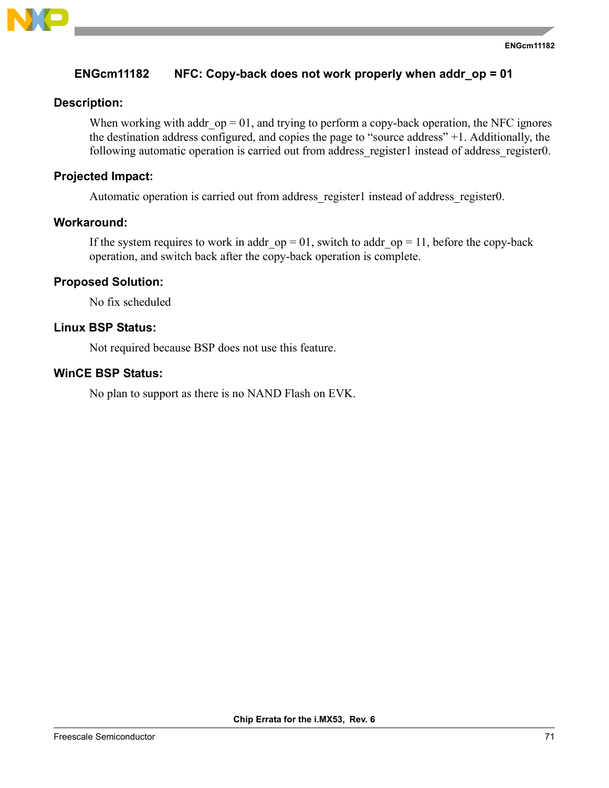

# **ENGcm11182 NFC: Copy-back does not work properly when addr\_op = 01**

# **Description:**

When working with addr  $op = 01$ , and trying to perform a copy-back operation, the NFC ignores the destination address configured, and copies the page to "source address" +1. Additionally, the following automatic operation is carried out from address register1 instead of address register0.

# **Projected Impact:**

Automatic operation is carried out from address register1 instead of address register0.

# **Workaround:**

If the system requires to work in addr  $op = 01$ , switch to addr  $op = 11$ , before the copy-back operation, and switch back after the copy-back operation is complete.

# **Proposed Solution:**

No fix scheduled

# **Linux BSP Status:**

Not required because BSP does not use this feature.

# **WinCE BSP Status:**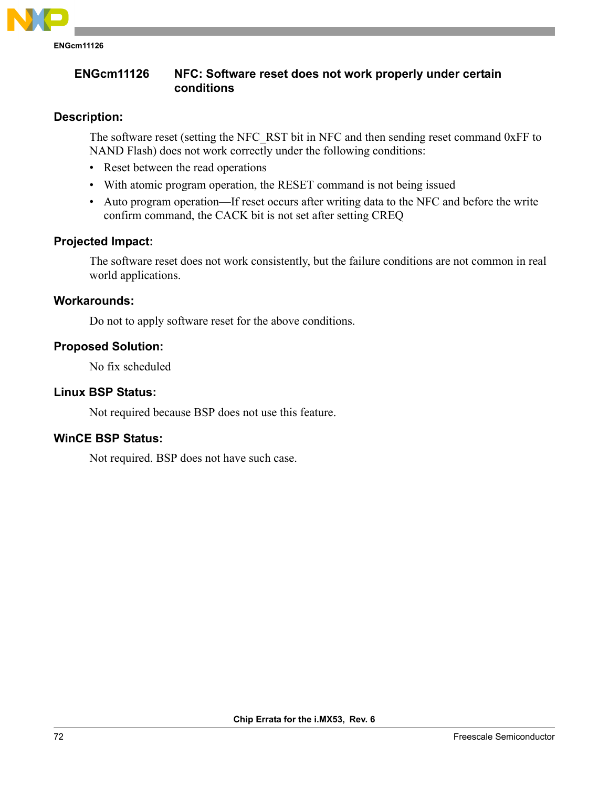

# **ENGcm11126 NFC: Software reset does not work properly under certain conditions**

## **Description:**

The software reset (setting the NFC\_RST bit in NFC and then sending reset command 0xFF to NAND Flash) does not work correctly under the following conditions:

- Reset between the read operations
- With atomic program operation, the RESET command is not being issued
- Auto program operation—If reset occurs after writing data to the NFC and before the write confirm command, the CACK bit is not set after setting CREQ

# **Projected Impact:**

The software reset does not work consistently, but the failure conditions are not common in real world applications.

## **Workarounds:**

Do not to apply software reset for the above conditions.

## **Proposed Solution:**

No fix scheduled

## **Linux BSP Status:**

Not required because BSP does not use this feature.

# **WinCE BSP Status:**

Not required. BSP does not have such case.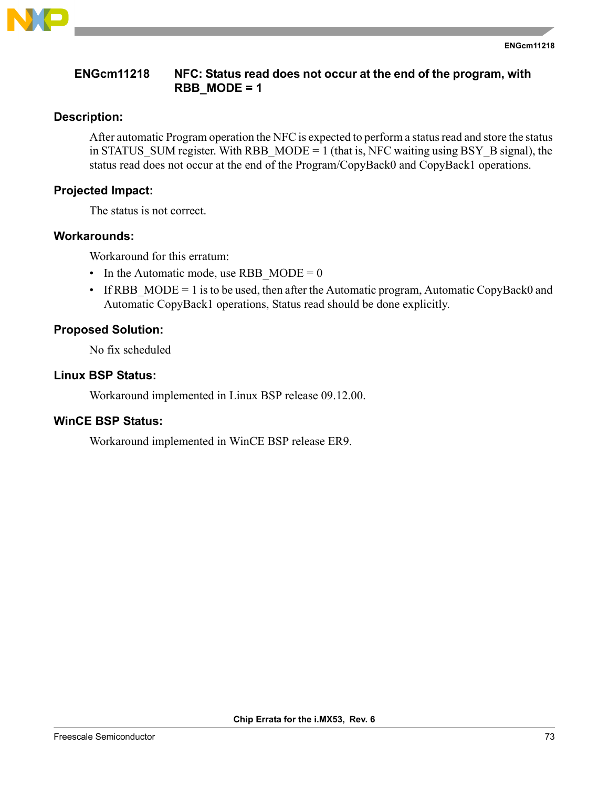

### **ENGcm11218 NFC: Status read does not occur at the end of the program, with RBB\_MODE = 1**

## **Description:**

After automatic Program operation the NFC is expected to perform a status read and store the status in STATUS SUM register. With RBB  $MODE = 1$  (that is, NFC waiting using BSY B signal), the status read does not occur at the end of the Program/CopyBack0 and CopyBack1 operations.

# **Projected Impact:**

The status is not correct.

## **Workarounds:**

Workaround for this erratum:

- In the Automatic mode, use RBB  $MODE = 0$
- If RBB  $MODE = 1$  is to be used, then after the Automatic program, Automatic CopyBack0 and Automatic CopyBack1 operations, Status read should be done explicitly.

## **Proposed Solution:**

No fix scheduled

## **Linux BSP Status:**

Workaround implemented in Linux BSP release 09.12.00.

## **WinCE BSP Status:**

Workaround implemented in WinCE BSP release ER9.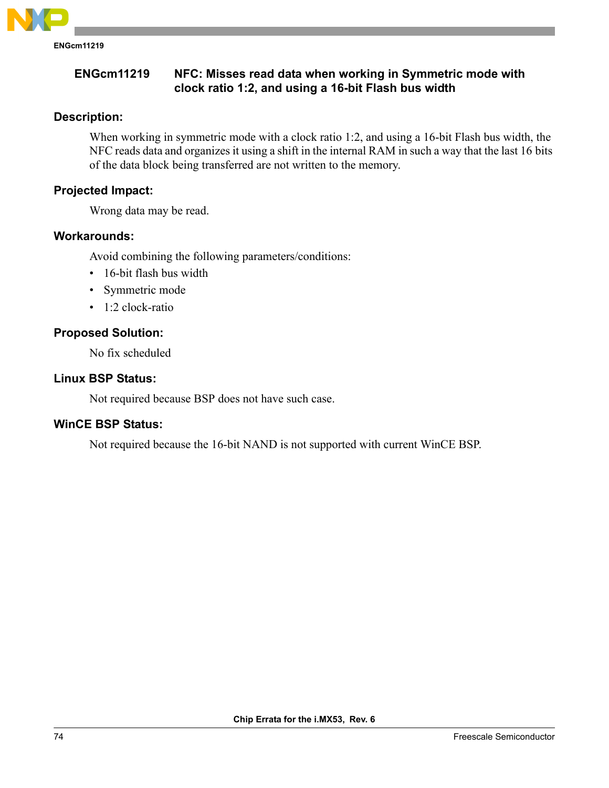

### **ENGcm11219 NFC: Misses read data when working in Symmetric mode with clock ratio 1:2, and using a 16-bit Flash bus width**

# **Description:**

When working in symmetric mode with a clock ratio 1:2, and using a 16-bit Flash bus width, the NFC reads data and organizes it using a shift in the internal RAM in such a way that the last 16 bits of the data block being transferred are not written to the memory.

# **Projected Impact:**

Wrong data may be read.

## **Workarounds:**

Avoid combining the following parameters/conditions:

- 16-bit flash bus width
- Symmetric mode
- 1:2 clock-ratio

# **Proposed Solution:**

No fix scheduled

## **Linux BSP Status:**

Not required because BSP does not have such case.

## **WinCE BSP Status:**

Not required because the 16-bit NAND is not supported with current WinCE BSP.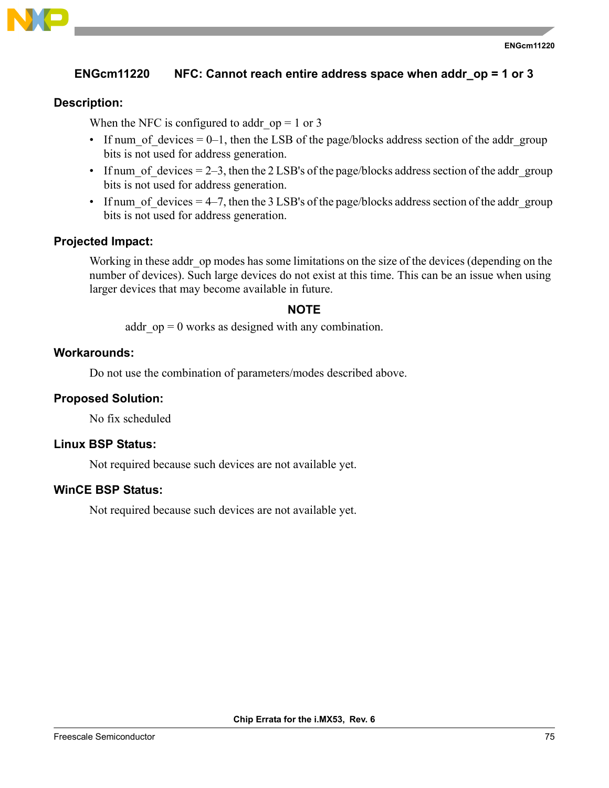

## **ENGcm11220 NFC: Cannot reach entire address space when addr\_op = 1 or 3**

#### **Description:**

When the NFC is configured to addr  $op = 1$  or 3

- If num of devices  $= 0-1$ , then the LSB of the page/blocks address section of the addr\_group bits is not used for address generation.
- If num of devices  $= 2-3$ , then the 2 LSB's of the page/blocks address section of the addragroup bits is not used for address generation.
- If num of devices  $= 4-7$ , then the 3 LSB's of the page/blocks address section of the addr\_group bits is not used for address generation.

#### **Projected Impact:**

Working in these addr op modes has some limitations on the size of the devices (depending on the number of devices). Such large devices do not exist at this time. This can be an issue when using larger devices that may become available in future.

#### **NOTE**

addr  $op = 0$  works as designed with any combination.

#### **Workarounds:**

Do not use the combination of parameters/modes described above.

#### **Proposed Solution:**

No fix scheduled

#### **Linux BSP Status:**

Not required because such devices are not available yet.

#### **WinCE BSP Status:**

Not required because such devices are not available yet.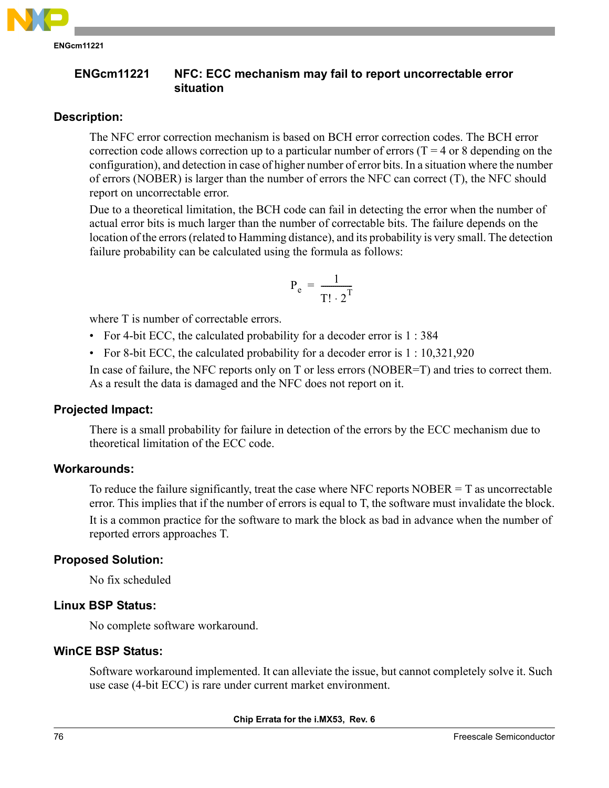

**ENGcm11221 NFC: ECC mechanism may fail to report uncorrectable error situation**

# **Description:**

The NFC error correction mechanism is based on BCH error correction codes. The BCH error correction code allows correction up to a particular number of errors  $(T = 4$  or 8 depending on the configuration), and detection in case of higher number of error bits. In a situation where the number of errors (NOBER) is larger than the number of errors the NFC can correct (T), the NFC should report on uncorrectable error.

Due to a theoretical limitation, the BCH code can fail in detecting the error when the number of actual error bits is much larger than the number of correctable bits. The failure depends on the location of the errors (related to Hamming distance), and its probability is very small. The detection failure probability can be calculated using the formula as follows:

$$
\mathbf{P}_e = \frac{1}{\mathbf{T}! \cdot 2^{\mathbf{T}}}
$$

where T is number of correctable errors.

- For 4-bit ECC, the calculated probability for a decoder error is 1 : 384
- For 8-bit ECC, the calculated probability for a decoder error is 1: 10,321,920

In case of failure, the NFC reports only on T or less errors (NOBER=T) and tries to correct them. As a result the data is damaged and the NFC does not report on it.

## **Projected Impact:**

There is a small probability for failure in detection of the errors by the ECC mechanism due to theoretical limitation of the ECC code.

## **Workarounds:**

To reduce the failure significantly, treat the case where NFC reports NOBER  $= T$  as uncorrectable error. This implies that if the number of errors is equal to T, the software must invalidate the block.

It is a common practice for the software to mark the block as bad in advance when the number of reported errors approaches T.

## **Proposed Solution:**

No fix scheduled

## **Linux BSP Status:**

No complete software workaround.

## **WinCE BSP Status:**

Software workaround implemented. It can alleviate the issue, but cannot completely solve it. Such use case (4-bit ECC) is rare under current market environment.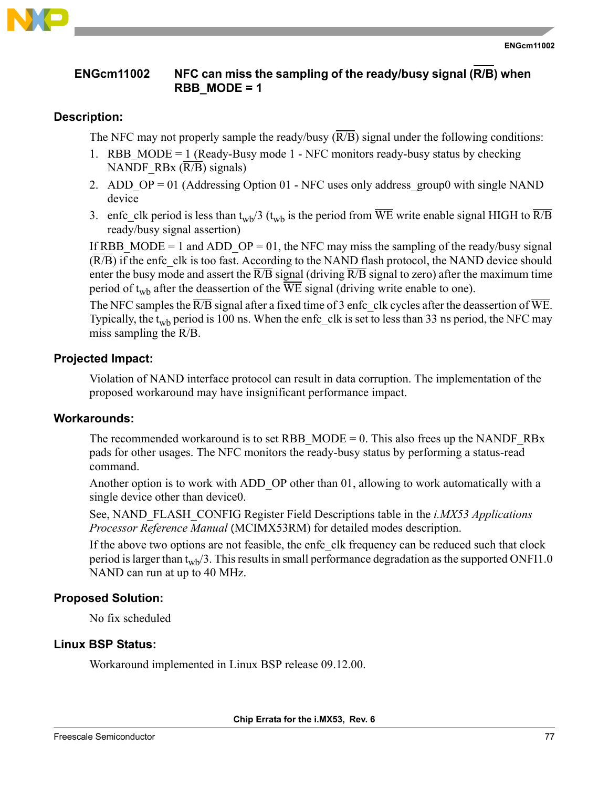

### **ENGcm11002 NFC can miss the sampling of the ready/busy signal (R/B) when RBB\_MODE = 1**

## **Description:**

The NFC may not properly sample the ready/busy  $(\overline{R/B})$  signal under the following conditions:

- 1. RBB MODE = 1 (Ready-Busy mode 1 NFC monitors ready-busy status by checking NANDF\_RBx  $(R/B)$  signals)
- 2. ADD  $OP = 01$  (Addressing Option 01 NFC uses only address\_group0 with single NAND device
- 3. enfc clk period is less than t<sub>wb</sub>/3 (t<sub>wb</sub> is the period from WE write enable signal HIGH to  $\overline{R/B}$ ready/busy signal assertion)

If RBB MODE = 1 and ADD OP = 01, the NFC may miss the sampling of the ready/busy signal  $(\overline{R/B})$  if the enfc clk is too fast. According to the NAND flash protocol, the NAND device should enter the busy mode and assert the  $\overline{R/B}$  signal (driving  $\overline{R/B}$  signal to zero) after the maximum time period of t<sub>wb</sub> after the deassertion of the  $\overline{WE}$  signal (driving write enable to one).

The NFC samples the  $\overline{R/B}$  signal after a fixed time of 3 enfc clk cycles after the deassertion of  $\overline{WE}$ . Typically, the t<sub>wb</sub> period is 100 ns. When the enfc clk is set to less than 33 ns period, the NFC may miss sampling the  $\overline{R/B}$ .

# **Projected Impact:**

Violation of NAND interface protocol can result in data corruption. The implementation of the proposed workaround may have insignificant performance impact.

## **Workarounds:**

The recommended workaround is to set RBB\_MODE = 0. This also frees up the NANDF\_RBx pads for other usages. The NFC monitors the ready-busy status by performing a status-read command.

Another option is to work with ADD\_OP other than 01, allowing to work automatically with a single device other than device0.

See, NAND\_FLASH\_CONFIG Register Field Descriptions table in the *i.MX53 Applications Processor Reference Manual* (MCIMX53RM) for detailed modes description.

If the above two options are not feasible, the enfc clk frequency can be reduced such that clock period is larger than  $t_{wrb}/3$ . This results in small performance degradation as the supported ONFI1.0 NAND can run at up to 40 MHz.

# **Proposed Solution:**

No fix scheduled

# **Linux BSP Status:**

Workaround implemented in Linux BSP release 09.12.00.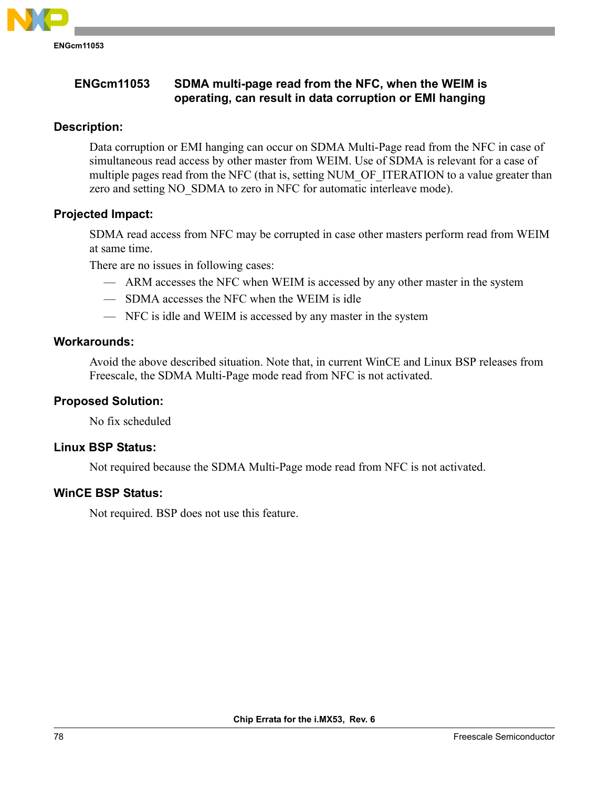

## **Description:**

Data corruption or EMI hanging can occur on SDMA Multi-Page read from the NFC in case of simultaneous read access by other master from WEIM. Use of SDMA is relevant for a case of multiple pages read from the NFC (that is, setting NUM\_OF\_ITERATION to a value greater than zero and setting NO\_SDMA to zero in NFC for automatic interleave mode).

## **Projected Impact:**

SDMA read access from NFC may be corrupted in case other masters perform read from WEIM at same time.

There are no issues in following cases:

- ARM accesses the NFC when WEIM is accessed by any other master in the system
- SDMA accesses the NFC when the WEIM is idle
- NFC is idle and WEIM is accessed by any master in the system

## **Workarounds:**

Avoid the above described situation. Note that, in current WinCE and Linux BSP releases from Freescale, the SDMA Multi-Page mode read from NFC is not activated.

## **Proposed Solution:**

No fix scheduled

## **Linux BSP Status:**

Not required because the SDMA Multi-Page mode read from NFC is not activated.

## **WinCE BSP Status:**

Not required. BSP does not use this feature.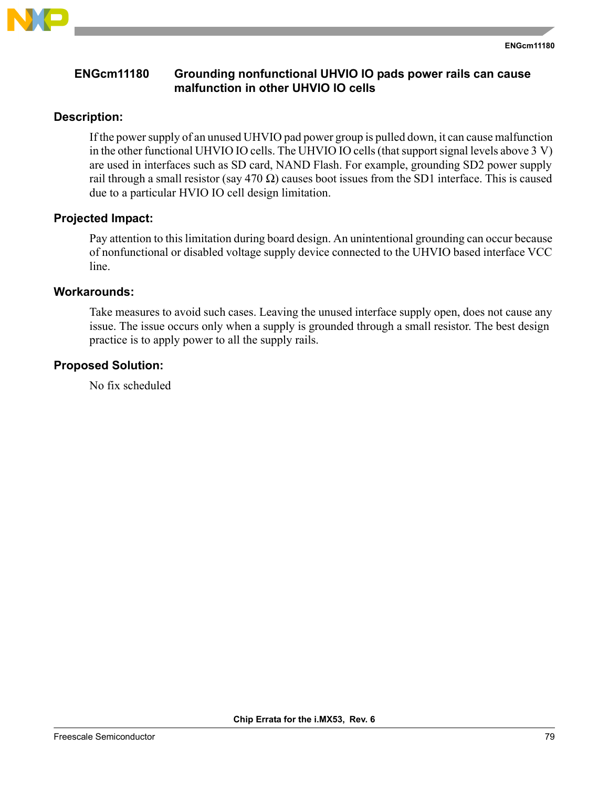

## **ENGcm11180 Grounding nonfunctional UHVIO IO pads power rails can cause malfunction in other UHVIO IO cells**

### **Description:**

If the power supply of an unused UHVIO pad power group is pulled down, it can cause malfunction in the other functional UHVIO IO cells. The UHVIO IO cells (that support signal levels above 3 V) are used in interfaces such as SD card, NAND Flash. For example, grounding SD2 power supply rail through a small resistor (say  $470 \Omega$ ) causes boot issues from the SD1 interface. This is caused due to a particular HVIO IO cell design limitation.

#### **Projected Impact:**

Pay attention to this limitation during board design. An unintentional grounding can occur because of nonfunctional or disabled voltage supply device connected to the UHVIO based interface VCC line.

#### **Workarounds:**

Take measures to avoid such cases. Leaving the unused interface supply open, does not cause any issue. The issue occurs only when a supply is grounded through a small resistor. The best design practice is to apply power to all the supply rails.

### **Proposed Solution:**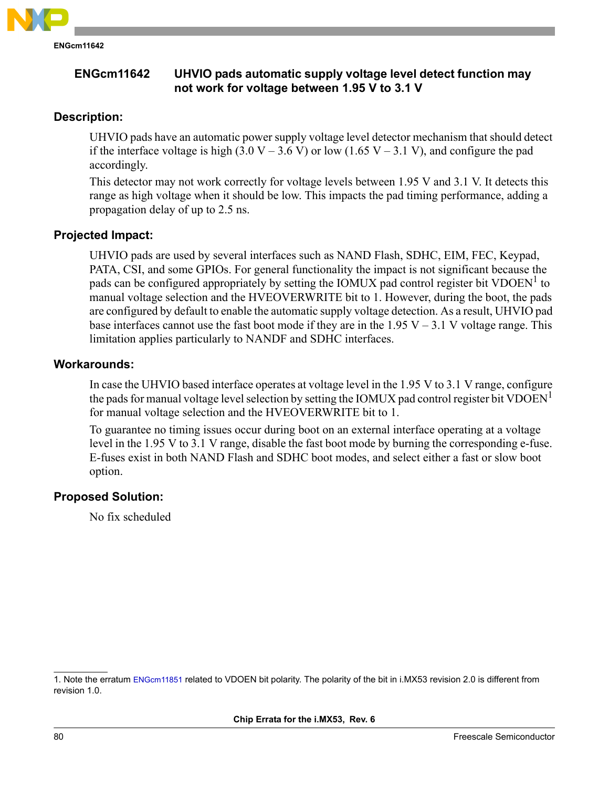

# **ENGcm11642 UHVIO pads automatic supply voltage level detect function may not work for voltage between 1.95 V to 3.1 V**

## **Description:**

UHVIO pads have an automatic power supply voltage level detector mechanism that should detect if the interface voltage is high  $(3.0 V - 3.6 V)$  or low  $(1.65 V - 3.1 V)$ , and configure the pad accordingly.

This detector may not work correctly for voltage levels between 1.95 V and 3.1 V. It detects this range as high voltage when it should be low. This impacts the pad timing performance, adding a propagation delay of up to 2.5 ns.

# **Projected Impact:**

UHVIO pads are used by several interfaces such as NAND Flash, SDHC, EIM, FEC, Keypad, PATA, CSI, and some GPIOs. For general functionality the impact is not significant because the pads can be configured appropriately by setting the IOMUX pad control register bit VDOEN<sup>1</sup> to manual voltage selection and the HVEOVERWRITE bit to 1. However, during the boot, the pads are configured by default to enable the automatic supply voltage detection. As a result, UHVIO pad base interfaces cannot use the fast boot mode if they are in the  $1.95 V - 3.1 V$  voltage range. This limitation applies particularly to NANDF and SDHC interfaces.

### **Workarounds:**

In case the UHVIO based interface operates at voltage level in the 1.95 V to 3.1 V range, configure the pads for manual voltage level selection by setting the IOMUX pad control register bit VDOEN<sup>1</sup> for manual voltage selection and the HVEOVERWRITE bit to 1.

To guarantee no timing issues occur during boot on an external interface operating at a voltage level in the 1.95 V to 3.1 V range, disable the fast boot mode by burning the corresponding e-fuse. E-fuses exist in both NAND Flash and SDHC boot modes, and select either a fast or slow boot option.

# **Proposed Solution:**

<sup>1.</sup> Note the erratum [ENGcm11851](#page-80-0) related to VDOEN bit polarity. The polarity of the bit in i.MX53 revision 2.0 is different from revision 1.0.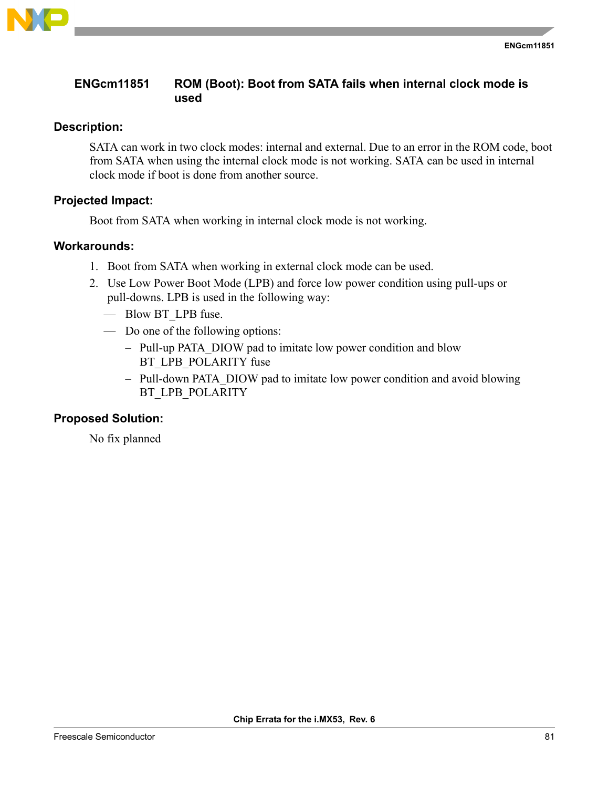

# <span id="page-80-0"></span>**ENGcm11851 ROM (Boot): Boot from SATA fails when internal clock mode is used**

### **Description:**

SATA can work in two clock modes: internal and external. Due to an error in the ROM code, boot from SATA when using the internal clock mode is not working. SATA can be used in internal clock mode if boot is done from another source.

### **Projected Impact:**

Boot from SATA when working in internal clock mode is not working.

#### **Workarounds:**

- 1. Boot from SATA when working in external clock mode can be used.
- 2. Use Low Power Boot Mode (LPB) and force low power condition using pull-ups or pull-downs. LPB is used in the following way:
	- Blow BT\_LPB fuse.
	- Do one of the following options:
		- Pull-up PATA\_DIOW pad to imitate low power condition and blow BT\_LPB\_POLARITY fuse
		- Pull-down PATA\_DIOW pad to imitate low power condition and avoid blowing BT\_LPB\_POLARITY

#### **Proposed Solution:**

No fix planned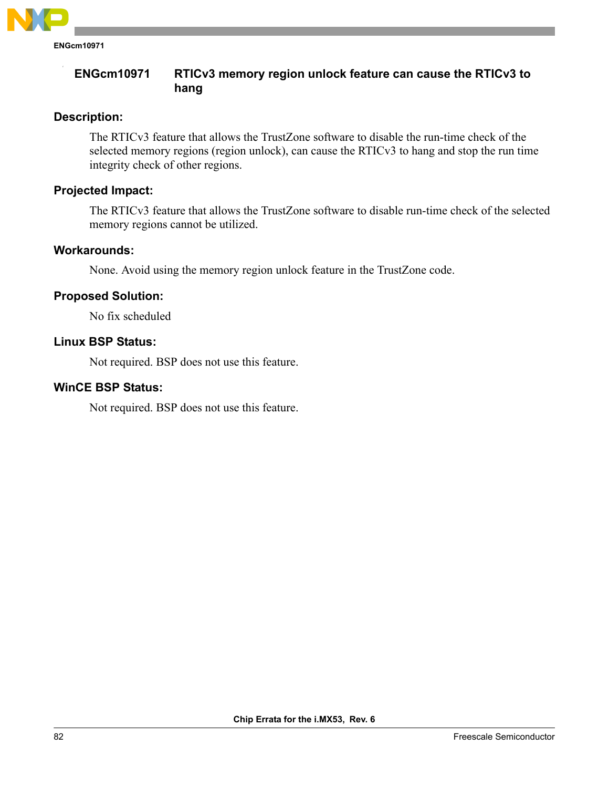

**ENGcm10971**

## **ENGcm10971 RTICv3 memory region unlock feature can cause the RTICv3 to hang**

# **Description:**

The RTICv3 feature that allows the TrustZone software to disable the run-time check of the selected memory regions (region unlock), can cause the RTICv3 to hang and stop the run time integrity check of other regions.

# **Projected Impact:**

The RTICv3 feature that allows the TrustZone software to disable run-time check of the selected memory regions cannot be utilized.

## **Workarounds:**

None. Avoid using the memory region unlock feature in the TrustZone code.

# **Proposed Solution:**

No fix scheduled

## **Linux BSP Status:**

Not required. BSP does not use this feature.

## **WinCE BSP Status:**

Not required. BSP does not use this feature.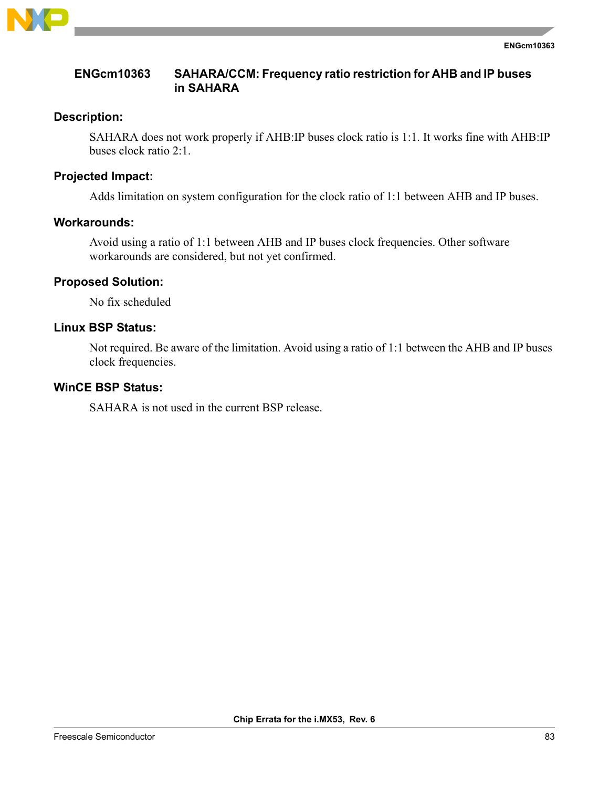

### **ENGcm10363 SAHARA/CCM: Frequency ratio restriction for AHB and IP buses in SAHARA**

### **Description:**

SAHARA does not work properly if AHB:IP buses clock ratio is 1:1. It works fine with AHB:IP buses clock ratio 2:1.

## **Projected Impact:**

Adds limitation on system configuration for the clock ratio of 1:1 between AHB and IP buses.

## **Workarounds:**

Avoid using a ratio of 1:1 between AHB and IP buses clock frequencies. Other software workarounds are considered, but not yet confirmed.

## **Proposed Solution:**

No fix scheduled

### **Linux BSP Status:**

Not required. Be aware of the limitation. Avoid using a ratio of 1:1 between the AHB and IP buses clock frequencies.

### **WinCE BSP Status:**

SAHARA is not used in the current BSP release.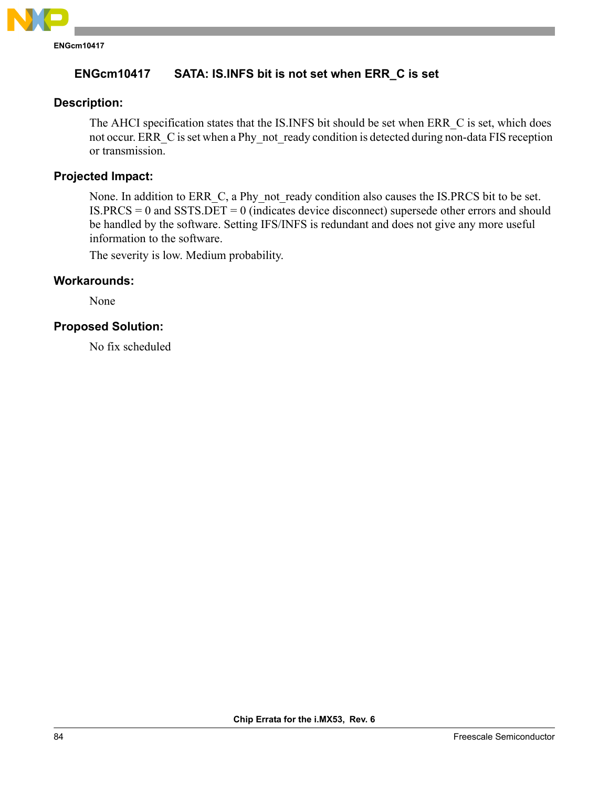

# **ENGcm10417 SATA: IS.INFS bit is not set when ERR\_C is set**

# **Description:**

The AHCI specification states that the IS.INFS bit should be set when ERR\_C is set, which does not occur. ERR C is set when a Phy not ready condition is detected during non-data FIS reception or transmission.

## **Projected Impact:**

None. In addition to ERR C, a Phy not ready condition also causes the IS.PRCS bit to be set. IS.PRCS = 0 and SSTS.DET = 0 (indicates device disconnect) supersede other errors and should be handled by the software. Setting IFS/INFS is redundant and does not give any more useful information to the software.

The severity is low. Medium probability.

## **Workarounds:**

None

## **Proposed Solution:**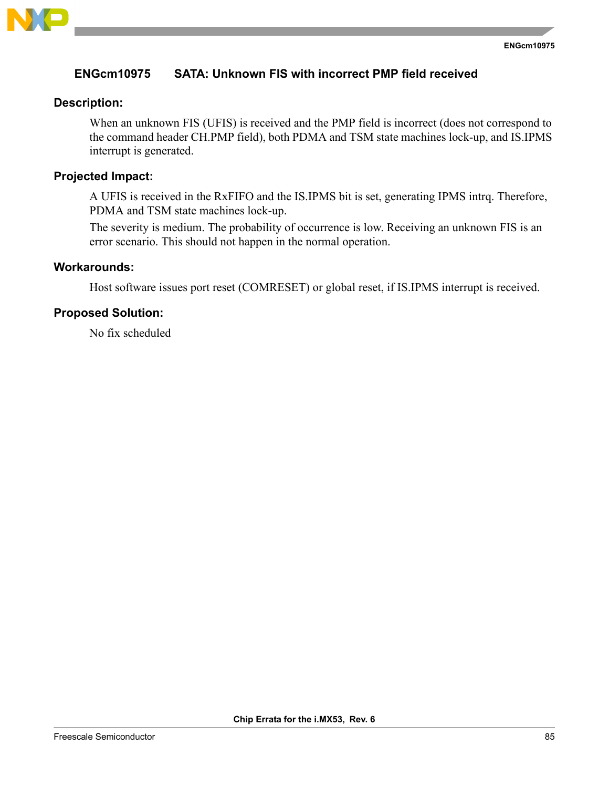

## **ENGcm10975 SATA: Unknown FIS with incorrect PMP field received**

### **Description:**

When an unknown FIS (UFIS) is received and the PMP field is incorrect (does not correspond to the command header CH.PMP field), both PDMA and TSM state machines lock-up, and IS.IPMS interrupt is generated.

### **Projected Impact:**

A UFIS is received in the RxFIFO and the IS.IPMS bit is set, generating IPMS intrq. Therefore, PDMA and TSM state machines lock-up.

The severity is medium. The probability of occurrence is low. Receiving an unknown FIS is an error scenario. This should not happen in the normal operation.

#### **Workarounds:**

Host software issues port reset (COMRESET) or global reset, if IS.IPMS interrupt is received.

#### **Proposed Solution:**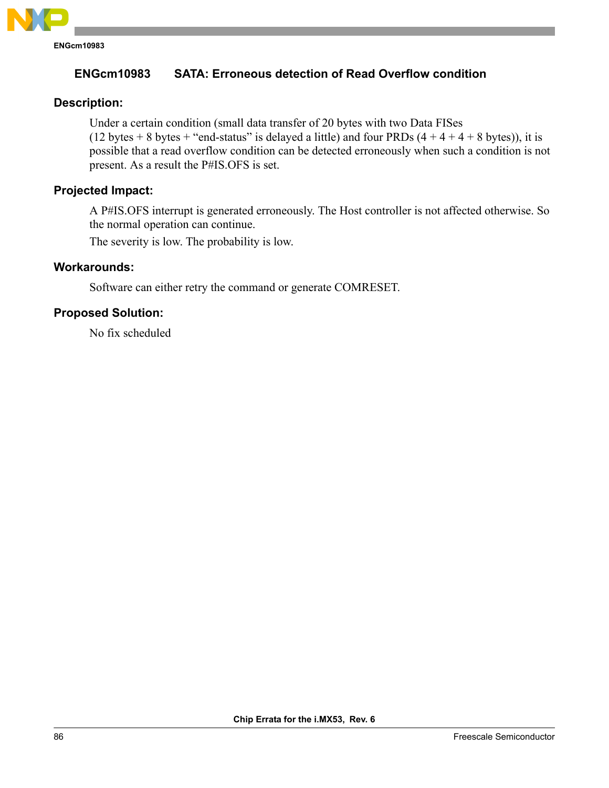

# **ENGcm10983 SATA: Erroneous detection of Read Overflow condition**

## **Description:**

Under a certain condition (small data transfer of 20 bytes with two Data FISes (12 bytes + 8 bytes + "end-status" is delayed a little) and four PRDs  $(4 + 4 + 4 + 8$  bytes)), it is possible that a read overflow condition can be detected erroneously when such a condition is not present. As a result the P#IS.OFS is set.

# **Projected Impact:**

A P#IS.OFS interrupt is generated erroneously. The Host controller is not affected otherwise. So the normal operation can continue.

The severity is low. The probability is low.

#### **Workarounds:**

Software can either retry the command or generate COMRESET.

#### **Proposed Solution:**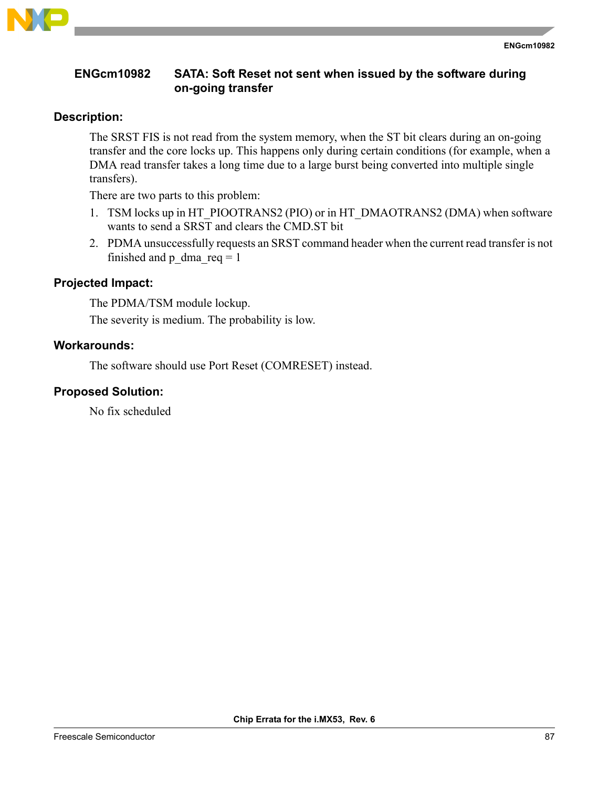

## **ENGcm10982 SATA: Soft Reset not sent when issued by the software during on-going transfer**

## **Description:**

The SRST FIS is not read from the system memory, when the ST bit clears during an on-going transfer and the core locks up. This happens only during certain conditions (for example, when a DMA read transfer takes a long time due to a large burst being converted into multiple single transfers).

There are two parts to this problem:

- 1. TSM locks up in HT\_PIOOTRANS2 (PIO) or in HT\_DMAOTRANS2 (DMA) when software wants to send a SRST and clears the CMD.ST bit
- 2. PDMA unsuccessfully requests an SRST command header when the current read transfer is not finished and p\_dma\_req = 1

# **Projected Impact:**

The PDMA/TSM module lockup. The severity is medium. The probability is low.

### **Workarounds:**

The software should use Port Reset (COMRESET) instead.

### **Proposed Solution:**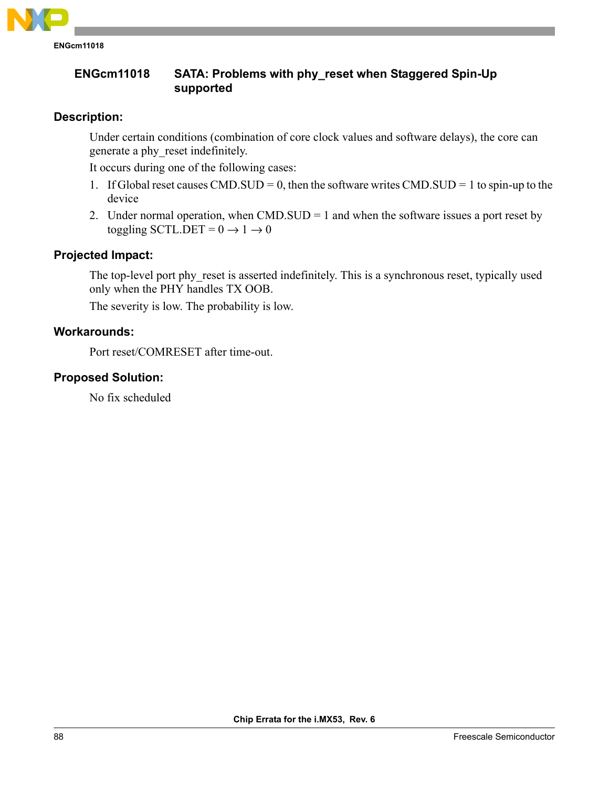

**ENGcm11018 SATA: Problems with phy\_reset when Staggered Spin-Up supported**

# **Description:**

Under certain conditions (combination of core clock values and software delays), the core can generate a phy\_reset indefinitely.

It occurs during one of the following cases:

- 1. If Global reset causes CMD.SUD = 0, then the software writes CMD.SUD = 1 to spin-up to the device
- 2. Under normal operation, when CMD.SUD = 1 and when the software issues a port reset by toggling SCTL.DET =  $0 \rightarrow 1 \rightarrow 0$

# **Projected Impact:**

The top-level port phy reset is asserted indefinitely. This is a synchronous reset, typically used only when the PHY handles TX OOB.

The severity is low. The probability is low.

### **Workarounds:**

Port reset/COMRESET after time-out.

## **Proposed Solution:**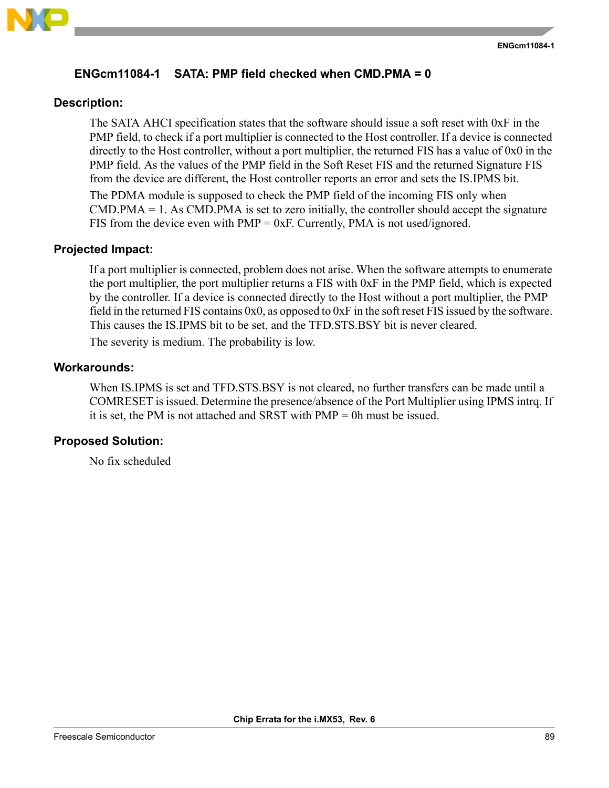

# **ENGcm11084-1 SATA: PMP field checked when CMD.PMA = 0**

## **Description:**

The SATA AHCI specification states that the software should issue a soft reset with 0xF in the PMP field, to check if a port multiplier is connected to the Host controller. If a device is connected directly to the Host controller, without a port multiplier, the returned FIS has a value of 0x0 in the PMP field. As the values of the PMP field in the Soft Reset FIS and the returned Signature FIS from the device are different, the Host controller reports an error and sets the IS.IPMS bit. The PDMA module is supposed to check the PMP field of the incoming FIS only when  $CMD.PMA = 1. As CMD.PMA is set to zero initially, the controller should accept the signature$ FIS from the device even with  $PMP = 0xF$ . Currently,  $PMA$  is not used/ignored.

## **Projected Impact:**

If a port multiplier is connected, problem does not arise. When the software attempts to enumerate the port multiplier, the port multiplier returns a FIS with 0xF in the PMP field, which is expected by the controller. If a device is connected directly to the Host without a port multiplier, the PMP field in the returned FIS contains 0x0, as opposed to 0xF in the soft reset FIS issued by the software. This causes the IS.IPMS bit to be set, and the TFD.STS.BSY bit is never cleared. The severity is medium. The probability is low.

### **Workarounds:**

When IS.IPMS is set and TFD.STS.BSY is not cleared, no further transfers can be made until a COMRESET is issued. Determine the presence/absence of the Port Multiplier using IPMS intrq. If it is set, the PM is not attached and SRST with PMP = 0h must be issued.

## **Proposed Solution:**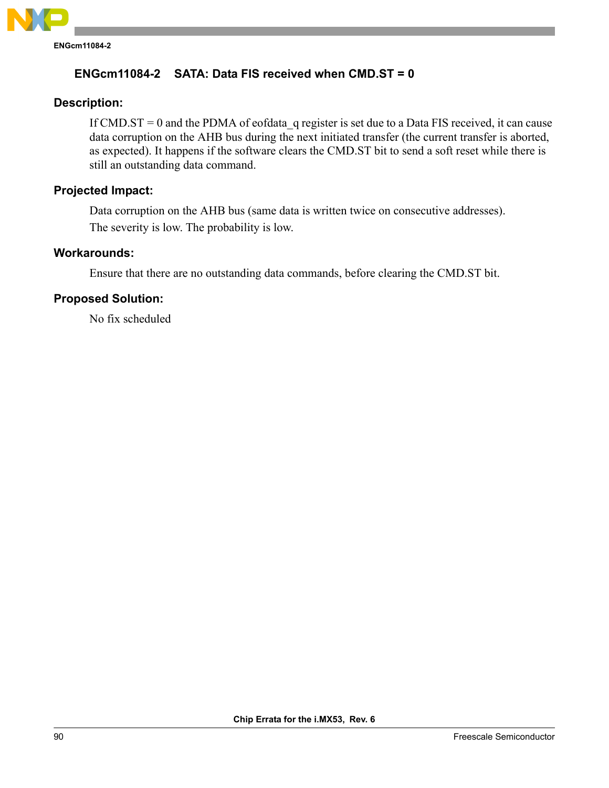

## **ENGcm11084-2 SATA: Data FIS received when CMD.ST = 0**

### **Description:**

If CMD.ST = 0 and the PDMA of eofdata\_q register is set due to a Data FIS received, it can cause data corruption on the AHB bus during the next initiated transfer (the current transfer is aborted, as expected). It happens if the software clears the CMD.ST bit to send a soft reset while there is still an outstanding data command.

## **Projected Impact:**

Data corruption on the AHB bus (same data is written twice on consecutive addresses). The severity is low. The probability is low.

#### **Workarounds:**

Ensure that there are no outstanding data commands, before clearing the CMD.ST bit.

#### **Proposed Solution:**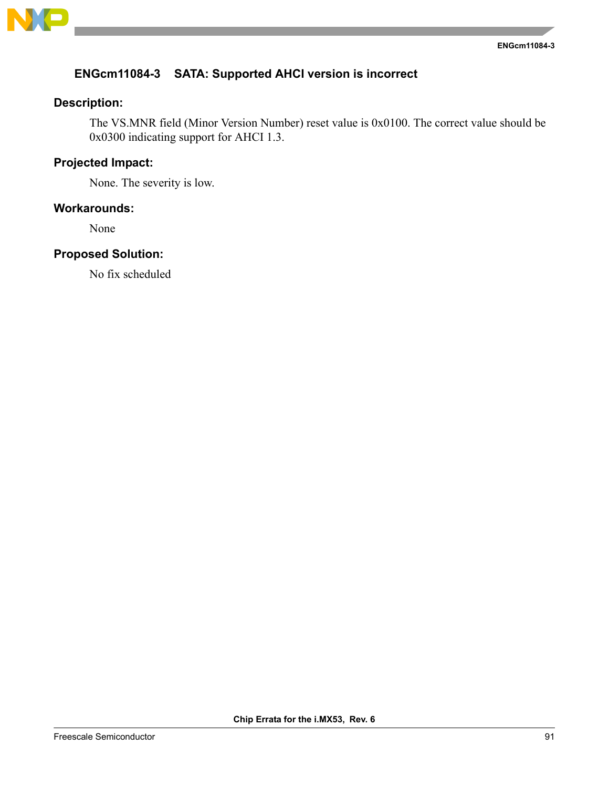

# **ENGcm11084-3 SATA: Supported AHCI version is incorrect**

# **Description:**

The VS.MNR field (Minor Version Number) reset value is 0x0100. The correct value should be 0x0300 indicating support for AHCI 1.3.

# **Projected Impact:**

None. The severity is low.

### **Workarounds:**

None

# **Proposed Solution:**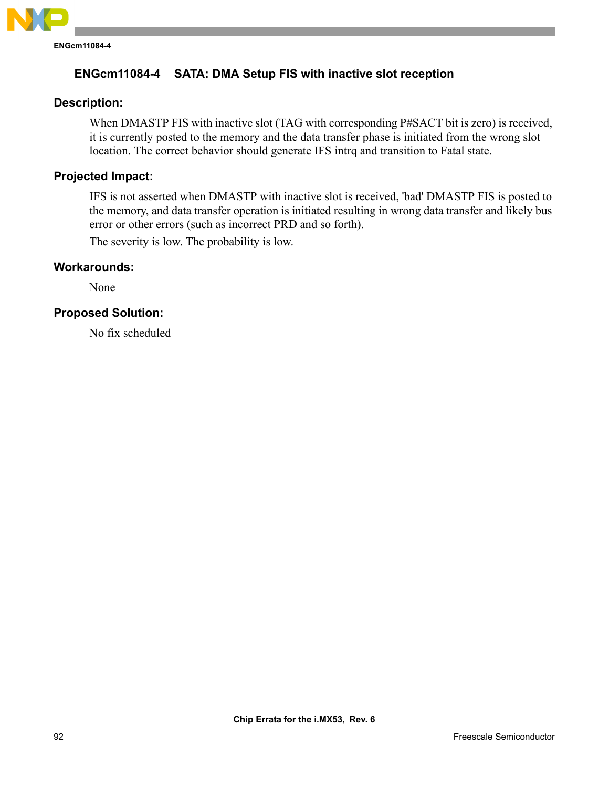

# **ENGcm11084-4 SATA: DMA Setup FIS with inactive slot reception**

### **Description:**

When DMASTP FIS with inactive slot (TAG with corresponding P#SACT bit is zero) is received, it is currently posted to the memory and the data transfer phase is initiated from the wrong slot location. The correct behavior should generate IFS intrq and transition to Fatal state.

# **Projected Impact:**

IFS is not asserted when DMASTP with inactive slot is received, 'bad' DMASTP FIS is posted to the memory, and data transfer operation is initiated resulting in wrong data transfer and likely bus error or other errors (such as incorrect PRD and so forth).

The severity is low. The probability is low.

#### **Workarounds:**

None

### **Proposed Solution:**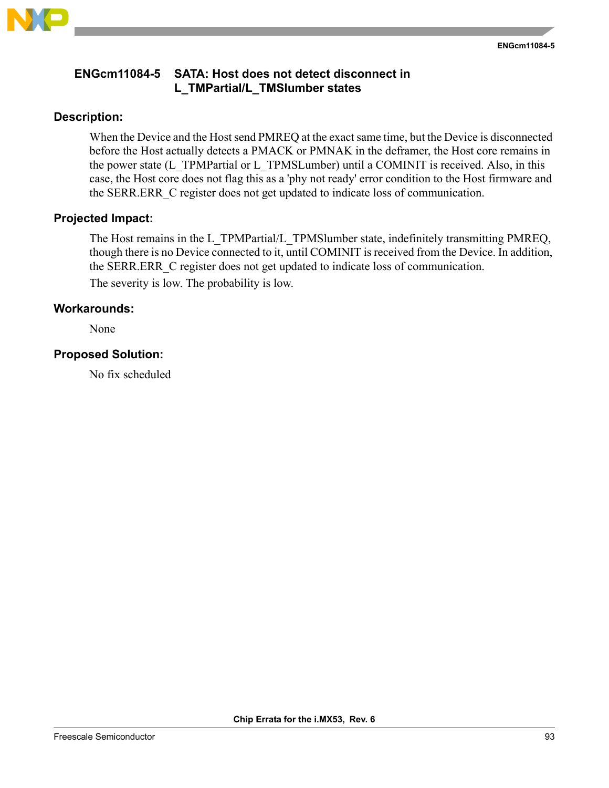

## **ENGcm11084-5 SATA: Host does not detect disconnect in L\_TMPartial/L\_TMSlumber states**

### **Description:**

When the Device and the Host send PMREQ at the exact same time, but the Device is disconnected before the Host actually detects a PMACK or PMNAK in the deframer, the Host core remains in the power state (L\_TPMPartial or L\_TPMSLumber) until a COMINIT is received. Also, in this case, the Host core does not flag this as a 'phy not ready' error condition to the Host firmware and the SERR.ERR\_C register does not get updated to indicate loss of communication.

### **Projected Impact:**

The Host remains in the L\_TPMPartial/L\_TPMSlumber state, indefinitely transmitting PMREQ, though there is no Device connected to it, until COMINIT is received from the Device. In addition, the SERR.ERR\_C register does not get updated to indicate loss of communication.

The severity is low. The probability is low.

#### **Workarounds:**

None

### **Proposed Solution:**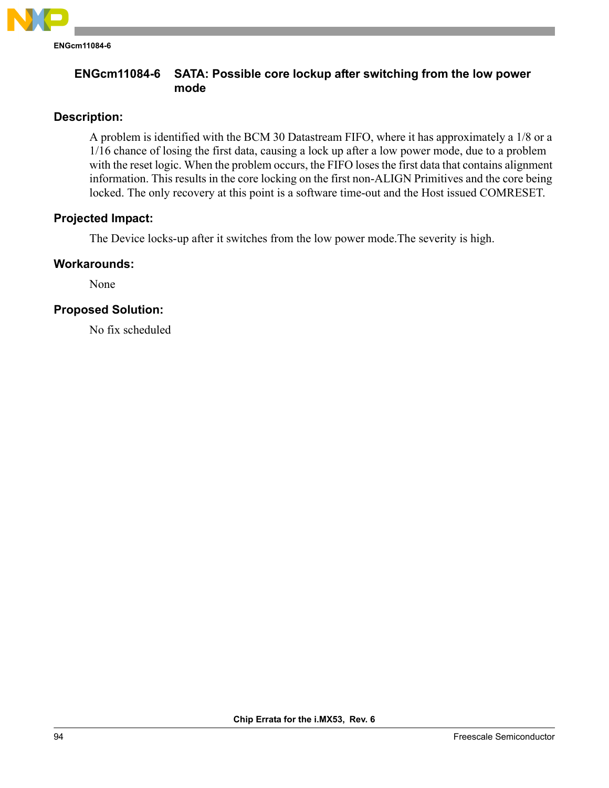

**ENGcm11084-6**

## **ENGcm11084-6 SATA: Possible core lockup after switching from the low power mode**

## **Description:**

A problem is identified with the BCM 30 Datastream FIFO, where it has approximately a 1/8 or a 1/16 chance of losing the first data, causing a lock up after a low power mode, due to a problem with the reset logic. When the problem occurs, the FIFO loses the first data that contains alignment information. This results in the core locking on the first non-ALIGN Primitives and the core being locked. The only recovery at this point is a software time-out and the Host issued COMRESET.

# **Projected Impact:**

The Device locks-up after it switches from the low power mode.The severity is high.

## **Workarounds:**

None

# **Proposed Solution:**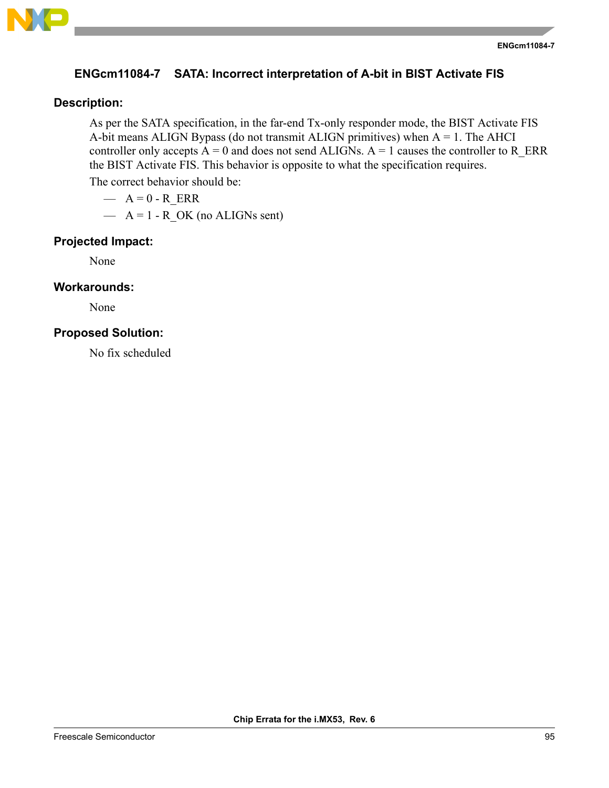

## **ENGcm11084-7 SATA: Incorrect interpretation of A-bit in BIST Activate FIS**

### **Description:**

As per the SATA specification, in the far-end Tx-only responder mode, the BIST Activate FIS A-bit means ALIGN Bypass (do not transmit ALIGN primitives) when A = 1. The AHCI controller only accepts  $A = 0$  and does not send ALIGNs.  $A = 1$  causes the controller to R\_ERR the BIST Activate FIS. This behavior is opposite to what the specification requires.

The correct behavior should be:

- $A = 0 R$  ERR
- $-$  A = 1 R OK (no ALIGNs sent)

#### **Projected Impact:**

None

#### **Workarounds:**

None

#### **Proposed Solution:**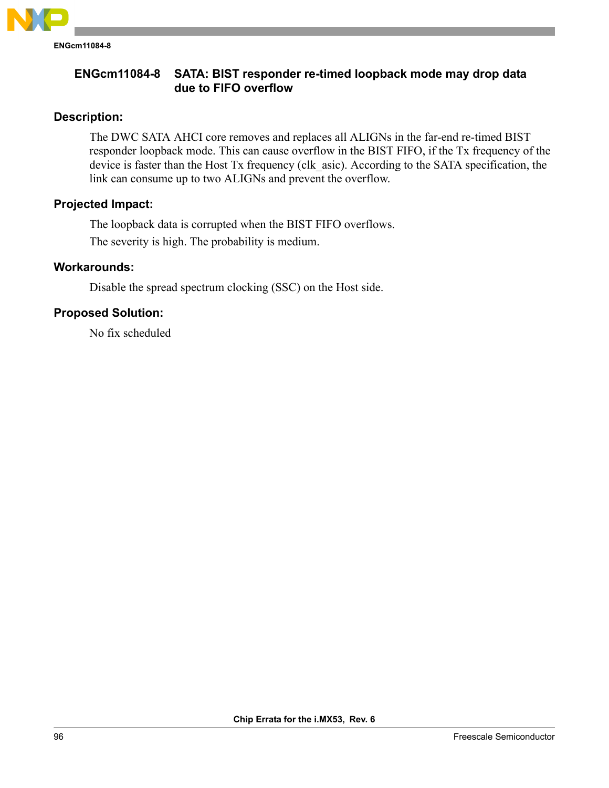

## **ENGcm11084-8 SATA: BIST responder re-timed loopback mode may drop data due to FIFO overflow**

# **Description:**

The DWC SATA AHCI core removes and replaces all ALIGNs in the far-end re-timed BIST responder loopback mode. This can cause overflow in the BIST FIFO, if the Tx frequency of the device is faster than the Host Tx frequency (clk\_asic). According to the SATA specification, the link can consume up to two ALIGNs and prevent the overflow.

## **Projected Impact:**

The loopback data is corrupted when the BIST FIFO overflows. The severity is high. The probability is medium.

## **Workarounds:**

Disable the spread spectrum clocking (SSC) on the Host side.

# **Proposed Solution:**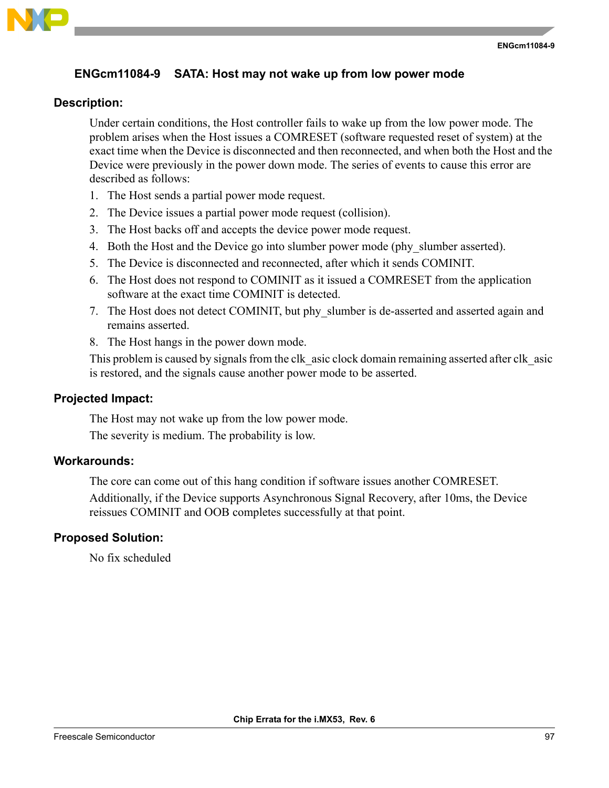

## **ENGcm11084-9 SATA: Host may not wake up from low power mode**

#### **Description:**

Under certain conditions, the Host controller fails to wake up from the low power mode. The problem arises when the Host issues a COMRESET (software requested reset of system) at the exact time when the Device is disconnected and then reconnected, and when both the Host and the Device were previously in the power down mode. The series of events to cause this error are described as follows:

- 1. The Host sends a partial power mode request.
- 2. The Device issues a partial power mode request (collision).
- 3. The Host backs off and accepts the device power mode request.
- 4. Both the Host and the Device go into slumber power mode (phy\_slumber asserted).
- 5. The Device is disconnected and reconnected, after which it sends COMINIT.
- 6. The Host does not respond to COMINIT as it issued a COMRESET from the application software at the exact time COMINIT is detected.
- 7. The Host does not detect COMINIT, but phy\_slumber is de-asserted and asserted again and remains asserted.
- 8. The Host hangs in the power down mode.

This problem is caused by signals from the clk asic clock domain remaining asserted after clk asic is restored, and the signals cause another power mode to be asserted.

#### **Projected Impact:**

The Host may not wake up from the low power mode.

The severity is medium. The probability is low.

#### **Workarounds:**

The core can come out of this hang condition if software issues another COMRESET.

Additionally, if the Device supports Asynchronous Signal Recovery, after 10ms, the Device reissues COMINIT and OOB completes successfully at that point.

#### **Proposed Solution:**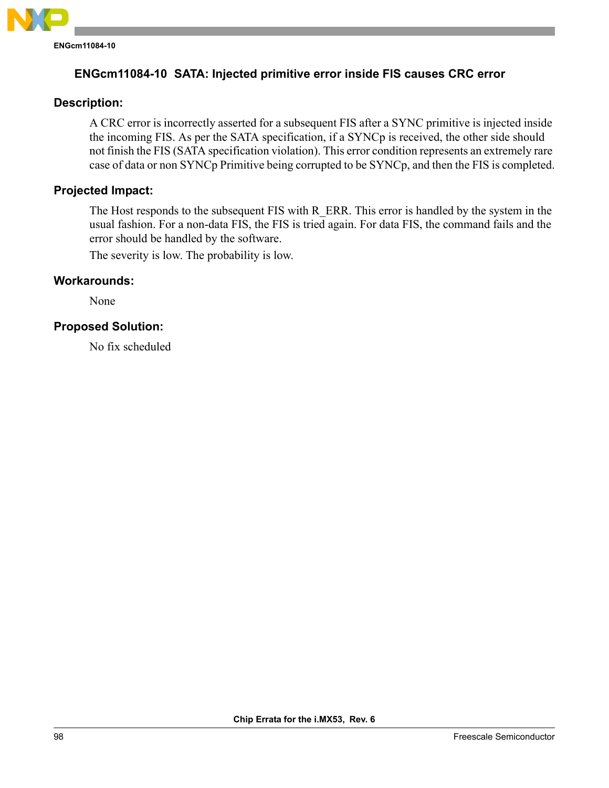

# **ENGcm11084-10 SATA: Injected primitive error inside FIS causes CRC error**

### **Description:**

A CRC error is incorrectly asserted for a subsequent FIS after a SYNC primitive is injected inside the incoming FIS. As per the SATA specification, if a SYNCp is received, the other side should not finish the FIS (SATA specification violation). This error condition represents an extremely rare case of data or non SYNCp Primitive being corrupted to be SYNCp, and then the FIS is completed.

### **Projected Impact:**

The Host responds to the subsequent FIS with R\_ERR. This error is handled by the system in the usual fashion. For a non-data FIS, the FIS is tried again. For data FIS, the command fails and the error should be handled by the software.

The severity is low. The probability is low.

## **Workarounds:**

None

### **Proposed Solution:**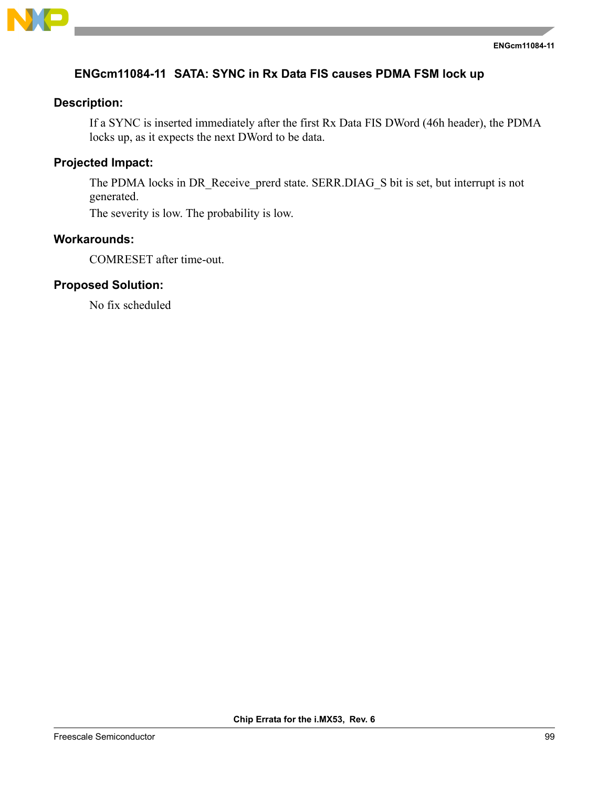

# **ENGcm11084-11 SATA: SYNC in Rx Data FIS causes PDMA FSM lock up**

### **Description:**

If a SYNC is inserted immediately after the first Rx Data FIS DWord (46h header), the PDMA locks up, as it expects the next DWord to be data.

# **Projected Impact:**

The PDMA locks in DR\_Receive\_prerd state. SERR.DIAG\_S bit is set, but interrupt is not generated.

The severity is low. The probability is low.

## **Workarounds:**

COMRESET after time-out.

### **Proposed Solution:**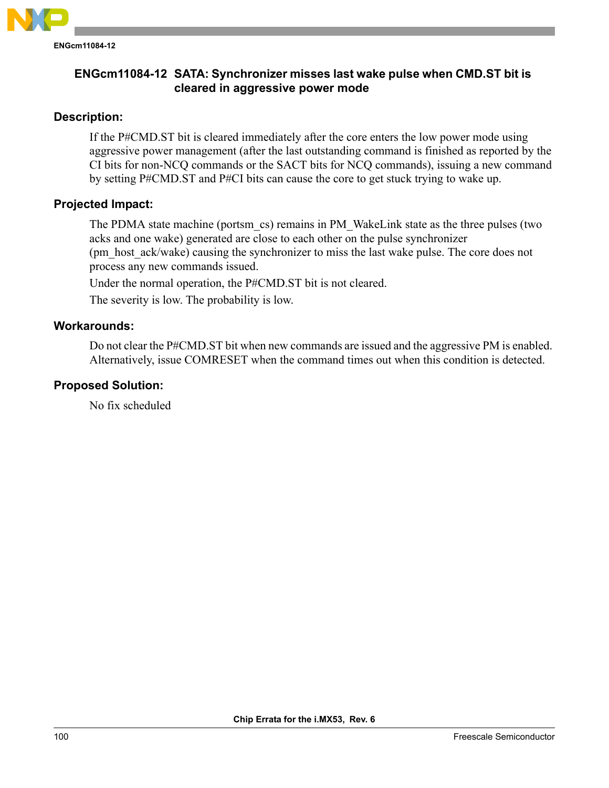

# **Description:**

If the P#CMD.ST bit is cleared immediately after the core enters the low power mode using aggressive power management (after the last outstanding command is finished as reported by the CI bits for non-NCQ commands or the SACT bits for NCQ commands), issuing a new command by setting P#CMD.ST and P#CI bits can cause the core to get stuck trying to wake up.

## **Projected Impact:**

The PDMA state machine (portsm\_cs) remains in PM\_WakeLink state as the three pulses (two acks and one wake) generated are close to each other on the pulse synchronizer (pm\_host\_ack/wake) causing the synchronizer to miss the last wake pulse. The core does not process any new commands issued.

Under the normal operation, the P#CMD.ST bit is not cleared.

The severity is low. The probability is low.

## **Workarounds:**

Do not clear the P#CMD.ST bit when new commands are issued and the aggressive PM is enabled. Alternatively, issue COMRESET when the command times out when this condition is detected.

## **Proposed Solution:**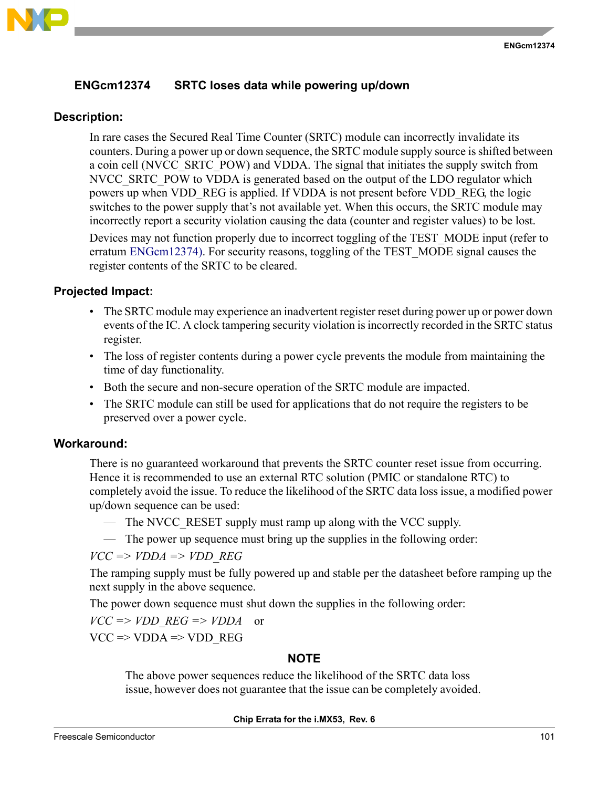

# <span id="page-100-0"></span>**ENGcm12374 SRTC loses data while powering up/down**

### **Description:**

In rare cases the Secured Real Time Counter (SRTC) module can incorrectly invalidate its counters. During a power up or down sequence, the SRTC module supply source is shifted between a coin cell (NVCC\_SRTC\_POW) and VDDA. The signal that initiates the supply switch from NVCC\_SRTC\_POW to VDDA is generated based on the output of the LDO regulator which powers up when VDD\_REG is applied. If VDDA is not present before VDD\_REG, the logic switches to the power supply that's not available yet. When this occurs, the SRTC module may incorrectly report a security violation causing the data (counter and register values) to be lost.

Devices may not function properly due to incorrect toggling of the TEST\_MODE input (refer to erratum [ENGcm12374\)](#page-100-0). For security reasons, toggling of the TEST\_MODE signal causes the register contents of the SRTC to be cleared.

## **Projected Impact:**

- The SRTC module may experience an inadvertent register reset during power up or power down events of the IC. A clock tampering security violation is incorrectly recorded in the SRTC status register.
- The loss of register contents during a power cycle prevents the module from maintaining the time of day functionality.
- Both the secure and non-secure operation of the SRTC module are impacted.
- The SRTC module can still be used for applications that do not require the registers to be preserved over a power cycle.

## **Workaround:**

There is no guaranteed workaround that prevents the SRTC counter reset issue from occurring. Hence it is recommended to use an external RTC solution (PMIC or standalone RTC) to completely avoid the issue. To reduce the likelihood of the SRTC data loss issue, a modified power up/down sequence can be used:

- The NVCC RESET supply must ramp up along with the VCC supply.
- The power up sequence must bring up the supplies in the following order:

 $VCC \Rightarrow VDDA \Rightarrow VDD$  *REG* 

The ramping supply must be fully powered up and stable per the datasheet before ramping up the next supply in the above sequence.

The power down sequence must shut down the supplies in the following order:

 $VCC \Rightarrow VDD \, REG \Rightarrow VDDA$  or

 $VCC \Rightarrow VDDA \Rightarrow VDD$  REG

## **NOTE**

The above power sequences reduce the likelihood of the SRTC data loss issue, however does not guarantee that the issue can be completely avoided.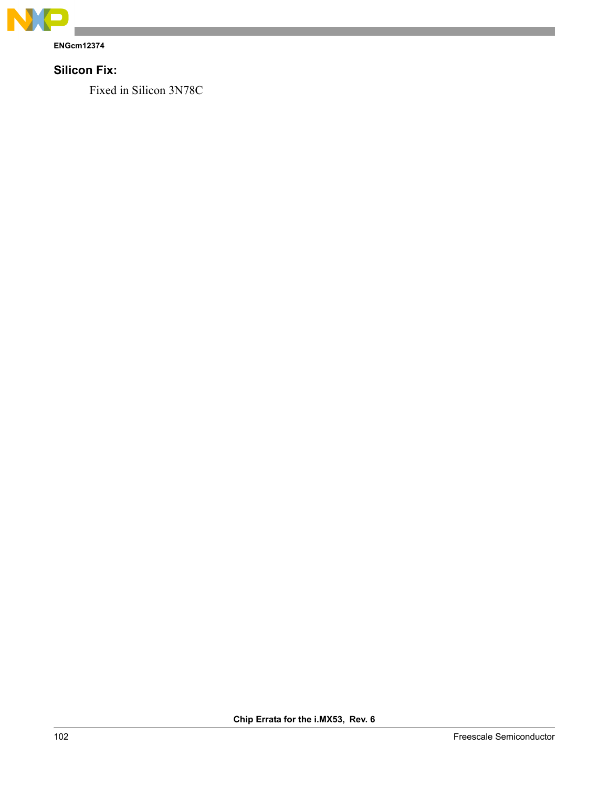

**ENGcm12374**

# **Silicon Fix:**

Fixed in Silicon 3N78C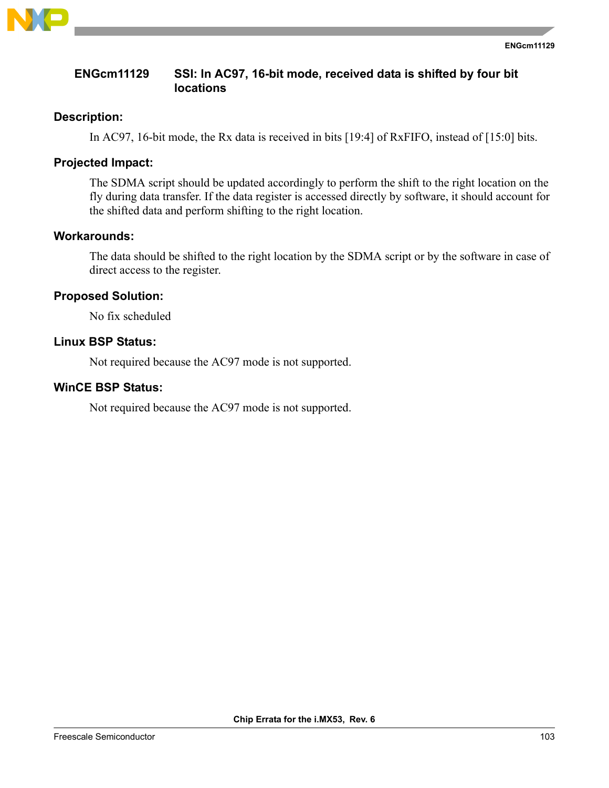

## **ENGcm11129 SSI: In AC97, 16-bit mode, received data is shifted by four bit locations**

### **Description:**

In AC97, 16-bit mode, the Rx data is received in bits [19:4] of RxFIFO, instead of [15:0] bits.

### **Projected Impact:**

The SDMA script should be updated accordingly to perform the shift to the right location on the fly during data transfer. If the data register is accessed directly by software, it should account for the shifted data and perform shifting to the right location.

### **Workarounds:**

The data should be shifted to the right location by the SDMA script or by the software in case of direct access to the register.

### **Proposed Solution:**

No fix scheduled

## **Linux BSP Status:**

Not required because the AC97 mode is not supported.

### **WinCE BSP Status:**

Not required because the AC97 mode is not supported.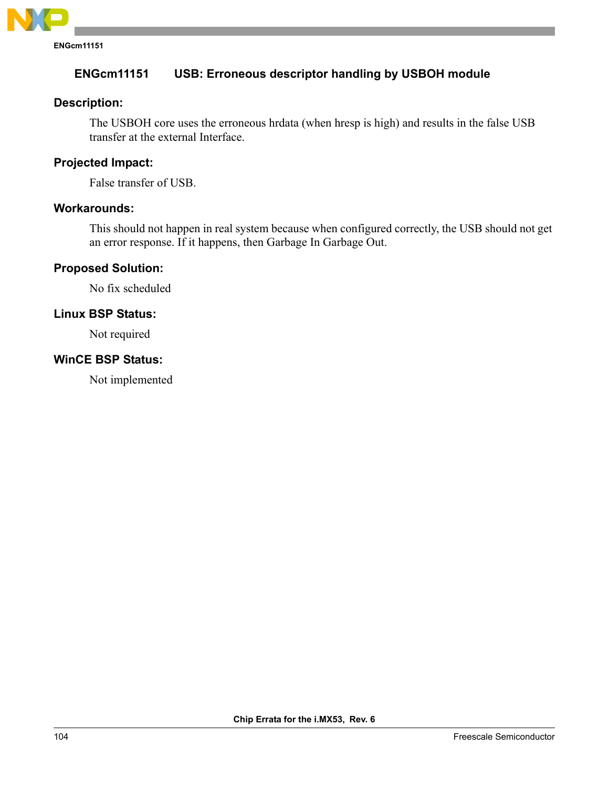

# **ENGcm11151 USB: Erroneous descriptor handling by USBOH module**

### **Description:**

The USBOH core uses the erroneous hrdata (when hresp is high) and results in the false USB transfer at the external Interface.

### **Projected Impact:**

False transfer of USB.

### **Workarounds:**

This should not happen in real system because when configured correctly, the USB should not get an error response. If it happens, then Garbage In Garbage Out.

### **Proposed Solution:**

No fix scheduled

### **Linux BSP Status:**

Not required

## **WinCE BSP Status:**

Not implemented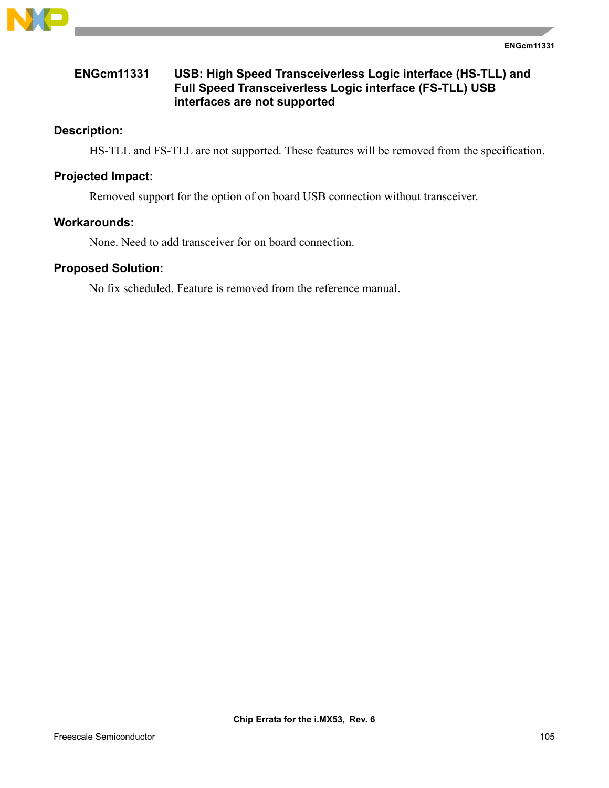

# **ENGcm11331 USB: High Speed Transceiverless Logic interface (HS-TLL) and Full Speed Transceiverless Logic interface (FS-TLL) USB interfaces are not supported**

# **Description:**

HS-TLL and FS-TLL are not supported. These features will be removed from the specification.

### **Projected Impact:**

Removed support for the option of on board USB connection without transceiver.

### **Workarounds:**

None. Need to add transceiver for on board connection.

### **Proposed Solution:**

No fix scheduled. Feature is removed from the reference manual.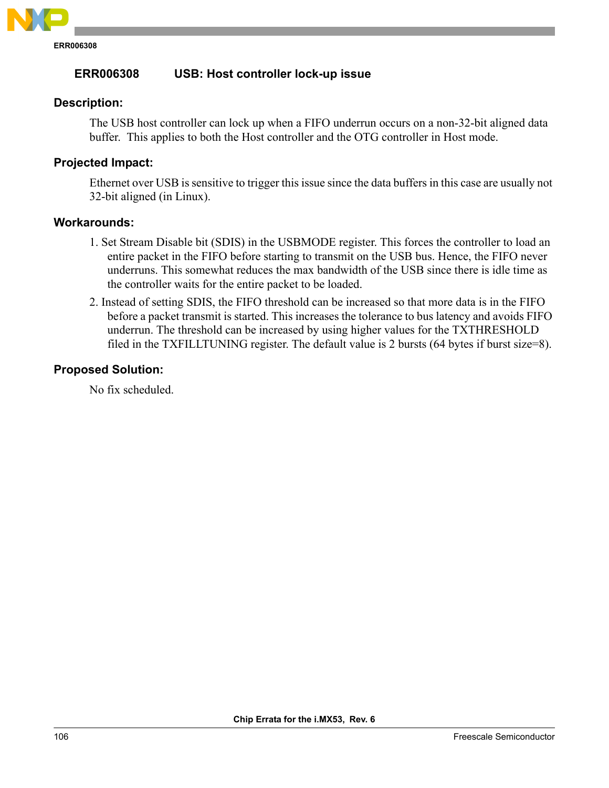

# **ERR006308 USB: Host controller lock-up issue**

### **Description:**

The USB host controller can lock up when a FIFO underrun occurs on a non-32-bit aligned data buffer. This applies to both the Host controller and the OTG controller in Host mode.

### **Projected Impact:**

Ethernet over USB is sensitive to trigger this issue since the data buffers in this case are usually not 32-bit aligned (in Linux).

#### **Workarounds:**

- 1. Set Stream Disable bit (SDIS) in the USBMODE register. This forces the controller to load an entire packet in the FIFO before starting to transmit on the USB bus. Hence, the FIFO never underruns. This somewhat reduces the max bandwidth of the USB since there is idle time as the controller waits for the entire packet to be loaded.
- 2. Instead of setting SDIS, the FIFO threshold can be increased so that more data is in the FIFO before a packet transmit is started. This increases the tolerance to bus latency and avoids FIFO underrun. The threshold can be increased by using higher values for the TXTHRESHOLD filed in the TXFILLTUNING register. The default value is 2 bursts (64 bytes if burst size=8).

### **Proposed Solution:**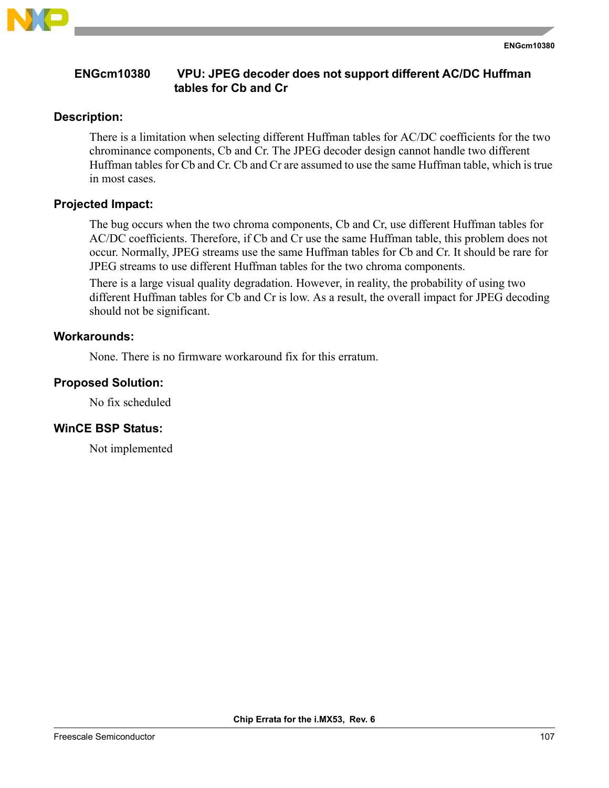

## **ENGcm10380 VPU: JPEG decoder does not support different AC/DC Huffman tables for Cb and Cr**

## **Description:**

There is a limitation when selecting different Huffman tables for AC/DC coefficients for the two chrominance components, Cb and Cr. The JPEG decoder design cannot handle two different Huffman tables for Cb and Cr. Cb and Cr are assumed to use the same Huffman table, which is true in most cases.

# **Projected Impact:**

The bug occurs when the two chroma components, Cb and Cr, use different Huffman tables for AC/DC coefficients. Therefore, if Cb and Cr use the same Huffman table, this problem does not occur. Normally, JPEG streams use the same Huffman tables for Cb and Cr. It should be rare for JPEG streams to use different Huffman tables for the two chroma components.

There is a large visual quality degradation. However, in reality, the probability of using two different Huffman tables for Cb and Cr is low. As a result, the overall impact for JPEG decoding should not be significant.

# **Workarounds:**

None. There is no firmware workaround fix for this erratum.

# **Proposed Solution:**

No fix scheduled

## **WinCE BSP Status:**

Not implemented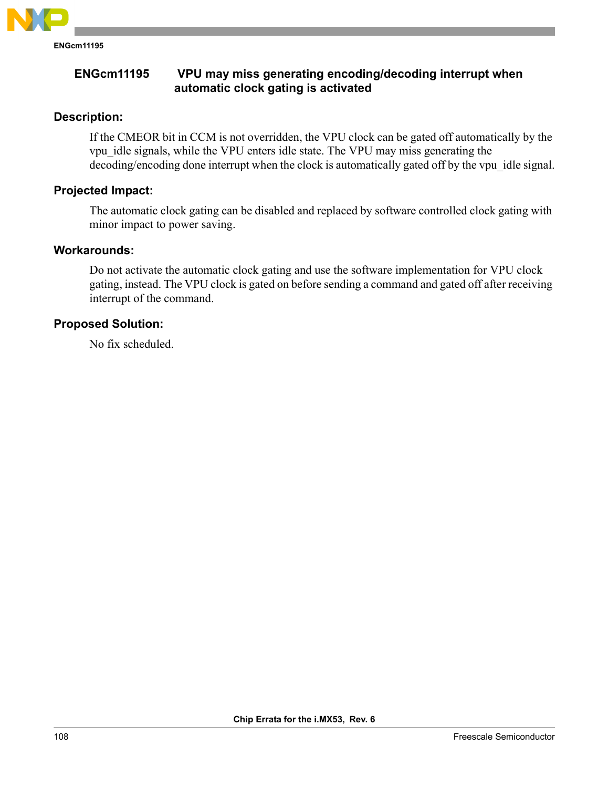

## **ENGcm11195 VPU may miss generating encoding/decoding interrupt when automatic clock gating is activated**

### **Description:**

If the CMEOR bit in CCM is not overridden, the VPU clock can be gated off automatically by the vpu\_idle signals, while the VPU enters idle state. The VPU may miss generating the decoding/encoding done interrupt when the clock is automatically gated off by the vpu idle signal.

### **Projected Impact:**

The automatic clock gating can be disabled and replaced by software controlled clock gating with minor impact to power saving.

#### **Workarounds:**

Do not activate the automatic clock gating and use the software implementation for VPU clock gating, instead. The VPU clock is gated on before sending a command and gated off after receiving interrupt of the command.

### **Proposed Solution:**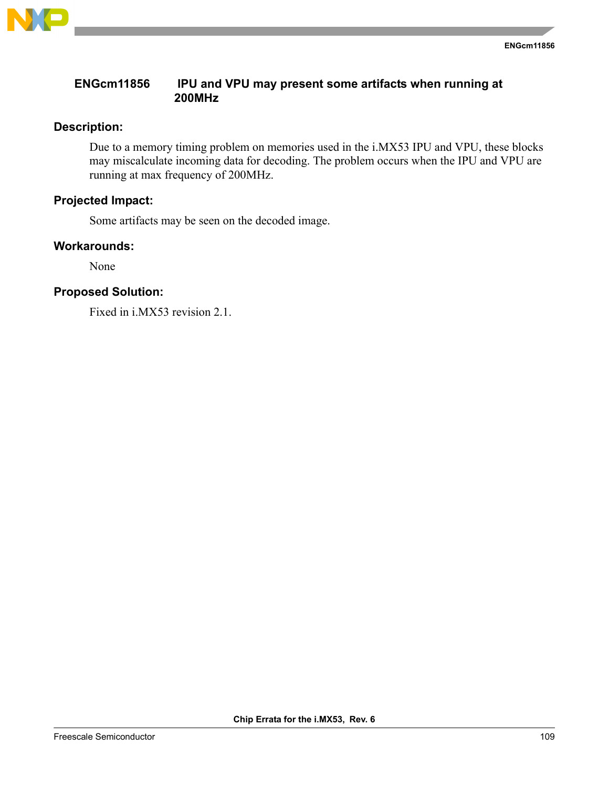

# **ENGcm11856 IPU and VPU may present some artifacts when running at 200MHz**

#### **Description:**

Due to a memory timing problem on memories used in the i.MX53 IPU and VPU, these blocks may miscalculate incoming data for decoding. The problem occurs when the IPU and VPU are running at max frequency of 200MHz.

# **Projected Impact:**

Some artifacts may be seen on the decoded image.

#### **Workarounds:**

None

# **Proposed Solution:**

Fixed in i.MX53 revision 2.1.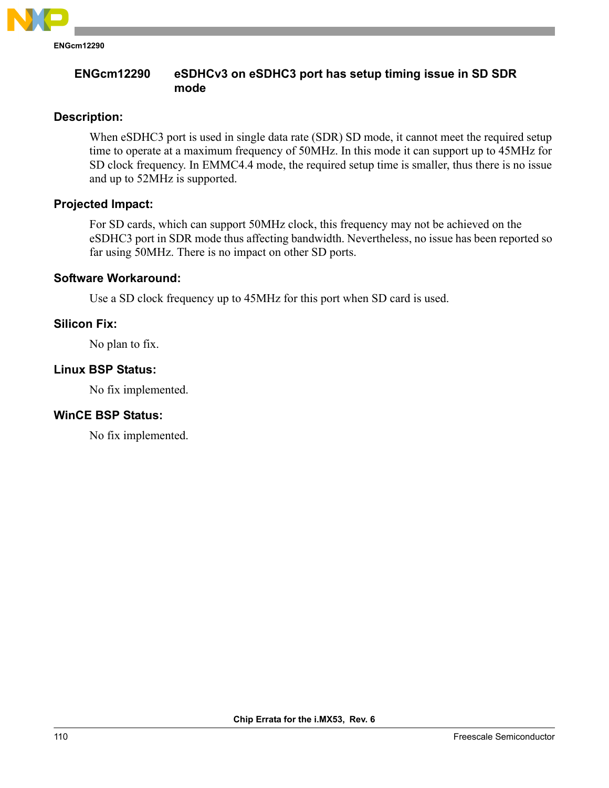

## **ENGcm12290 eSDHCv3 on eSDHC3 port has setup timing issue in SD SDR mode**

#### **Description:**

When eSDHC3 port is used in single data rate (SDR) SD mode, it cannot meet the required setup time to operate at a maximum frequency of 50MHz. In this mode it can support up to 45MHz for SD clock frequency. In EMMC4.4 mode, the required setup time is smaller, thus there is no issue and up to 52MHz is supported.

#### **Projected Impact:**

For SD cards, which can support 50MHz clock, this frequency may not be achieved on the eSDHC3 port in SDR mode thus affecting bandwidth. Nevertheless, no issue has been reported so far using 50MHz. There is no impact on other SD ports.

#### **Software Workaround:**

Use a SD clock frequency up to 45MHz for this port when SD card is used.

## **Silicon Fix:**

No plan to fix.

## **Linux BSP Status:**

No fix implemented.

## **WinCE BSP Status:**

No fix implemented.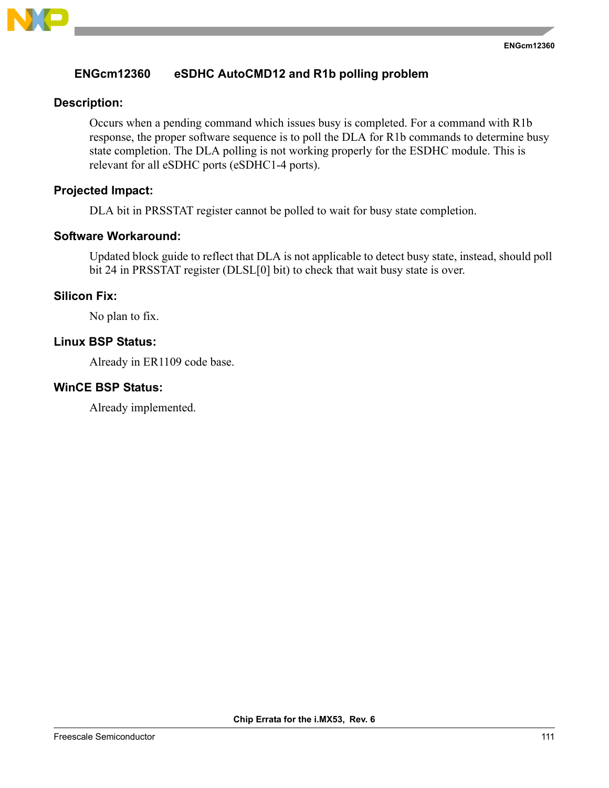

#### **ENGcm12360 eSDHC AutoCMD12 and R1b polling problem**

#### **Description:**

Occurs when a pending command which issues busy is completed. For a command with R1b response, the proper software sequence is to poll the DLA for R1b commands to determine busy state completion. The DLA polling is not working properly for the ESDHC module. This is relevant for all eSDHC ports (eSDHC1-4 ports).

#### **Projected Impact:**

DLA bit in PRSSTAT register cannot be polled to wait for busy state completion.

#### **Software Workaround:**

Updated block guide to reflect that DLA is not applicable to detect busy state, instead, should poll bit 24 in PRSSTAT register (DLSL[0] bit) to check that wait busy state is over.

#### **Silicon Fix:**

No plan to fix.

## **Linux BSP Status:**

Already in ER1109 code base.

#### **WinCE BSP Status:**

Already implemented.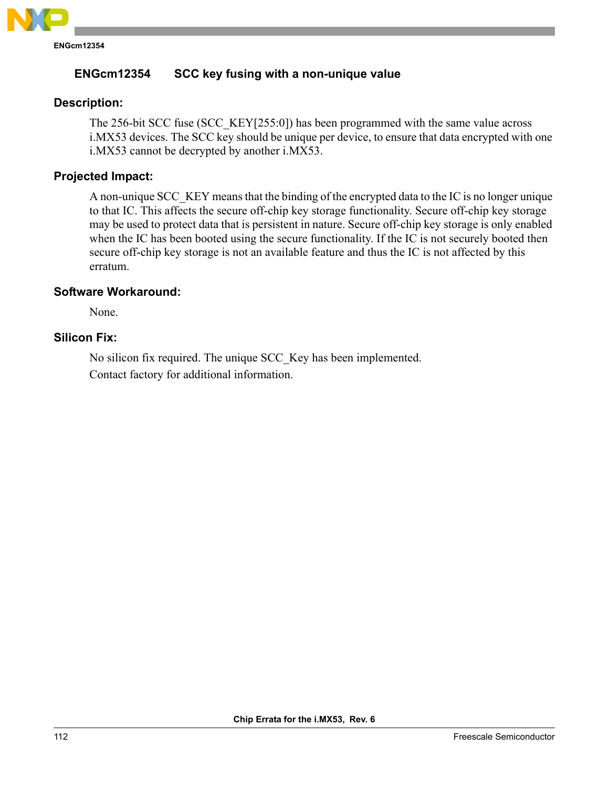

# **ENGcm12354 SCC key fusing with a non-unique value**

# **Description:**

The 256-bit SCC fuse (SCC\_KEY[255:0]) has been programmed with the same value across i.MX53 devices. The SCC key should be unique per device, to ensure that data encrypted with one i.MX53 cannot be decrypted by another i.MX53.

## **Projected Impact:**

A non-unique SCC\_KEY means that the binding of the encrypted data to the IC is no longer unique to that IC. This affects the secure off-chip key storage functionality. Secure off-chip key storage may be used to protect data that is persistent in nature. Secure off-chip key storage is only enabled when the IC has been booted using the secure functionality. If the IC is not securely booted then secure off-chip key storage is not an available feature and thus the IC is not affected by this erratum.

## **Software Workaround:**

None.

#### **Silicon Fix:**

No silicon fix required. The unique SCC\_Key has been implemented. Contact factory for additional information.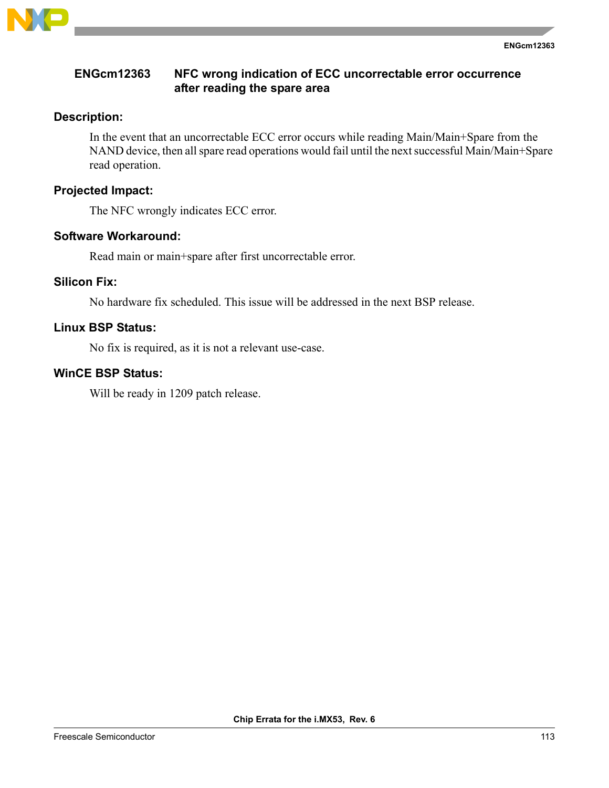

## **ENGcm12363 NFC wrong indication of ECC uncorrectable error occurrence after reading the spare area**

## **Description:**

In the event that an uncorrectable ECC error occurs while reading Main/Main+Spare from the NAND device, then all spare read operations would fail until the next successful Main/Main+Spare read operation.

## **Projected Impact:**

The NFC wrongly indicates ECC error.

#### **Software Workaround:**

Read main or main+spare after first uncorrectable error.

#### **Silicon Fix:**

No hardware fix scheduled. This issue will be addressed in the next BSP release.

## **Linux BSP Status:**

No fix is required, as it is not a relevant use-case.

# **WinCE BSP Status:**

Will be ready in 1209 patch release.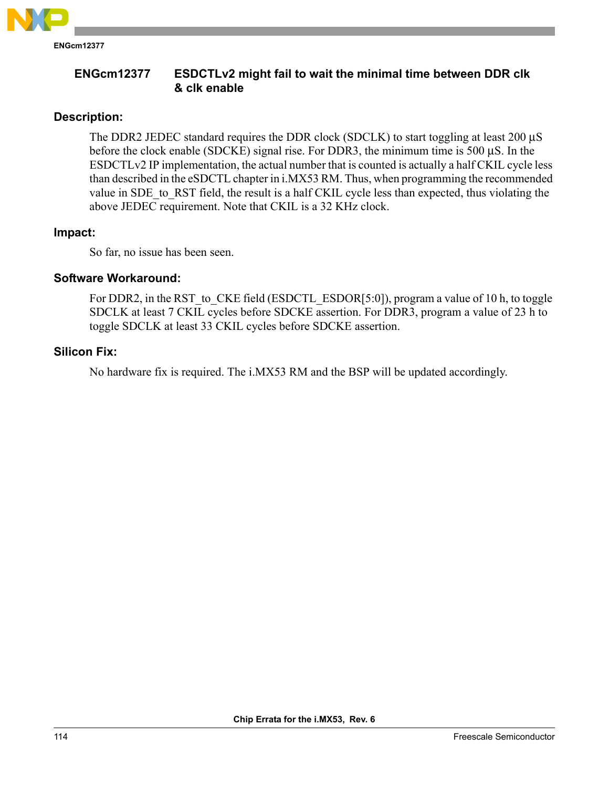

**ENGcm12377 ESDCTLv2 might fail to wait the minimal time between DDR clk & clk enable**

# **Description:**

The DDR2 JEDEC standard requires the DDR clock (SDCLK) to start toggling at least 200 μS before the clock enable (SDCKE) signal rise. For DDR3, the minimum time is 500 μS. In the ESDCTLv2 IP implementation, the actual number that is counted is actually a half CKIL cycle less than described in the eSDCTL chapter in i.MX53 RM. Thus, when programming the recommended value in SDE\_to\_RST field, the result is a half CKIL cycle less than expected, thus violating the above JEDEC requirement. Note that CKIL is a 32 KHz clock.

#### **Impact:**

So far, no issue has been seen.

# **Software Workaround:**

For DDR2, in the RST to CKE field (ESDCTL ESDOR[5:0]), program a value of 10 h, to toggle SDCLK at least 7 CKIL cycles before SDCKE assertion. For DDR3, program a value of 23 h to toggle SDCLK at least 33 CKIL cycles before SDCKE assertion.

## **Silicon Fix:**

No hardware fix is required. The i.MX53 RM and the BSP will be updated accordingly.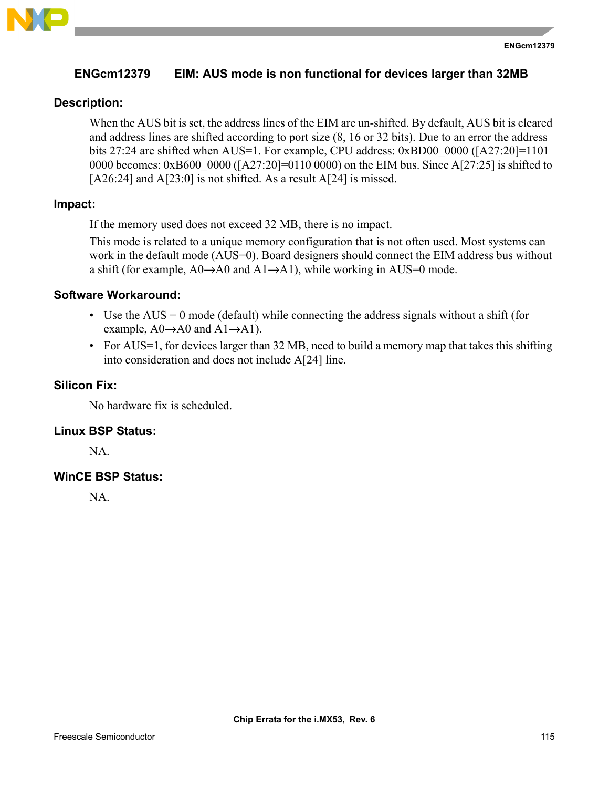

# **ENGcm12379 EIM: AUS mode is non functional for devices larger than 32MB**

# **Description:**

When the AUS bit is set, the address lines of the EIM are un-shifted. By default, AUS bit is cleared and address lines are shifted according to port size (8, 16 or 32 bits). Due to an error the address bits 27:24 are shifted when AUS=1. For example, CPU address: 0xBD00 0000 ([A27:20]=1101 0000 becomes: 0xB600 0000 ([A27:20]=0110 0000) on the EIM bus. Since A[27:25] is shifted to [A26:24] and A[23:0] is not shifted. As a result A[24] is missed.

## **Impact:**

If the memory used does not exceed 32 MB, there is no impact.

This mode is related to a unique memory configuration that is not often used. Most systems can work in the default mode (AUS=0). Board designers should connect the EIM address bus without a shift (for example,  $A0\rightarrow A0$  and  $A1\rightarrow A1$ ), while working in AUS=0 mode.

# **Software Workaround:**

- Use the  $AUS = 0$  mode (default) while connecting the address signals without a shift (for example,  $A0 \rightarrow A0$  and  $A1 \rightarrow A1$ ).
- For AUS=1, for devices larger than 32 MB, need to build a memory map that takes this shifting into consideration and does not include A[24] line.

## **Silicon Fix:**

No hardware fix is scheduled.

## **Linux BSP Status:**

NA.

# **WinCE BSP Status:**

NA.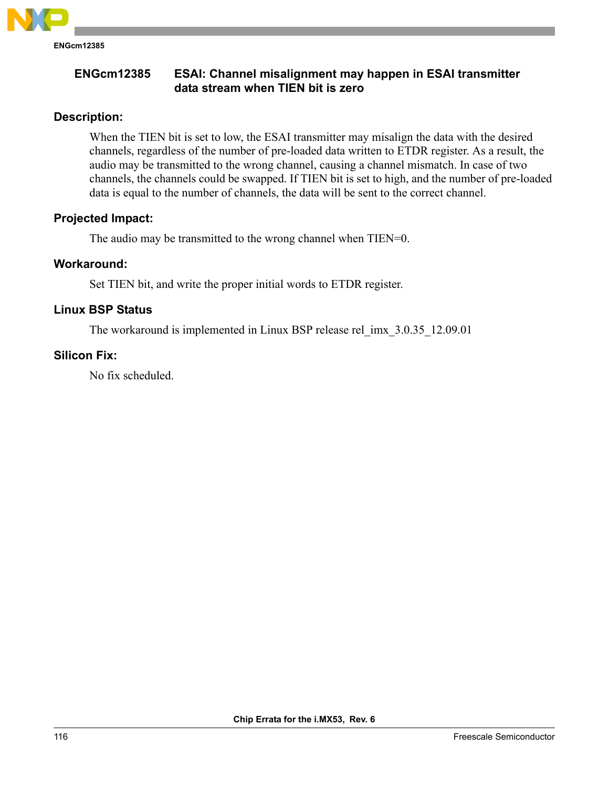

# **Description:**

When the TIEN bit is set to low, the ESAI transmitter may misalign the data with the desired channels, regardless of the number of pre-loaded data written to ETDR register. As a result, the audio may be transmitted to the wrong channel, causing a channel mismatch. In case of two channels, the channels could be swapped. If TIEN bit is set to high, and the number of pre-loaded data is equal to the number of channels, the data will be sent to the correct channel.

## **Projected Impact:**

The audio may be transmitted to the wrong channel when TIEN=0.

## **Workaround:**

Set TIEN bit, and write the proper initial words to ETDR register.

# **Linux BSP Status**

The workaround is implemented in Linux BSP release rel\_imx\_3.0.35\_12.09.01

# **Silicon Fix:**

No fix scheduled.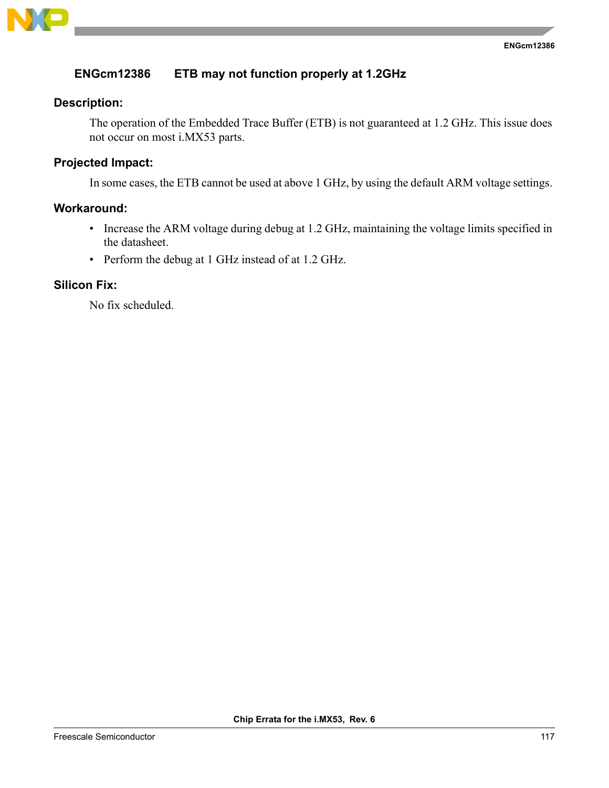

# **ENGcm12386 ETB may not function properly at 1.2GHz**

#### **Description:**

The operation of the Embedded Trace Buffer (ETB) is not guaranteed at 1.2 GHz. This issue does not occur on most i.MX53 parts.

# **Projected Impact:**

In some cases, the ETB cannot be used at above 1 GHz, by using the default ARM voltage settings.

### **Workaround:**

- Increase the ARM voltage during debug at 1.2 GHz, maintaining the voltage limits specified in the datasheet.
- Perform the debug at 1 GHz instead of at 1.2 GHz.

#### **Silicon Fix:**

No fix scheduled.